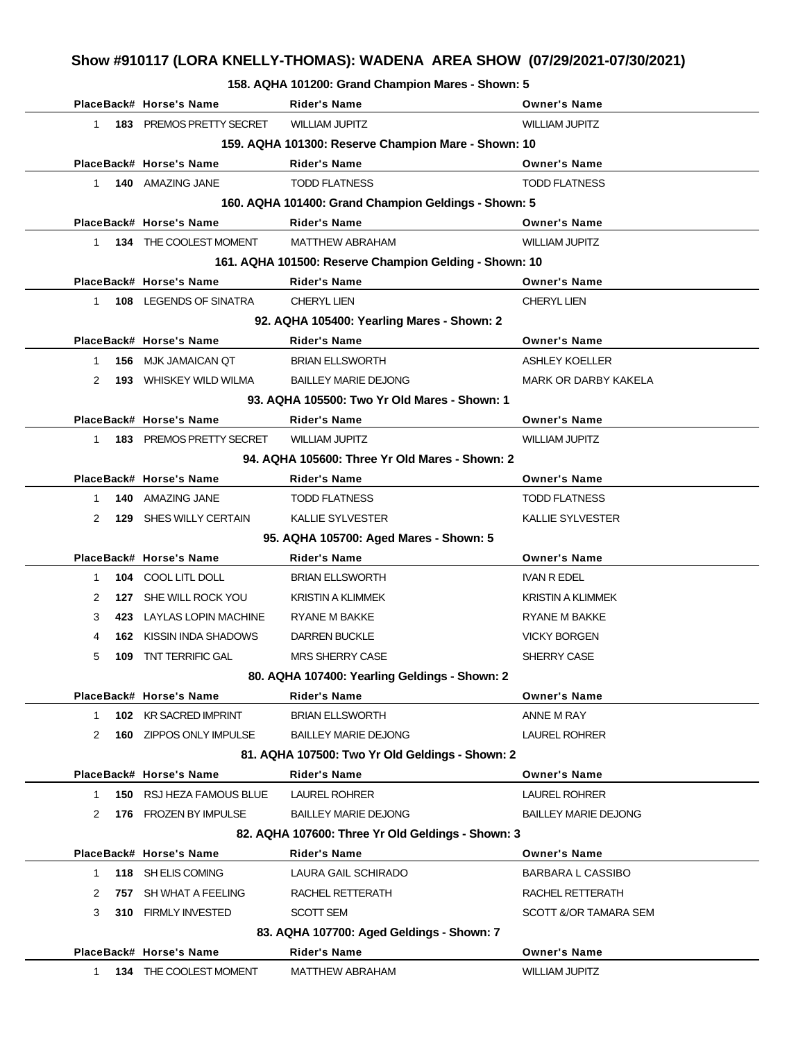**158. AQHA 101200: Grand Champion Mares - Shown: 5**

|                                                     | PlaceBack# Horse's Name       | <b>Rider's Name</b>                                    | <b>Owner's Name</b>         |  |
|-----------------------------------------------------|-------------------------------|--------------------------------------------------------|-----------------------------|--|
| $1 \quad$                                           | 183 PREMOS PRETTY SECRET      | <b>WILLIAM JUPITZ</b>                                  | <b>WILLIAM JUPITZ</b>       |  |
| 159. AQHA 101300: Reserve Champion Mare - Shown: 10 |                               |                                                        |                             |  |
|                                                     | PlaceBack# Horse's Name       | <b>Rider's Name</b>                                    | <b>Owner's Name</b>         |  |
| $1 \quad$                                           | 140 AMAZING JANE              | <b>TODD FLATNESS</b>                                   | <b>TODD FLATNESS</b>        |  |
|                                                     |                               | 160. AQHA 101400: Grand Champion Geldings - Shown: 5   |                             |  |
|                                                     | PlaceBack# Horse's Name       | <b>Rider's Name</b>                                    | <b>Owner's Name</b>         |  |
| $1 \quad$                                           | 134 THE COOLEST MOMENT        | <b>MATTHEW ABRAHAM</b>                                 | <b>WILLIAM JUPITZ</b>       |  |
|                                                     |                               | 161. AQHA 101500: Reserve Champion Gelding - Shown: 10 |                             |  |
|                                                     | PlaceBack# Horse's Name       | <b>Rider's Name</b>                                    | <b>Owner's Name</b>         |  |
| $1 \quad$                                           | <b>108 LEGENDS OF SINATRA</b> | <b>CHERYL LIEN</b>                                     | <b>CHERYL LIEN</b>          |  |
|                                                     |                               | 92. AQHA 105400: Yearling Mares - Shown: 2             |                             |  |
|                                                     | PlaceBack# Horse's Name       | <b>Rider's Name</b>                                    | <b>Owner's Name</b>         |  |
| 1                                                   | 156 MJK JAMAICAN OT           | <b>BRIAN ELLSWORTH</b>                                 | <b>ASHLEY KOELLER</b>       |  |
| 2                                                   | <b>193 WHISKEY WILD WILMA</b> | <b>BAILLEY MARIE DEJONG</b>                            | <b>MARK OR DARBY KAKELA</b> |  |
|                                                     |                               | 93. AQHA 105500: Two Yr Old Mares - Shown: 1           |                             |  |
|                                                     | PlaceBack# Horse's Name       | <b>Rider's Name</b>                                    | <b>Owner's Name</b>         |  |
| 1.                                                  | 183 PREMOS PRETTY SECRET      | <b>WILLIAM JUPITZ</b>                                  | <b>WILLIAM JUPITZ</b>       |  |
|                                                     |                               | 94. AQHA 105600: Three Yr Old Mares - Shown: 2         |                             |  |
|                                                     | PlaceBack# Horse's Name       | <b>Rider's Name</b>                                    | <b>Owner's Name</b>         |  |
| 1                                                   | 140 AMAZING JANE              | <b>TODD FLATNESS</b>                                   | <b>TODD FLATNESS</b>        |  |
| 2                                                   | 129 SHES WILLY CERTAIN        | <b>KALLIE SYLVESTER</b>                                | KALLIE SYLVESTER            |  |
|                                                     |                               | 95. AQHA 105700: Aged Mares - Shown: 5                 |                             |  |
|                                                     | PlaceBack# Horse's Name       | <b>Rider's Name</b>                                    | <b>Owner's Name</b>         |  |
| $\mathbf 1$                                         | 104 COOL LITL DOLL            | <b>BRIAN ELLSWORTH</b>                                 | IVAN R EDEL                 |  |
| 2                                                   | 127 SHE WILL ROCK YOU         | <b>KRISTIN A KLIMMEK</b>                               | <b>KRISTIN A KLIMMEK</b>    |  |
| 3                                                   | 423 LAYLAS LOPIN MACHINE      | RYANE M BAKKE                                          | RYANE M BAKKE               |  |
| 4                                                   | 162 KISSIN INDA SHADOWS       | <b>DARREN BUCKLE</b>                                   | <b>VICKY BORGEN</b>         |  |
| 5<br>109                                            | TNT TERRIFIC GAL              | <b>MRS SHERRY CASE</b>                                 | SHERRY CASE                 |  |
|                                                     |                               | 80. AQHA 107400: Yearling Geldings - Shown: 2          |                             |  |
|                                                     | PlaceBack# Horse's Name       | <b>Rider's Name</b>                                    | <b>Owner's Name</b>         |  |
| $\mathbf 1$                                         | 102 KR SACRED IMPRINT         | <b>BRIAN ELLSWORTH</b>                                 | ANNE M RAY                  |  |
| 2                                                   | 160 ZIPPOS ONLY IMPULSE       | <b>BAILLEY MARIE DEJONG</b>                            | <b>LAUREL ROHRER</b>        |  |
|                                                     |                               | 81. AQHA 107500: Two Yr Old Geldings - Shown: 2        |                             |  |
|                                                     | PlaceBack# Horse's Name       | Rider's Name                                           | <b>Owner's Name</b>         |  |
| 1.                                                  | 150 RSJ HEZA FAMOUS BLUE      | LAUREL ROHRER                                          | <b>LAUREL ROHRER</b>        |  |
| 2                                                   | 176 FROZEN BY IMPULSE         | <b>BAILLEY MARIE DEJONG</b>                            | <b>BAILLEY MARIE DEJONG</b> |  |
|                                                     |                               | 82. AQHA 107600: Three Yr Old Geldings - Shown: 3      |                             |  |
|                                                     | PlaceBack# Horse's Name       | Rider's Name                                           | <b>Owner's Name</b>         |  |
| 1.                                                  | 118 SH ELIS COMING            | LAURA GAIL SCHIRADO                                    | BARBARA L CASSIBO           |  |
| 2                                                   | 757 SH WHAT A FEELING         | RACHEL RETTERATH                                       | RACHEL RETTERATH            |  |
| 3                                                   | 310 FIRMLY INVESTED           | SCOTT SEM                                              | SCOTT &/OR TAMARA SEM       |  |
|                                                     |                               | 83. AQHA 107700: Aged Geldings - Shown: 7              |                             |  |
|                                                     | PlaceBack# Horse's Name       | Rider's Name                                           | <b>Owner's Name</b>         |  |
| 1                                                   | 134 THE COOLEST MOMENT        | <b>MATTHEW ABRAHAM</b>                                 | <b>WILLIAM JUPITZ</b>       |  |
|                                                     |                               |                                                        |                             |  |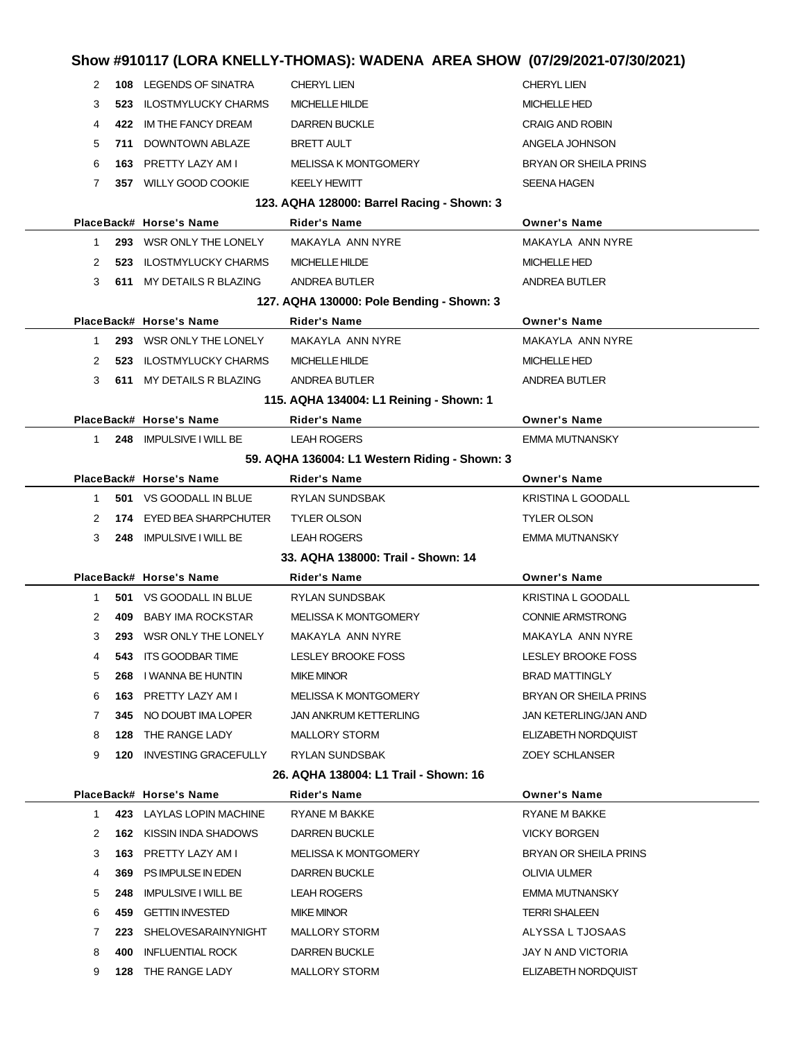| Show #910117 (LORA KNELLY-THOMAS): WADENA AREA SHOW (07/29/2021-07/30/2021) |     |                                                   |                                               |                                           |
|-----------------------------------------------------------------------------|-----|---------------------------------------------------|-----------------------------------------------|-------------------------------------------|
| 2                                                                           |     | 108 LEGENDS OF SINATRA                            | <b>CHERYL LIEN</b>                            | <b>CHERYL LIEN</b>                        |
| 3                                                                           |     | <b>523 ILOSTMYLUCKY CHARMS</b>                    | <b>MICHELLE HILDE</b>                         | <b>MICHELLE HED</b>                       |
| 4                                                                           |     | 422 IM THE FANCY DREAM                            | <b>DARREN BUCKLE</b>                          | <b>CRAIG AND ROBIN</b>                    |
| 5                                                                           | 711 | DOWNTOWN ABLAZE                                   | <b>BRETT AULT</b>                             | ANGELA JOHNSON                            |
| 6                                                                           |     | 163 PRETTY LAZY AM I                              | <b>MELISSA K MONTGOMERY</b>                   | <b>BRYAN OR SHEILA PRINS</b>              |
| 7                                                                           |     | 357 WILLY GOOD COOKIE                             | <b>KEELY HEWITT</b>                           | <b>SEENA HAGEN</b>                        |
|                                                                             |     |                                                   | 123. AQHA 128000: Barrel Racing - Shown: 3    |                                           |
|                                                                             |     | PlaceBack# Horse's Name                           | <b>Rider's Name</b>                           | <b>Owner's Name</b>                       |
| 1.                                                                          |     | 293 WSR ONLY THE LONELY                           | MAKAYLA ANN NYRE                              | MAKAYLA ANN NYRE                          |
| 2                                                                           |     | <b>523 ILOSTMYLUCKY CHARMS</b>                    | MICHELLE HILDE                                | <b>MICHELLE HED</b>                       |
| 3                                                                           |     | 611 MY DETAILS R BLAZING                          | ANDREA BUTLER                                 | ANDREA BUTLER                             |
|                                                                             |     |                                                   | 127. AQHA 130000: Pole Bending - Shown: 3     |                                           |
|                                                                             |     | PlaceBack# Horse's Name                           | <b>Rider's Name</b>                           | <b>Owner's Name</b>                       |
| 1                                                                           |     | 293 WSR ONLY THE LONELY                           | MAKAYLA ANN NYRE                              | MAKAYLA ANN NYRE                          |
| 2                                                                           |     | <b>523 ILOSTMYLUCKY CHARMS</b>                    | MICHELLE HILDE                                | <b>MICHELLE HED</b>                       |
| 3                                                                           |     | 611 MY DETAILS R BLAZING                          | ANDREA BUTLER                                 | ANDREA BUTLER                             |
|                                                                             |     |                                                   | 115. AQHA 134004: L1 Reining - Shown: 1       |                                           |
|                                                                             |     | PlaceBack# Horse's Name                           | <b>Rider's Name</b>                           | <b>Owner's Name</b>                       |
| $1 \quad$                                                                   |     | 248 IMPULSIVE I WILL BE                           | <b>LEAH ROGERS</b>                            | <b>EMMA MUTNANSKY</b>                     |
|                                                                             |     |                                                   | 59. AQHA 136004: L1 Western Riding - Shown: 3 |                                           |
|                                                                             |     | PlaceBack# Horse's Name                           | <b>Rider's Name</b>                           | <b>Owner's Name</b>                       |
| 1.                                                                          |     | 501 VS GOODALL IN BLUE                            | RYLAN SUNDSBAK                                | <b>KRISTINA L GOODALL</b>                 |
| 2                                                                           |     | 174 EYED BEA SHARPCHUTER                          | <b>TYLER OLSON</b>                            | <b>TYLER OLSON</b>                        |
| 3                                                                           |     | 248 IMPULSIVE I WILL BE                           | <b>LEAH ROGERS</b>                            | <b>EMMA MUTNANSKY</b>                     |
|                                                                             |     |                                                   | 33. AQHA 138000: Trail - Shown: 14            |                                           |
|                                                                             |     | PlaceBack# Horse's Name                           | <b>Rider's Name</b>                           | <b>Owner's Name</b>                       |
| 1                                                                           |     | 501 VS GOODALL IN BLUE                            | RYLAN SUNDSBAK                                | <b>KRISTINA L GOODALL</b>                 |
| 2                                                                           |     | 409 BABY IMA ROCKSTAR                             | <b>MELISSA K MONTGOMERY</b>                   | <b>CONNIE ARMSTRONG</b>                   |
|                                                                             |     |                                                   |                                               |                                           |
| 3                                                                           |     | 293 WSR ONLY THE LONELY                           | MAKAYLA ANN NYRE                              | MAKAYLA ANN NYRE                          |
| 4                                                                           |     | 543 ITS GOODBAR TIME                              | LESLEY BROOKE FOSS                            | LESLEY BROOKE FOSS                        |
| 5                                                                           |     | 268 I WANNA BE HUNTIN                             | <b>MIKE MINOR</b>                             | <b>BRAD MATTINGLY</b>                     |
| 6                                                                           |     | 163 PRETTY LAZY AM I                              | MELISSA K MONTGOMERY                          | BRYAN OR SHEILA PRINS                     |
| 7                                                                           |     | 345 NO DOUBT IMA LOPER                            | JAN ANKRUM KETTERLING                         | JAN KETERLING/JAN AND                     |
| 8                                                                           |     | 128 THE RANGE LADY                                | MALLORY STORM                                 | ELIZABETH NORDQUIST                       |
| 9                                                                           |     | 120 INVESTING GRACEFULLY                          | RYLAN SUNDSBAK                                | ZOEY SCHLANSER                            |
|                                                                             |     |                                                   | 26. AQHA 138004: L1 Trail - Shown: 16         |                                           |
|                                                                             |     | PlaceBack# Horse's Name                           | Rider's Name                                  | <b>Owner's Name</b>                       |
| $\mathbf{1}$                                                                |     | 423 LAYLAS LOPIN MACHINE                          | RYANE M BAKKE                                 | RYANE M BAKKE                             |
| 2                                                                           |     | <b>162 KISSIN INDA SHADOWS</b>                    | DARREN BUCKLE                                 | <b>VICKY BORGEN</b>                       |
| 3                                                                           |     | 163 PRETTY LAZY AM I                              | MELISSA K MONTGOMERY                          | <b>BRYAN OR SHEILA PRINS</b>              |
| 4                                                                           |     | 369 PS IMPULSE IN EDEN                            | <b>DARREN BUCKLE</b>                          | OLIVIA ULMER                              |
| 5                                                                           |     | 248 IMPULSIVE I WILL BE                           | <b>LEAH ROGERS</b>                            | EMMA MUTNANSKY                            |
| 6                                                                           |     | 459 GETTIN INVESTED                               | <b>MIKE MINOR</b>                             | <b>TERRI SHALEEN</b>                      |
| 7                                                                           |     | 223 SHELOVESARAINYNIGHT                           | MALLORY STORM                                 | ALYSSA L TJOSAAS                          |
| 8                                                                           |     | <b>400 INFLUENTIAL ROCK</b><br>128 THE RANGE LADY | <b>DARREN BUCKLE</b><br><b>MALLORY STORM</b>  | JAY N AND VICTORIA<br>ELIZABETH NORDQUIST |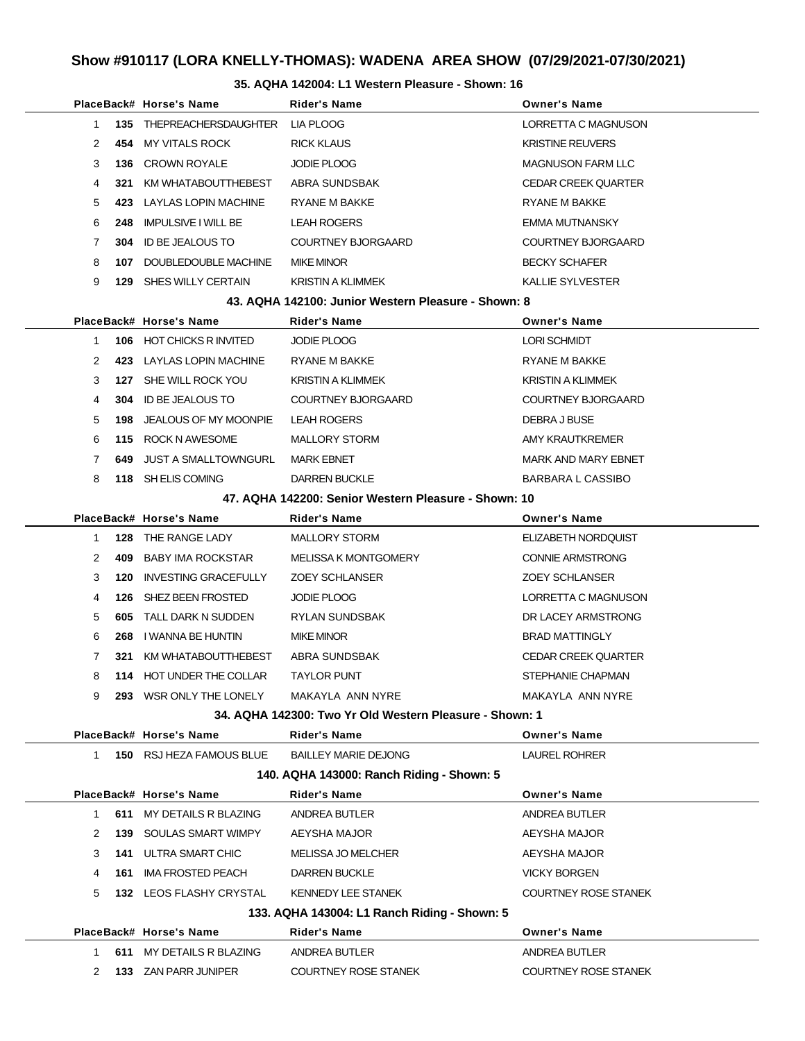#### **35. AQHA 142004: L1 Western Pleasure - Shown: 16**

|              |      | PlaceBack# Horse's Name                              | Rider's Name                                            | <b>Owner's Name</b>         |  |
|--------------|------|------------------------------------------------------|---------------------------------------------------------|-----------------------------|--|
| $\mathbf 1$  | 135  | THEPREACHERSDAUGHTER                                 | LIA PLOOG                                               | LORRETTA C MAGNUSON         |  |
| 2            |      | 454 MY VITALS ROCK                                   | <b>RICK KLAUS</b>                                       | <b>KRISTINE REUVERS</b>     |  |
| 3            |      | 136 CROWN ROYALE                                     | <b>JODIE PLOOG</b>                                      | <b>MAGNUSON FARM LLC</b>    |  |
| 4            | 321  | KM WHATABOUTTHEBEST                                  | ABRA SUNDSBAK                                           | <b>CEDAR CREEK QUARTER</b>  |  |
| 5            |      | 423 LAYLAS LOPIN MACHINE                             | RYANE M BAKKE                                           | RYANE M BAKKE               |  |
| 6            | 248  | <b>IMPULSIVE I WILL BE</b>                           | <b>LEAH ROGERS</b>                                      | EMMA MUTNANSKY              |  |
| 7            | 304  | ID BE JEALOUS TO                                     | COURTNEY BJORGAARD                                      | COURTNEY BJORGAARD          |  |
| 8            | 107  | DOUBLEDOUBLE MACHINE                                 | <b>MIKE MINOR</b>                                       | <b>BECKY SCHAFER</b>        |  |
| 9            |      | <b>129 SHES WILLY CERTAIN</b>                        | <b>KRISTIN A KLIMMEK</b>                                | <b>KALLIE SYLVESTER</b>     |  |
|              |      |                                                      | 43. AQHA 142100: Junior Western Pleasure - Shown: 8     |                             |  |
|              |      | PlaceBack# Horse's Name                              | Rider's Name                                            | <b>Owner's Name</b>         |  |
| $\mathbf{1}$ |      | 106 HOT CHICKS R INVITED                             | <b>JODIE PLOOG</b>                                      | <b>LORI SCHMIDT</b>         |  |
| 2            |      | 423 LAYLAS LOPIN MACHINE                             | RYANE M BAKKE                                           | RYANE M BAKKE               |  |
| 3            |      | 127 SHE WILL ROCK YOU                                | <b>KRISTIN A KLIMMEK</b>                                | <b>KRISTIN A KLIMMEK</b>    |  |
| 4            |      | <b>304 ID BE JEALOUS TO</b>                          | COURTNEY BJORGAARD                                      | COURTNEY BJORGAARD          |  |
| 5            | 198  | JEALOUS OF MY MOONPIE                                | <b>LEAH ROGERS</b>                                      | DEBRA J BUSE                |  |
| 6            |      | 115 ROCK N AWESOME                                   | <b>MALLORY STORM</b>                                    | AMY KRAUTKREMER             |  |
| 7            | 649. | JUST A SMALLTOWNGURL                                 | <b>MARK EBNET</b>                                       | <b>MARK AND MARY EBNET</b>  |  |
| 8            |      | 118 SH ELIS COMING                                   | <b>DARREN BUCKLE</b>                                    | BARBARA L CASSIBO           |  |
|              |      | 47. AQHA 142200: Senior Western Pleasure - Shown: 10 |                                                         |                             |  |
|              |      | PlaceBack# Horse's Name                              | Rider's Name                                            | <b>Owner's Name</b>         |  |
| 1            |      | 128 THE RANGE LADY                                   | <b>MALLORY STORM</b>                                    | ELIZABETH NORDQUIST         |  |
| 2            |      | <b>409 BABY IMA ROCKSTAR</b>                         | <b>MELISSA K MONTGOMERY</b>                             | <b>CONNIE ARMSTRONG</b>     |  |
| 3            | 120  | <b>INVESTING GRACEFULLY</b>                          | <b>ZOEY SCHLANSER</b>                                   | <b>ZOEY SCHLANSER</b>       |  |
| 4            | 126  | SHEZ BEEN FROSTED                                    | <b>JODIE PLOOG</b>                                      | LORRETTA C MAGNUSON         |  |
| 5            | 605  | TALL DARK N SUDDEN                                   | RYLAN SUNDSBAK                                          | DR LACEY ARMSTRONG          |  |
| 6            |      | 268 I WANNA BE HUNTIN                                | <b>MIKE MINOR</b>                                       | <b>BRAD MATTINGLY</b>       |  |
| 7            | 321  | KM WHATABOUTTHEBEST                                  | ABRA SUNDSBAK                                           | <b>CEDAR CREEK QUARTER</b>  |  |
| 8            |      | 114 HOT UNDER THE COLLAR                             | <b>TAYLOR PUNT</b>                                      | STEPHANIE CHAPMAN           |  |
| 9            |      | 293 WSR ONLY THE LONELY                              | MAKAYLA ANN NYRE                                        | MAKAYLA ANN NYRE            |  |
|              |      |                                                      | 34. AQHA 142300: Two Yr Old Western Pleasure - Shown: 1 |                             |  |
|              |      | PlaceBack# Horse's Name                              | <b>Rider's Name</b>                                     | <b>Owner's Name</b>         |  |
| 1            |      | 150 RSJ HEZA FAMOUS BLUE                             | <b>BAILLEY MARIE DEJONG</b>                             | LAUREL ROHRER               |  |
|              |      |                                                      | 140. AQHA 143000: Ranch Riding - Shown: 5               |                             |  |
|              |      | PlaceBack# Horse's Name                              | Rider's Name                                            | <b>Owner's Name</b>         |  |
| $\mathbf 1$  |      | 611 MY DETAILS R BLAZING                             | ANDREA BUTLER                                           | ANDREA BUTLER               |  |
| 2            |      | <b>139 SOULAS SMART WIMPY</b>                        | AEYSHA MAJOR                                            | AEYSHA MAJOR                |  |
| 3            |      | <b>141 ULTRA SMART CHIC</b>                          | MELISSA JO MELCHER                                      | AEYSHA MAJOR                |  |
| 4            |      | 161 IMA FROSTED PEACH                                | DARREN BUCKLE                                           | <b>VICKY BORGEN</b>         |  |
| 5            |      | 132 LEOS FLASHY CRYSTAL                              | <b>KENNEDY LEE STANEK</b>                               | <b>COURTNEY ROSE STANEK</b> |  |
|              |      |                                                      | 133. AQHA 143004: L1 Ranch Riding - Shown: 5            |                             |  |
|              |      | PlaceBack# Horse's Name                              | Rider's Name                                            | <b>Owner's Name</b>         |  |
| 1            |      | 611 MY DETAILS R BLAZING                             | ANDREA BUTLER                                           | ANDREA BUTLER               |  |
| 2            |      | 133 ZAN PARR JUNIPER                                 | <b>COURTNEY ROSE STANEK</b>                             | <b>COURTNEY ROSE STANEK</b> |  |
|              |      |                                                      |                                                         |                             |  |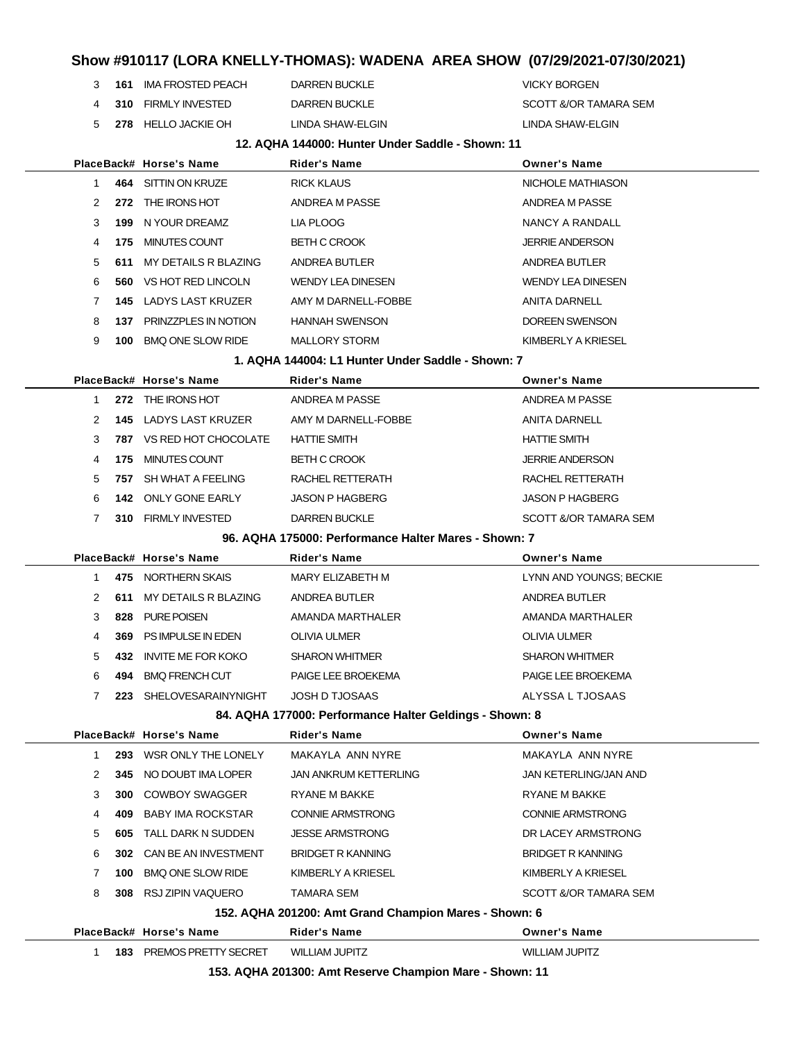**161** IMA FROSTED PEACH DARREN BUCKLE **DARREN BUCKLE 4 310 FIRMLY INVESTED DARREN BUCKLE SCOTT &/OR TAMARA SEM 278** HELLO JACKIE OH LINDA SHAW-ELGIN LINDA SHAW-ELGIN

#### **12. AQHA 144000: Hunter Under Saddle - Shown: 11**

|  |              |      | PlaceBack# Horse's Name       | Rider's Name                                            | <b>Owner's Name</b>      |
|--|--------------|------|-------------------------------|---------------------------------------------------------|--------------------------|
|  | 1            |      | 464 SITTIN ON KRUZE           | <b>RICK KLAUS</b>                                       | NICHOLE MATHIASON        |
|  | 2            |      | 272 THE IRONS HOT             | ANDREA M PASSE                                          | ANDREA M PASSE           |
|  | 3            | 199  | N YOUR DREAMZ                 | LIA PLOOG                                               | NANCY A RANDALL          |
|  | 4            |      | 175 MINUTES COUNT             | <b>BETH C CROOK</b>                                     | <b>JERRIE ANDERSON</b>   |
|  | 5            | 611  | MY DETAILS R BLAZING          | ANDREA BUTLER                                           | ANDREA BUTLER            |
|  | 6            | 560  | VS HOT RED LINCOLN            | WENDY LEA DINESEN                                       | <b>WENDY LEA DINESEN</b> |
|  | 7            | 145. | LADYS LAST KRUZER             | AMY M DARNELL-FOBBE                                     | <b>ANITA DARNELL</b>     |
|  | 8            |      | 137 PRINZZPLES IN NOTION      | <b>HANNAH SWENSON</b>                                   | DOREEN SWENSON           |
|  | 9            | 100  | <b>BMQ ONE SLOW RIDE</b>      | <b>MALLORY STORM</b>                                    | KIMBERLY A KRIESEL       |
|  |              |      |                               | 1. AQHA 144004: L1 Hunter Under Saddle - Shown: 7       |                          |
|  |              |      | PlaceBack# Horse's Name       | Rider's Name                                            | <b>Owner's Name</b>      |
|  | 1            |      | 272 THE IRONS HOT             | ANDREA M PASSE                                          | ANDREA M PASSE           |
|  | 2            |      | <b>145 LADYS LAST KRUZER</b>  | AMY M DARNELL-FOBBE                                     | <b>ANITA DARNELL</b>     |
|  | 3            |      | 787 VS RED HOT CHOCOLATE      | <b>HATTIE SMITH</b>                                     | <b>HATTIE SMITH</b>      |
|  | 4            | 175  | MINUTES COUNT                 | <b>BETH C CROOK</b>                                     | <b>JERRIE ANDERSON</b>   |
|  | 5            | 757  | SH WHAT A FEELING             | RACHEL RETTERATH                                        | RACHEL RETTERATH         |
|  | 6            | 142  | ONLY GONE EARLY               | <b>JASON P HAGBERG</b>                                  | <b>JASON P HAGBERG</b>   |
|  | 7            |      | 310 FIRMLY INVESTED           | <b>DARREN BUCKLE</b>                                    | SCOTT &/OR TAMARA SEM    |
|  |              |      |                               | 96. AQHA 175000: Performance Halter Mares - Shown: 7    |                          |
|  |              |      | PlaceBack# Horse's Name       | Rider's Name                                            | <b>Owner's Name</b>      |
|  | 1            |      | 475 NORTHERN SKAIS            | MARY ELIZABETH M                                        | LYNN AND YOUNGS; BECKIE  |
|  | 2            | 611  | MY DETAILS R BLAZING          | ANDREA BUTLER                                           | ANDREA BUTLER            |
|  | 3            | 828  | <b>PURE POISEN</b>            | AMANDA MARTHALER                                        | AMANDA MARTHALER         |
|  | 4            |      | 369 PS IMPULSE IN EDEN        | OLIVIA ULMER                                            | <b>OLIVIA ULMER</b>      |
|  | 5            | 432. | <b>INVITE ME FOR KOKO</b>     | <b>SHARON WHITMER</b>                                   | <b>SHARON WHITMER</b>    |
|  | 6            | 494  | <b>BMQ FRENCH CUT</b>         | PAIGE LEE BROEKEMA                                      | PAIGE LEE BROEKEMA       |
|  | $\mathbf{7}$ |      | 223 SHELOVESARAINYNIGHT       | <b>JOSH D TJOSAAS</b>                                   | ALYSSA L TJOSAAS         |
|  |              |      |                               | 84. AQHA 177000: Performance Halter Geldings - Shown: 8 |                          |
|  |              |      | PlaceBack# Horse's Name       | <b>Rider's Name</b>                                     | <b>Owner's Name</b>      |
|  | 1            |      | 293 WSR ONLY THE LONELY       | MAKAYLA ANN NYRE                                        | MAKAYLA ANN NYRE         |
|  | 2            | 345  | NO DOUBT IMA LOPER            | JAN ANKRUM KETTERLING                                   | JAN KETERLING/JAN AND    |
|  | 3            | 300  | <b>COWBOY SWAGGER</b>         | RYANE M BAKKE                                           | RYANE M BAKKE            |
|  | 4            | 409. | <b>BABY IMA ROCKSTAR</b>      | <b>CONNIE ARMSTRONG</b>                                 | <b>CONNIE ARMSTRONG</b>  |
|  | 5            |      | <b>605 TALL DARK N SUDDEN</b> | <b>JESSE ARMSTRONG</b>                                  | DR LACEY ARMSTRONG       |
|  | 6            |      | 302 CAN BE AN INVESTMENT      | <b>BRIDGET R KANNING</b>                                | <b>BRIDGET R KANNING</b> |
|  | 7            | 100  | <b>BMQ ONE SLOW RIDE</b>      | KIMBERLY A KRIESEL                                      | KIMBERLY A KRIESEL       |
|  | 8            |      | 308 RSJ ZIPIN VAQUERO         | TAMARA SEM                                              | SCOTT &/OR TAMARA SEM    |
|  |              |      |                               | 152. AQHA 201200: Amt Grand Champion Mares - Shown: 6   |                          |
|  |              |      | PlaceBack# Horse's Name       | Rider's Name                                            | <b>Owner's Name</b>      |
|  | 1            |      | 183 PREMOS PRETTY SECRET      | <b>WILLIAM JUPITZ</b>                                   | <b>WILLIAM JUPITZ</b>    |
|  |              |      |                               | 153 AOHA 201300: Amt Reserve Champion Mare - Shown: 11  |                          |

**153. AQHA 201300: Amt Reserve Champion Mare - Shown: 11**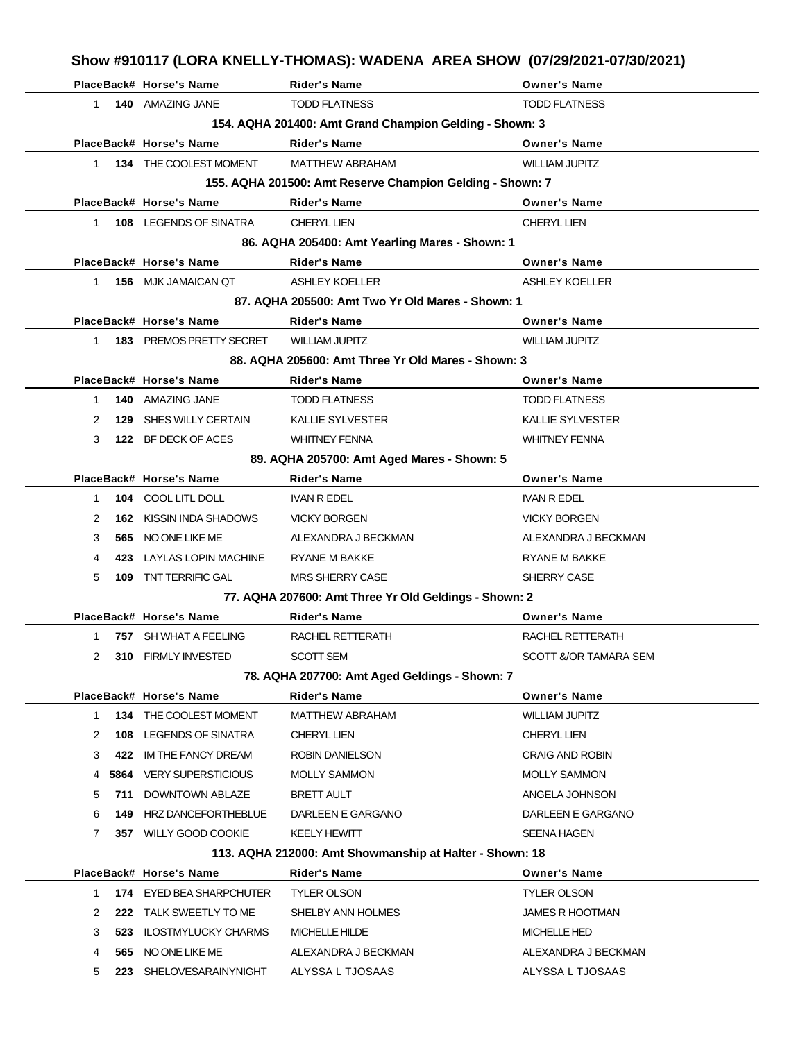| Show #910117 (LORA KNELLY-THOMAS): WADENA AREA SHOW (07/29/2021-07/30/2021) |  |
|-----------------------------------------------------------------------------|--|
|-----------------------------------------------------------------------------|--|

|                                                         |     | PlaceBack# Horse's Name                   | <b>Rider's Name</b>                                       | <b>Owner's Name</b>     |  |  |
|---------------------------------------------------------|-----|-------------------------------------------|-----------------------------------------------------------|-------------------------|--|--|
|                                                         |     | 1 140 AMAZING JANE                        | <b>TODD FLATNESS</b>                                      | <b>TODD FLATNESS</b>    |  |  |
| 154. AQHA 201400: Amt Grand Champion Gelding - Shown: 3 |     |                                           |                                                           |                         |  |  |
|                                                         |     | PlaceBack# Horse's Name                   | <b>Rider's Name</b>                                       | <b>Owner's Name</b>     |  |  |
|                                                         |     | 1 134 THE COOLEST MOMENT                  | <b>MATTHEW ABRAHAM</b>                                    | <b>WILLIAM JUPITZ</b>   |  |  |
|                                                         |     |                                           | 155. AQHA 201500: Amt Reserve Champion Gelding - Shown: 7 |                         |  |  |
|                                                         |     | PlaceBack# Horse's Name                   | <b>Rider's Name</b>                                       | <b>Owner's Name</b>     |  |  |
|                                                         |     | 1 108 LEGENDS OF SINATRA                  | <b>CHERYL LIEN</b>                                        | <b>CHERYL LIEN</b>      |  |  |
|                                                         |     |                                           | 86. AQHA 205400: Amt Yearling Mares - Shown: 1            |                         |  |  |
|                                                         |     | PlaceBack# Horse's Name                   | <b>Rider's Name</b>                                       | <b>Owner's Name</b>     |  |  |
|                                                         |     | 1 156 MJK JAMAICAN QT                     | <b>ASHLEY KOELLER</b>                                     | ASHLEY KOELLER          |  |  |
|                                                         |     |                                           | 87. AQHA 205500: Amt Two Yr Old Mares - Shown: 1          |                         |  |  |
|                                                         |     | PlaceBack# Horse's Name                   | <b>Rider's Name</b>                                       | <b>Owner's Name</b>     |  |  |
|                                                         |     | 1 183 PREMOS PRETTY SECRET WILLIAM JUPITZ |                                                           | <b>WILLIAM JUPITZ</b>   |  |  |
|                                                         |     |                                           | 88. AQHA 205600: Amt Three Yr Old Mares - Shown: 3        |                         |  |  |
|                                                         |     | PlaceBack# Horse's Name                   | <b>Rider's Name</b>                                       | <b>Owner's Name</b>     |  |  |
| $1 \quad$                                               |     | 140 AMAZING JANE                          | <b>TODD FLATNESS</b>                                      | <b>TODD FLATNESS</b>    |  |  |
| 2                                                       |     | 129 SHES WILLY CERTAIN                    | <b>KALLIE SYLVESTER</b>                                   | <b>KALLIE SYLVESTER</b> |  |  |
| 3                                                       |     | 122 BF DECK OF ACES                       | <b>WHITNEY FENNA</b>                                      | <b>WHITNEY FENNA</b>    |  |  |
|                                                         |     |                                           | 89. AQHA 205700: Amt Aged Mares - Shown: 5                |                         |  |  |
|                                                         |     | PlaceBack# Horse's Name                   | <b>Rider's Name</b>                                       | <b>Owner's Name</b>     |  |  |
| $\mathbf{1}$                                            |     | <b>104 COOL LITL DOLL</b>                 | IVAN R EDEL                                               | <b>IVAN R EDEL</b>      |  |  |
| 2                                                       |     | <b>162 KISSIN INDA SHADOWS</b>            | <b>VICKY BORGEN</b>                                       | <b>VICKY BORGEN</b>     |  |  |
| 3                                                       |     | 565 NO ONE LIKE ME                        | ALEXANDRA J BECKMAN                                       | ALEXANDRA J BECKMAN     |  |  |
| 4                                                       |     | <b>423 LAYLAS LOPIN MACHINE</b>           | <b>RYANE M BAKKE</b>                                      | <b>RYANE M BAKKE</b>    |  |  |
| 5                                                       |     | <b>109 TNT TERRIFIC GAL</b>               | <b>MRS SHERRY CASE</b>                                    | SHERRY CASE             |  |  |
|                                                         |     |                                           | 77. AQHA 207600: Amt Three Yr Old Geldings - Shown: 2     |                         |  |  |
|                                                         |     | PlaceBack# Horse's Name                   | <b>Rider's Name</b>                                       | <b>Owner's Name</b>     |  |  |
| $1 \quad$                                               |     | 757 SH WHAT A FEELING                     | RACHEL RETTERATH                                          | RACHEL RETTERATH        |  |  |
|                                                         |     | 310 FIRMLY INVESTED                       | SCOTT SEM                                                 | SCOTT &/OR TAMARA SEM   |  |  |
|                                                         |     |                                           | 78. AQHA 207700: Amt Aged Geldings - Shown: 7             |                         |  |  |
|                                                         |     | PlaceBack# Horse's Name                   | <b>Rider's Name</b>                                       | <b>Owner's Name</b>     |  |  |
| 1                                                       |     | 134 THE COOLEST MOMENT                    | <b>MATTHEW ABRAHAM</b>                                    | <b>WILLIAM JUPITZ</b>   |  |  |
| 2                                                       | 108 | <b>LEGENDS OF SINATRA</b>                 | <b>CHERYL LIEN</b>                                        | <b>CHERYL LIEN</b>      |  |  |
| 3                                                       | 422 | IM THE FANCY DREAM                        | ROBIN DANIELSON                                           | <b>CRAIG AND ROBIN</b>  |  |  |
| 4                                                       |     | 5864 VERY SUPERSTICIOUS                   | <b>MOLLY SAMMON</b>                                       | <b>MOLLY SAMMON</b>     |  |  |
| 5                                                       | 711 | DOWNTOWN ABLAZE                           | <b>BRETT AULT</b>                                         | ANGELA JOHNSON          |  |  |
| 6                                                       | 149 | HRZ DANCEFORTHEBLUE                       | DARLEEN E GARGANO                                         | DARLEEN E GARGANO       |  |  |
| 7                                                       |     | 357 WILLY GOOD COOKIE                     | <b>KEELY HEWITT</b>                                       | SEENA HAGEN             |  |  |
|                                                         |     |                                           | 113. AQHA 212000: Amt Showmanship at Halter - Shown: 18   |                         |  |  |
|                                                         |     | PlaceBack# Horse's Name                   | <b>Rider's Name</b>                                       | <b>Owner's Name</b>     |  |  |
| 1                                                       |     | 174 EYED BEA SHARPCHUTER                  | <b>TYLER OLSON</b>                                        | <b>TYLER OLSON</b>      |  |  |
| 2                                                       | 222 | TALK SWEETLY TO ME                        | SHELBY ANN HOLMES                                         | <b>JAMES R HOOTMAN</b>  |  |  |
| 3                                                       | 523 | <b>ILOSTMYLUCKY CHARMS</b>                | MICHELLE HILDE                                            | <b>MICHELLE HED</b>     |  |  |
| 4                                                       | 565 | NO ONE LIKE ME                            | ALEXANDRA J BECKMAN                                       | ALEXANDRA J BECKMAN     |  |  |
| 5                                                       |     | 223 SHELOVESARAINYNIGHT                   | ALYSSA L TJOSAAS                                          | ALYSSA L TJOSAAS        |  |  |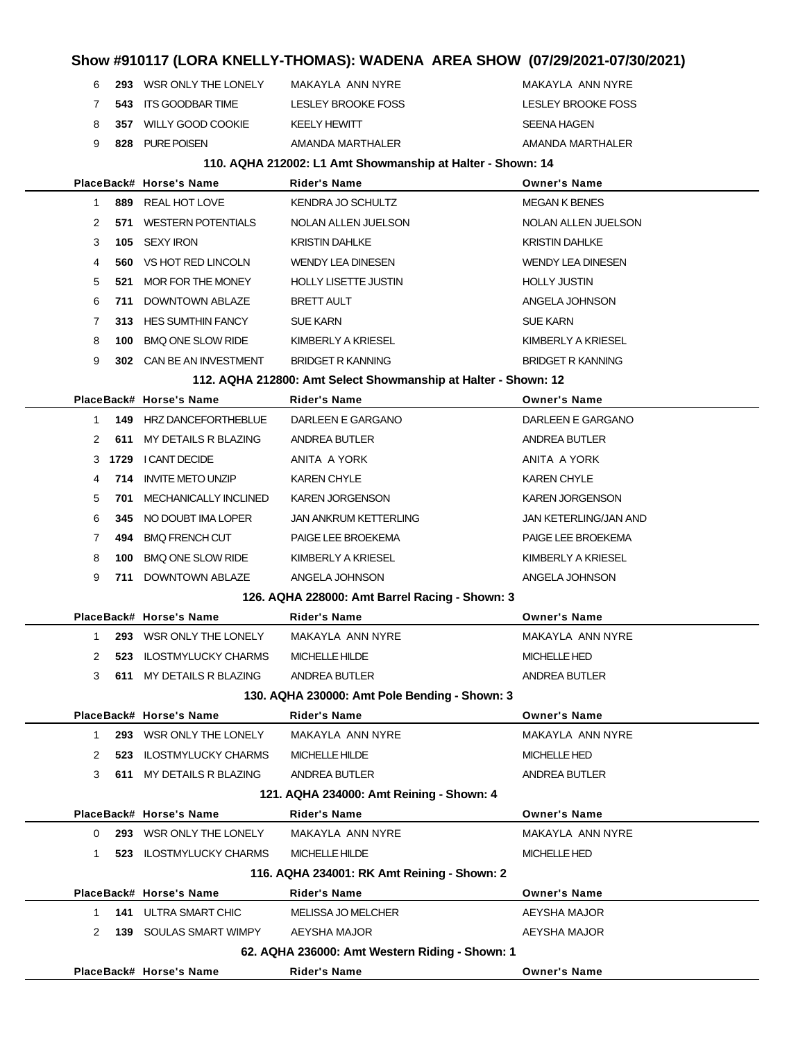| Show #910117 (LORA KNELLY-THOMAS): WADENA  AREA SHOW  (07/29/2021-07/30/2021) |        |                          |                                                                |                           |  |  |  |
|-------------------------------------------------------------------------------|--------|--------------------------|----------------------------------------------------------------|---------------------------|--|--|--|
| 6                                                                             | 293    | WSR ONLY THE LONELY      | MAKAYLA ANN NYRE                                               | MAKAYLA ANN NYRE          |  |  |  |
| 7                                                                             | 543    | <b>ITS GOODBAR TIME</b>  | <b>LESLEY BROOKE FOSS</b>                                      | <b>LESLEY BROOKE FOSS</b> |  |  |  |
| 8                                                                             | 357    | <b>WILLY GOOD COOKIE</b> | <b>KEELY HEWITT</b>                                            | <b>SEENA HAGEN</b>        |  |  |  |
| 9                                                                             | 828    | <b>PURE POISEN</b>       | AMANDA MARTHALER                                               | AMANDA MARTHALER          |  |  |  |
| 110. AQHA 212002: L1 Amt Showmanship at Halter - Shown: 14                    |        |                          |                                                                |                           |  |  |  |
|                                                                               |        | PlaceBack# Horse's Name  | <b>Rider's Name</b>                                            | <b>Owner's Name</b>       |  |  |  |
| 1                                                                             | 889    | REAL HOT LOVE            | KENDRA JO SCHULTZ                                              | <b>MEGAN K BENES</b>      |  |  |  |
| 2                                                                             |        | 571 WESTERN POTENTIALS   | NOLAN ALLEN JUELSON                                            | NOLAN ALLEN JUELSON       |  |  |  |
| 3                                                                             | 105    | <b>SEXY IRON</b>         | <b>KRISTIN DAHLKE</b>                                          | <b>KRISTIN DAHLKE</b>     |  |  |  |
| 4                                                                             | 560    | VS HOT RED LINCOLN       | <b>WENDY LEA DINESEN</b>                                       | <b>WENDY LEA DINESEN</b>  |  |  |  |
| 5                                                                             | 521    | MOR FOR THE MONEY        | <b>HOLLY LISETTE JUSTIN</b>                                    | <b>HOLLY JUSTIN</b>       |  |  |  |
| 6                                                                             | 711    | <b>DOWNTOWN ABLAZE</b>   | <b>BRETT AULT</b>                                              | ANGELA JOHNSON            |  |  |  |
| 7                                                                             |        | 313 HES SUMTHIN FANCY    | <b>SUE KARN</b>                                                | <b>SUE KARN</b>           |  |  |  |
| 8                                                                             | 100    | <b>BMQ ONE SLOW RIDE</b> | KIMBERLY A KRIESEL                                             | KIMBERLY A KRIESEL        |  |  |  |
| 9                                                                             | 302    | CAN BE AN INVESTMENT     | <b>BRIDGET R KANNING</b>                                       | <b>BRIDGET R KANNING</b>  |  |  |  |
|                                                                               |        |                          | 112. AQHA 212800: Amt Select Showmanship at Halter - Shown: 12 |                           |  |  |  |
|                                                                               |        | PlaceBack# Horse's Name  | <b>Rider's Name</b>                                            | <b>Owner's Name</b>       |  |  |  |
| 1                                                                             | 149    | HRZ DANCEFORTHEBLUE      | DARLEEN E GARGANO                                              | DARLEEN E GARGANO         |  |  |  |
| 2                                                                             | 611    | MY DETAILS R BLAZING     | <b>ANDREA BUTLER</b>                                           | <b>ANDREA BUTLER</b>      |  |  |  |
|                                                                               | 3 1729 | <b>I CANT DECIDE</b>     | ANITA A YORK                                                   | ANITA A YORK              |  |  |  |

**714** INVITE METO UNZIP KAREN CHYLE KAREN CHYLE **701** MECHANICALLY INCLINED KAREN JORGENSON KAREN JORGENSON **345** NO DOUBT IMA LOPER JAN ANKRUM KETTERLING JAN KETERLING/JAN AND **494** BMQ FRENCH CUT PAIGE LEE BROEKEMA PAIGE LEE BROEKEMA **100** BMQ ONE SLOW RIDE KIMBERLY A KRIESEL KIMBERLY A KRIESEL **711** DOWNTOWN ABLAZE ANGELA JOHNSON ANGELA JOHNSON

| 126. AQHA 228000: Amt Barrel Racing - Shown: 3 |               |     |                               |                                                |                      |  |
|------------------------------------------------|---------------|-----|-------------------------------|------------------------------------------------|----------------------|--|
|                                                |               |     | PlaceBack# Horse's Name       | <b>Rider's Name</b>                            | <b>Owner's Name</b>  |  |
|                                                | 1             | 293 | WSR ONLY THE LONELY           | MAKAYLA ANN NYRE                               | MAKAYLA ANN NYRE     |  |
|                                                | 2             | 523 | <b>ILOSTMYLUCKY CHARMS</b>    | <b>MICHELLE HILDE</b>                          | <b>MICHELLE HED</b>  |  |
|                                                | 3             | 611 | MY DETAILS R BLAZING          | <b>ANDREA BUTLER</b>                           | <b>ANDREA BUTLER</b> |  |
|                                                |               |     |                               | 130. AQHA 230000: Amt Pole Bending - Shown: 3  |                      |  |
|                                                |               |     | PlaceBack# Horse's Name       | <b>Rider's Name</b>                            | <b>Owner's Name</b>  |  |
|                                                | 1             | 293 | WSR ONLY THE LONELY           | MAKAYLA ANN NYRE                               | MAKAYLA ANN NYRE     |  |
|                                                | $\mathcal{P}$ | 523 | <b>ILOSTMYLUCKY CHARMS</b>    | <b>MICHELLE HILDE</b>                          | <b>MICHELLE HED</b>  |  |
|                                                | 3             | 611 | MY DETAILS R BLAZING          | ANDREA BUTLER                                  | ANDREA BUTLER        |  |
|                                                |               |     |                               | 121. AQHA 234000: Amt Reining - Shown: 4       |                      |  |
|                                                |               |     | PlaceBack# Horse's Name       | <b>Rider's Name</b>                            | <b>Owner's Name</b>  |  |
|                                                | 0             | 293 | WSR ONLY THE LONELY           | MAKAYLA ANN NYRE                               | MAKAYLA ANN NYRE     |  |
|                                                | 1             | 523 | <b>ILOSTMYLUCKY CHARMS</b>    | <b>MICHELLE HILDE</b>                          | <b>MICHELLE HED</b>  |  |
|                                                |               |     |                               | 116. AQHA 234001: RK Amt Reining - Shown: 2    |                      |  |
|                                                |               |     | PlaceBack# Horse's Name       | <b>Rider's Name</b>                            | <b>Owner's Name</b>  |  |
|                                                | 1             | 141 | ULTRA SMART CHIC              | <b>MELISSA JO MELCHER</b>                      | AEYSHA MAJOR         |  |
|                                                | 2             |     | <b>139 SOULAS SMART WIMPY</b> | AEYSHA MAJOR                                   | <b>AEYSHA MAJOR</b>  |  |
|                                                |               |     |                               | 62. AQHA 236000: Amt Western Riding - Shown: 1 |                      |  |
|                                                |               |     | PlaceBack# Horse's Name       | <b>Rider's Name</b>                            | <b>Owner's Name</b>  |  |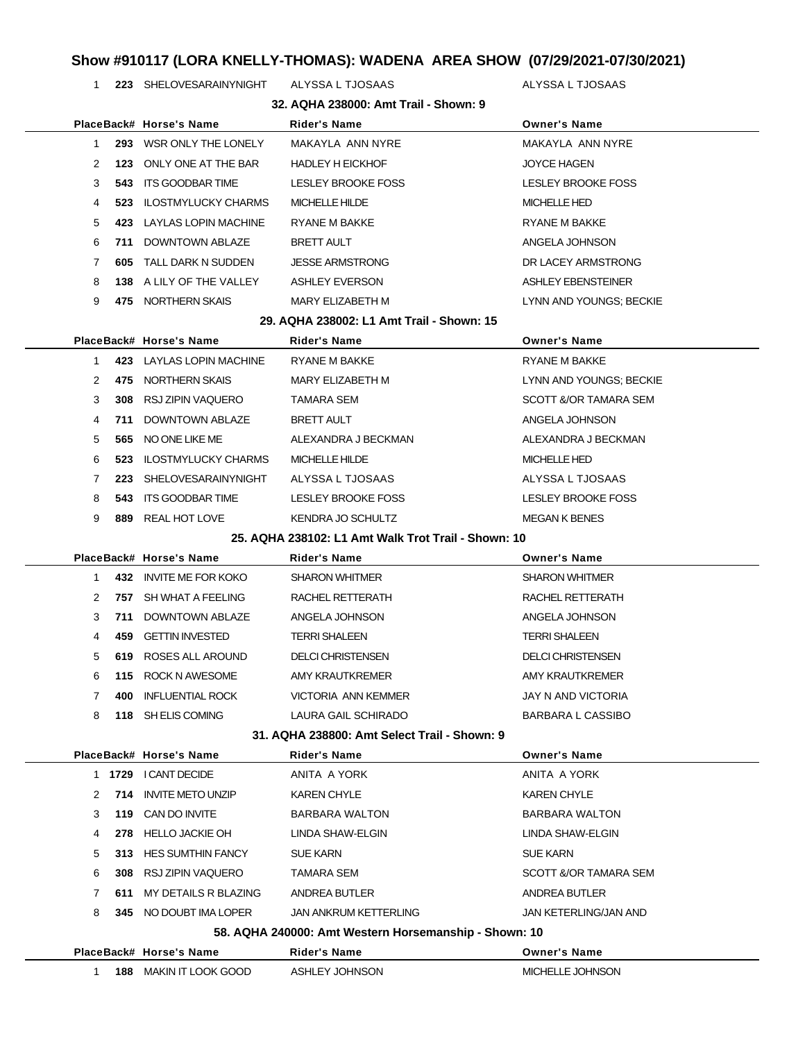**223** SHELOVESARAINYNIGHT ALYSSA L TJOSAAS ALYSSA L TJOSAAS

| 32. AQHA 238000: Amt Trail - Shown: 9 |    |     |                            |                                                       |                           |
|---------------------------------------|----|-----|----------------------------|-------------------------------------------------------|---------------------------|
|                                       |    |     | PlaceBack# Horse's Name    | <b>Rider's Name</b>                                   | <b>Owner's Name</b>       |
|                                       | 1  | 293 | WSR ONLY THE LONELY        | MAKAYLA ANN NYRE                                      | MAKAYLA ANN NYRE          |
|                                       | 2  | 123 | ONLY ONE AT THE BAR        | <b>HADLEY H EICKHOF</b>                               | <b>JOYCE HAGEN</b>        |
|                                       | 3  | 543 | ITS GOODBAR TIME           | LESLEY BROOKE FOSS                                    | LESLEY BROOKE FOSS        |
|                                       | 4  | 523 | <b>ILOSTMYLUCKY CHARMS</b> | MICHELLE HILDE                                        | <b>MICHELLE HED</b>       |
|                                       | 5  | 423 | LAYLAS LOPIN MACHINE       | RYANE M BAKKE                                         | RYANE M BAKKE             |
|                                       | 6  | 711 | <b>DOWNTOWN ABLAZE</b>     | <b>BRETT AULT</b>                                     | ANGELA JOHNSON            |
|                                       | 7  | 605 | TALL DARK N SUDDEN         | <b>JESSE ARMSTRONG</b>                                | DR LACEY ARMSTRONG        |
|                                       | 8  |     | 138 A LILY OF THE VALLEY   | <b>ASHLEY EVERSON</b>                                 | ASHLEY EBENSTEINER        |
|                                       | 9  |     | 475 NORTHERN SKAIS         | MARY ELIZABETH M                                      | LYNN AND YOUNGS; BECKIE   |
|                                       |    |     |                            | 29. AQHA 238002: L1 Amt Trail - Shown: 15             |                           |
|                                       |    |     | PlaceBack# Horse's Name    | <b>Rider's Name</b>                                   | <b>Owner's Name</b>       |
|                                       | 1  |     | 423 LAYLAS LOPIN MACHINE   | <b>RYANE M BAKKE</b>                                  | <b>RYANE M BAKKE</b>      |
|                                       | 2  | 475 | NORTHERN SKAIS             | MARY ELIZABETH M                                      | LYNN AND YOUNGS; BECKIE   |
|                                       | 3  | 308 | RSJ ZIPIN VAQUERO          | TAMARA SEM                                            | SCOTT &/OR TAMARA SEM     |
|                                       | 4  | 711 | DOWNTOWN ABLAZE            | <b>BRETT AULT</b>                                     | ANGELA JOHNSON            |
|                                       | 5  | 565 | NO ONE LIKE ME             | ALEXANDRA J BECKMAN                                   | ALEXANDRA J BECKMAN       |
|                                       | 6  | 523 | <b>ILOSTMYLUCKY CHARMS</b> | <b>MICHELLE HILDE</b>                                 | <b>MICHELLE HED</b>       |
|                                       | 7  | 223 | SHELOVESARAINYNIGHT        | ALYSSA L TJOSAAS                                      | ALYSSA L TJOSAAS          |
|                                       | 8  | 543 | ITS GOODBAR TIME           | LESLEY BROOKE FOSS                                    | LESLEY BROOKE FOSS        |
|                                       | 9  |     | 889 REAL HOT LOVE          | KENDRA JO SCHULTZ                                     | <b>MEGAN K BENES</b>      |
|                                       |    |     |                            | 25. AQHA 238102: L1 Amt Walk Trot Trail - Shown: 10   |                           |
|                                       |    |     | PlaceBack# Horse's Name    | <b>Rider's Name</b>                                   | <b>Owner's Name</b>       |
|                                       | 1  |     | 432 INVITE ME FOR KOKO     | <b>SHARON WHITMER</b>                                 | <b>SHARON WHITMER</b>     |
|                                       | 2  |     | 757 SH WHAT A FEELING      | RACHEL RETTERATH                                      | RACHEL RETTERATH          |
|                                       | 3  | 711 | DOWNTOWN ABLAZE            | ANGELA JOHNSON                                        | ANGELA JOHNSON            |
|                                       | 4  | 459 | <b>GETTIN INVESTED</b>     | <b>TERRI SHALEEN</b>                                  | <b>TERRI SHALEEN</b>      |
|                                       | 5  | 619 | ROSES ALL AROUND           | <b>DELCI CHRISTENSEN</b>                              | <b>DELCI CHRISTENSEN</b>  |
|                                       | 6  | 115 | ROCK N AWESOME             | AMY KRAUTKREMER                                       | AMY KRAUTKREMER           |
|                                       | 7  | 400 | <b>INFLUENTIAL ROCK</b>    | <b>VICTORIA ANN KEMMER</b>                            | <b>JAY N AND VICTORIA</b> |
|                                       | 8  |     | 118 SH ELIS COMING         | LAURA GAIL SCHIRADO                                   | <b>BARBARA L CASSIBO</b>  |
|                                       |    |     |                            | 31. AQHA 238800: Amt Select Trail - Shown: 9          |                           |
|                                       |    |     | PlaceBack# Horse's Name    | Rider's Name                                          | <b>Owner's Name</b>       |
|                                       |    |     | 1 1729 I CANT DECIDE       | ANITA A YORK                                          | ANITA A YORK              |
|                                       | 2  | 714 | INVITE METO UNZIP          | <b>KAREN CHYLE</b>                                    | KAREN CHYLE               |
|                                       | 3  |     | 119 CAN DO INVITE          | BARBARA WALTON                                        | <b>BARBARA WALTON</b>     |
|                                       | 4  | 278 | HELLO JACKIE OH            | LINDA SHAW-ELGIN                                      | LINDA SHAW-ELGIN          |
|                                       | 5  |     | 313 HES SUMTHIN FANCY      | <b>SUE KARN</b>                                       | <b>SUE KARN</b>           |
|                                       | 6  |     | 308 RSJ ZIPIN VAQUERO      | TAMARA SEM                                            | SCOTT &/OR TAMARA SEM     |
|                                       | 7  | 611 | MY DETAILS R BLAZING       | ANDREA BUTLER                                         | ANDREA BUTLER             |
|                                       | 8  |     | 345 NO DOUBT IMA LOPER     | <b>JAN ANKRUM KETTERLING</b>                          | JAN KETERLING/JAN AND     |
|                                       |    |     |                            | 58. AQHA 240000: Amt Western Horsemanship - Shown: 10 |                           |
|                                       |    |     | PlaceBack# Horse's Name    | Rider's Name                                          | <b>Owner's Name</b>       |
|                                       | 1. |     | 188 MAKIN IT LOOK GOOD     | ASHLEY JOHNSON                                        | MICHELLE JOHNSON          |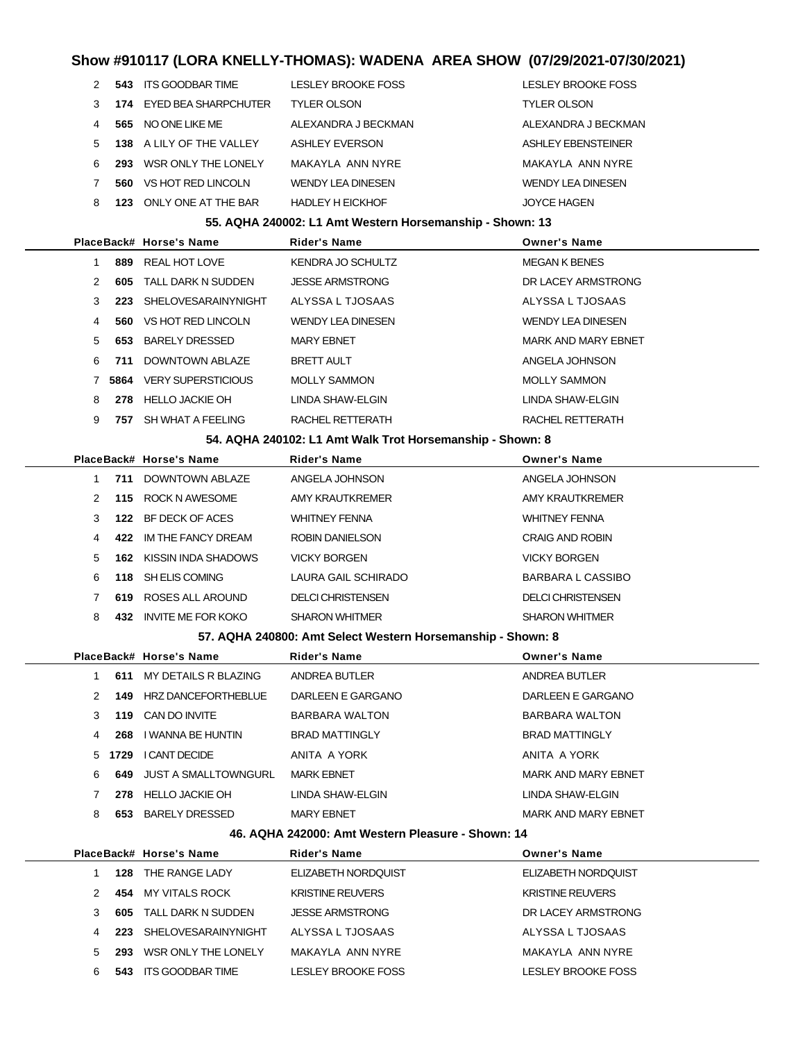|    | 543  | ITS GOODBAR TIME         | <b>LESLEY BROOKE FOSS</b> | LESLEY BROOKE FOSS       |
|----|------|--------------------------|---------------------------|--------------------------|
| 3  |      | 174 EYED BEA SHARPCHUTER | <b>TYLER OLSON</b>        | <b>TYLER OLSON</b>       |
| 4  | 565. | NO ONE LIKE ME           | ALEXANDRA J BECKMAN       | ALEXANDRA J BECKMAN      |
| 5. |      | 138 A LILY OF THE VALLEY | ASHLEY EVERSON            | ASHLEY EBENSTEINER       |
| 6  | 293  | WSR ONLY THE LONELY      | MAKAYI A ANN NYRF         | MAKAYI A ANN NYRF        |
|    | 560  | VS HOT RED LINCOLN       | <b>WENDY LEA DINESEN</b>  | <b>WENDY LEA DINESEN</b> |
| 8  | 123  | ONLY ONE AT THE BAR      | <b>HADLEY H EICKHOF</b>   | <b>JOYCE HAGEN</b>       |

#### **55. AQHA 240002: L1 Amt Western Horsemanship - Shown: 13**

|               |      | PlaceBack# Horse's Name   | <b>Rider's Name</b>      | Owner's Name               |
|---------------|------|---------------------------|--------------------------|----------------------------|
|               | 889  | REAL HOT LOVE             | KENDRA JO SCHULTZ        | <b>MEGAN K BENES</b>       |
| $\mathcal{P}$ | 605  | TALL DARK N SUDDEN        | <b>JESSE ARMSTRONG</b>   | DR LACEY ARMSTRONG         |
| 3             | 223  | SHELOVESARAINYNIGHT       | ALYSSA L TJOSAAS         | ALYSSA L TJOSAAS           |
| 4             | 560  | VS HOT RED LINCOLN        | <b>WENDY LEA DINESEN</b> | <b>WENDY LEA DINESEN</b>   |
| 5             | 653  | <b>BARELY DRESSED</b>     | <b>MARY EBNET</b>        | <b>MARK AND MARY EBNET</b> |
| 6             | 711  | DOWNTOWN ABI AZE          | <b>BRETT AULT</b>        | ANGELA JOHNSON             |
|               | 5864 | <b>VERY SUPERSTICIOUS</b> | <b>MOLLY SAMMON</b>      | <b>MOLLY SAMMON</b>        |
| 8             | 278  | HELLO JACKIE OH           | LINDA SHAW-ELGIN         | LINDA SHAW-ELGIN           |
| 9             | 757  | SH WHAT A FEELING         | RACHEL RETTERATH         | RACHEL RETTERATH           |
|               |      |                           |                          |                            |

#### **54. AQHA 240102: L1 Amt Walk Trot Horsemanship - Shown: 8**

|                      |     | PlaceBack# Horse's Name | <b>Rider's Name</b>      | <b>Owner's Name</b>      |
|----------------------|-----|-------------------------|--------------------------|--------------------------|
|                      | 711 | DOWNTOWN ABLAZE         | ANGELA JOHNSON           | ANGELA JOHNSON           |
| $\mathcal{P} \equiv$ |     | 115 ROCK N AWESOME      | AMY KRAUTKREMER          | AMY KRAUTKREMER          |
| 3                    | 122 | BE DECK OF ACES         | <b>WHITNEY FENNA</b>     | <b>WHITNEY FENNA</b>     |
| 4                    | 422 | IM THE FANCY DREAM      | <b>ROBIN DANIELSON</b>   | <b>CRAIG AND ROBIN</b>   |
| $5 -$                | 162 | KISSIN INDA SHADOWS     | <b>VICKY BORGEN</b>      | <b>VICKY BORGEN</b>      |
| 6                    | 118 | SH ELIS COMING          | LAURA GAIL SCHIRADO      | <b>BARBARA L CASSIBO</b> |
|                      | 619 | ROSES ALL AROUND        | <b>DELCI CHRISTENSEN</b> | DELCI CHRISTENSEN        |
| 8                    | 432 | INVITE ME FOR KOKO      | <b>SHARON WHITMER</b>    | <b>SHARON WHITMER</b>    |

#### **57. AQHA 240800: Amt Select Western Horsemanship - Shown: 8**

|               |        | PlaceBack# Horse's Name | <b>Rider's Name</b>   | <b>Owner's Name</b>        |
|---------------|--------|-------------------------|-----------------------|----------------------------|
|               | 611    | MY DETAILS R BLAZING    | ANDREA BUTLER         | ANDREA BUTLER              |
| $\mathcal{P}$ | 149    | HRZ DANCEFORTHEBLUE     | DARLEEN E GARGANO     | DARLEEN E GARGANO          |
| 3             | 119    | CAN DO INVITE           | <b>BARBARA WALTON</b> | <b>BARBARA WALTON</b>      |
| 4             | 268    | I WANNA BE HUNTIN       | <b>BRAD MATTINGLY</b> | <b>BRAD MATTINGLY</b>      |
|               | 5 1729 | I CANT DECIDE           | ANITA A YORK          | ANITA A YORK               |
| 6             | 649    | JUST A SMALLTOWNGURL    | <b>MARK EBNET</b>     | MARK AND MARY EBNET        |
|               | 278    | HELLO JACKIE OH         | LINDA SHAW-ELGIN      | LINDA SHAW-ELGIN           |
| 8             | 653    | <b>BARELY DRESSED</b>   | <b>MARY EBNET</b>     | <b>MARK AND MARY EBNET</b> |
|               |        |                         |                       |                            |

#### **46. AQHA 242000: Amt Western Pleasure - Shown: 14**

|  |     | PlaceBack# Horse's Name | Rider's Name            | <b>Owner's Name</b>     |
|--|-----|-------------------------|-------------------------|-------------------------|
|  | 128 | THE RANGE LADY          | ELIZABETH NORDQUIST     | ELIZABETH NORDOUIST     |
|  | 454 | MY VITALS ROCK          | <b>KRISTINE REUVERS</b> | <b>KRISTINE REUVERS</b> |
|  | 605 | TALL DARK N SUDDEN      | JESSE ARMSTRONG         | DR LACEY ARMSTRONG      |
|  | 223 | SHELOVESARAINYNIGHT     | ALYSSA L TJOSAAS        | ALYSSA L TJOSAAS        |
|  | 293 | WSR ONLY THE LONELY     | MAKAYI A ANN NYRF       | MAKAYLA ANN NYRE        |
|  | 543 | ITS GOODBAR TIME        | LESLEY BROOKE FOSS      | LESLEY BROOKE FOSS      |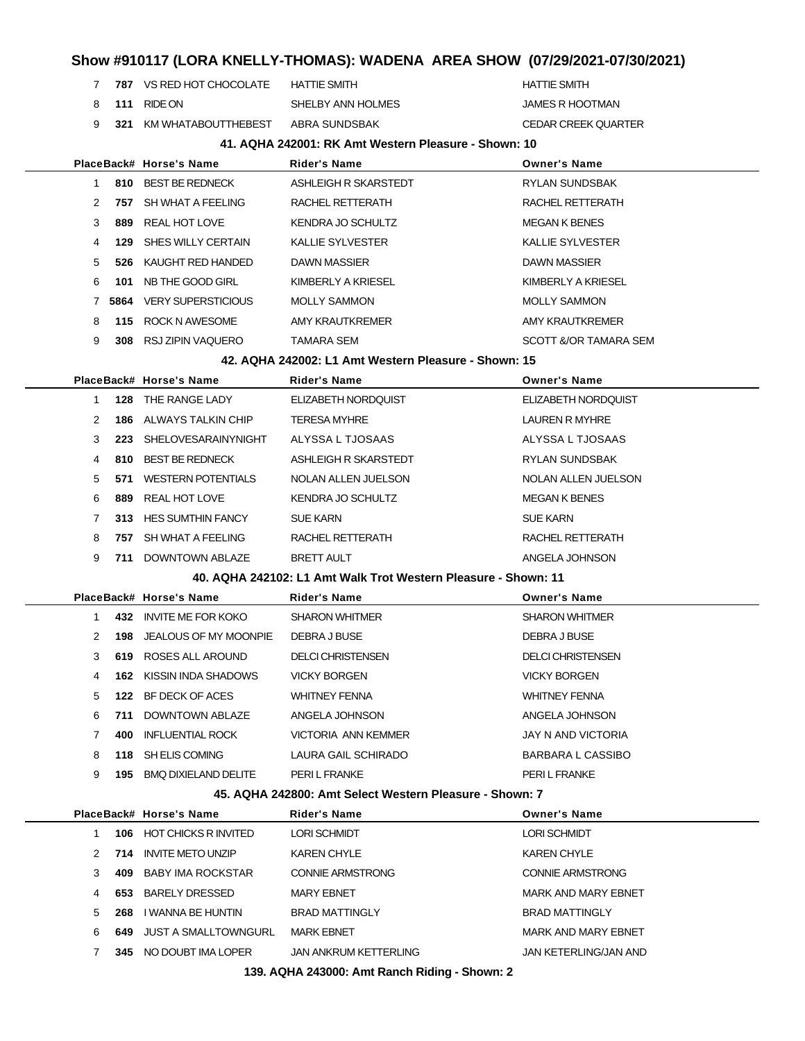- **787** VS RED HOT CHOCOLATE HATTIE SMITH **HATTIE SMITH**
- **111** RIDE ON SHELBY ANN HOLMES SHELBY ANN HOLMES
- **321** KM WHATABOUTTHEBEST ABRA SUNDSBAK CEDAR CREEK QUARTER

#### **41. AQHA 242001: RK Amt Western Pleasure - Shown: 10**

|                |      | PlaceBack# Horse's Name   | Rider's Name                                                   | <b>Owner's Name</b>      |
|----------------|------|---------------------------|----------------------------------------------------------------|--------------------------|
| 1              |      | 810 BEST BE REDNECK       | ASHLEIGH R SKARSTEDT                                           | <b>RYLAN SUNDSBAK</b>    |
| 2              | 757  | SH WHAT A FEELING         | RACHEL RETTERATH                                               | RACHEL RETTERATH         |
| 3              | 889  | REAL HOT LOVE             | <b>KENDRA JO SCHULTZ</b>                                       | <b>MEGAN K BENES</b>     |
| 4              | 129  | SHES WILLY CERTAIN        | <b>KALLIE SYLVESTER</b>                                        | <b>KALLIE SYLVESTER</b>  |
| 5              | 526  | KAUGHT RED HANDED         | DAWN MASSIER                                                   | DAWN MASSIER             |
| 6              | 101  | NB THE GOOD GIRL          | KIMBERLY A KRIESEL                                             | KIMBERLY A KRIESEL       |
| 7              | 5864 | <b>VERY SUPERSTICIOUS</b> | <b>MOLLY SAMMON</b>                                            | <b>MOLLY SAMMON</b>      |
| 8              |      | 115 ROCK N AWESOME        | <b>AMY KRAUTKREMER</b>                                         | AMY KRAUTKREMER          |
| 9              |      | 308 RSJ ZIPIN VAQUERO     | TAMARA SEM                                                     | SCOTT &/OR TAMARA SEM    |
|                |      |                           | 42. AQHA 242002: L1 Amt Western Pleasure - Shown: 15           |                          |
|                |      | PlaceBack# Horse's Name   | Rider's Name                                                   | <b>Owner's Name</b>      |
| $\mathbf{1}$   | 128  | THE RANGE LADY            | ELIZABETH NORDQUIST                                            | ELIZABETH NORDQUIST      |
| 2              | 186  | ALWAYS TALKIN CHIP        | <b>TERESA MYHRE</b>                                            | <b>LAUREN R MYHRE</b>    |
| 3              | 223  | SHELOVESARAINYNIGHT       | ALYSSA L TJOSAAS                                               | ALYSSA L TJOSAAS         |
| 4              | 810  | BEST BE REDNECK           | ASHLEIGH R SKARSTEDT                                           | RYLAN SUNDSBAK           |
| 5              | 571  | <b>WESTERN POTENTIALS</b> | NOLAN ALLEN JUELSON                                            | NOLAN ALLEN JUELSON      |
| 6              | 889  | REAL HOT LOVE             | <b>KENDRA JO SCHULTZ</b>                                       | <b>MEGAN K BENES</b>     |
| 7              |      | 313 HES SUMTHIN FANCY     | <b>SUE KARN</b>                                                | <b>SUE KARN</b>          |
| 8              |      | 757 SH WHAT A FEELING     | RACHEL RETTERATH                                               | RACHEL RETTERATH         |
| 9              |      | 711 DOWNTOWN ABLAZE       | <b>BRETT AULT</b>                                              | ANGELA JOHNSON           |
|                |      |                           | 40. AQHA 242102: L1 Amt Walk Trot Western Pleasure - Shown: 11 |                          |
|                |      | PlaceBack# Horse's Name   | Rider's Name                                                   | <b>Owner's Name</b>      |
| 1              |      | 432 INVITE ME FOR KOKO    | <b>SHARON WHITMER</b>                                          | <b>SHARON WHITMER</b>    |
| 2              | 198  | JEALOUS OF MY MOONPIE     | DEBRA J BUSE                                                   | DEBRA J BUSE             |
| 3              | 619  | ROSES ALL AROUND          | <b>DELCI CHRISTENSEN</b>                                       | <b>DELCI CHRISTENSEN</b> |
| 4              | 162  | KISSIN INDA SHADOWS       | <b>VICKY BORGEN</b>                                            | <b>VICKY BORGEN</b>      |
| 5              |      | 122 BF DECK OF ACES       | <b>WHITNEY FENNA</b>                                           | <b>WHITNEY FENNA</b>     |
| 6              | 711  | DOWNTOWN ABLAZE           | ANGELA JOHNSON                                                 | ANGELA JOHNSON           |
| $\overline{7}$ | 400  | <b>INFLUENTIAL ROCK</b>   | VICTORIA ANN KEMMER                                            | JAY N AND VICTORIA       |
| 8              |      | 118 SH ELIS COMING        | LAURA GAIL SCHIRADO                                            | <b>BARBARA L CASSIBO</b> |
| 9              |      | 195 BMQ DIXIELAND DELITE  | PERI L FRANKE                                                  | PERI L FRANKE            |
|                |      |                           | 45. AQHA 242800: Amt Select Western Pleasure - Shown: 7        |                          |
|                |      | PlaceBack# Horse's Name   | Rider's Name                                                   | <b>Owner's Name</b>      |
| 1              |      | 106 HOT CHICKS R INVITED  | <b>LORI SCHMIDT</b>                                            | <b>LORI SCHMIDT</b>      |
| 2              |      | 714 INVITE METO UNZIP     | <b>KAREN CHYLE</b>                                             | KAREN CHYLE              |

 **409** BABY IMA ROCKSTAR CONNIE ARMSTRONG CONNIE ARMSTRONG 4 653 BARELY DRESSED MARY EBNET MARY EDGET MARK AND MARY EBNET **268** I WANNA BE HUNTIN BRAD MATTINGLY BRAD MATTINGLY 6 649 JUST A SMALLTOWNGURL MARK EBNET **MARK AND MARK AND MARY EBNET** 

 **345** NO DOUBT IMA LOPER JAN ANKRUM KETTERLING JAN KETERLING/JAN AND **139. AQHA 243000: Amt Ranch Riding - Shown: 2**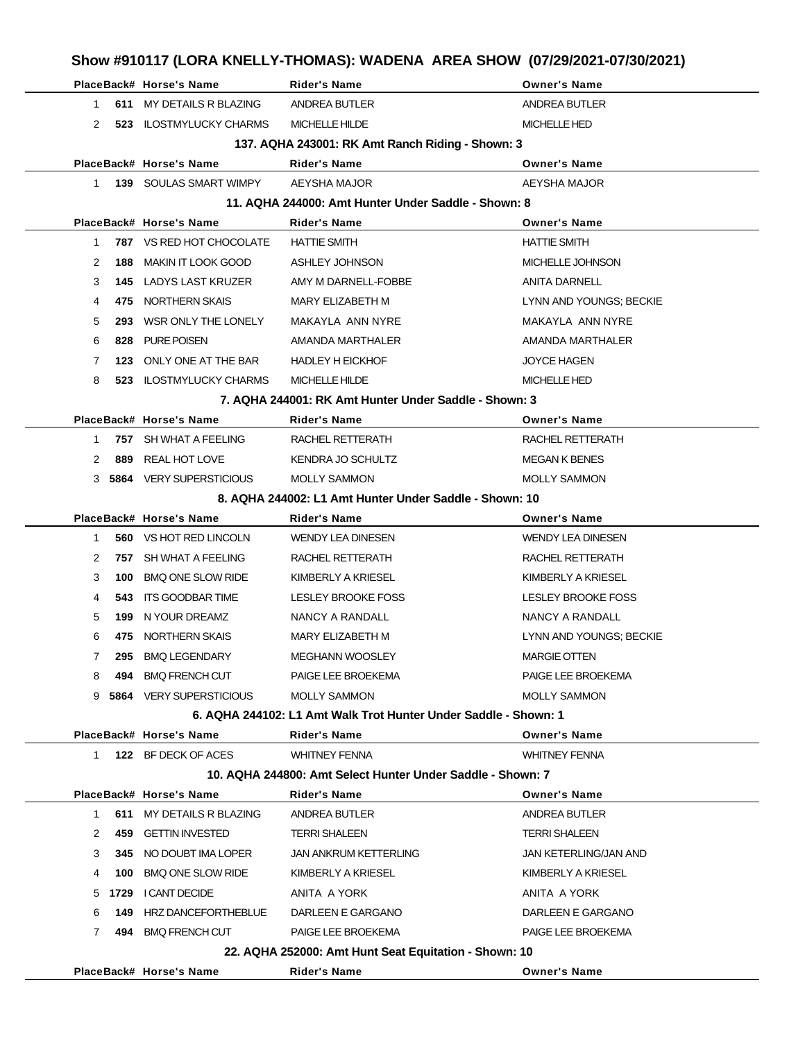|              |     |                                 | Show #910117 (LORA KNELLY-THOMAS): WADENA AREA SHOW (07/29/2021-07/30/2021) |                           |
|--------------|-----|---------------------------------|-----------------------------------------------------------------------------|---------------------------|
|              |     | PlaceBack# Horse's Name         | <b>Rider's Name</b>                                                         | <b>Owner's Name</b>       |
| 1            |     | 611 MY DETAILS R BLAZING        | ANDREA BUTLER                                                               | ANDREA BUTLER             |
| 2            |     | 523 ILOSTMYLUCKY CHARMS         | MICHELLE HILDE                                                              | <b>MICHELLE HED</b>       |
|              |     |                                 | 137. AQHA 243001: RK Amt Ranch Riding - Shown: 3                            |                           |
|              |     | PlaceBack# Horse's Name         | <b>Rider's Name</b>                                                         | <b>Owner's Name</b>       |
| $\mathbf{1}$ |     | <b>139 SOULAS SMART WIMPY</b>   | AEYSHA MAJOR                                                                | AEYSHA MAJOR              |
|              |     |                                 | 11. AQHA 244000: Amt Hunter Under Saddle - Shown: 8                         |                           |
|              |     | PlaceBack# Horse's Name         | Rider's Name                                                                | <b>Owner's Name</b>       |
| 1            |     | <b>787 VS RED HOT CHOCOLATE</b> | <b>HATTIE SMITH</b>                                                         | <b>HATTIE SMITH</b>       |
| 2            | 188 | MAKIN IT LOOK GOOD              | ASHLEY JOHNSON                                                              | MICHELLE JOHNSON          |
| 3            |     | <b>145 LADYS LAST KRUZER</b>    | AMY M DARNELL-FOBBE                                                         | <b>ANITA DARNELL</b>      |
| 4            | 475 | NORTHERN SKAIS                  | MARY ELIZABETH M                                                            | LYNN AND YOUNGS; BECKIE   |
| 5            | 293 | WSR ONLY THE LONELY             | MAKAYLA ANN NYRE                                                            | MAKAYLA ANN NYRE          |
| 6            | 828 | PURE POISEN                     | AMANDA MARTHALER                                                            | AMANDA MARTHALER          |
| 7            | 123 | ONLY ONE AT THE BAR             | <b>HADLEY H EICKHOF</b>                                                     | <b>JOYCE HAGEN</b>        |
| 8            |     | 523 ILOSTMYLUCKY CHARMS         | <b>MICHELLE HILDE</b>                                                       | <b>MICHELLE HED</b>       |
|              |     |                                 | 7. AQHA 244001: RK Amt Hunter Under Saddle - Shown: 3                       |                           |
|              |     | PlaceBack# Horse's Name         | Rider's Name                                                                | <b>Owner's Name</b>       |
| $\mathbf{1}$ |     | 757 SH WHAT A FEELING           | RACHEL RETTERATH                                                            | RACHEL RETTERATH          |
| 2            | 889 | REAL HOT LOVE                   | KENDRA JO SCHULTZ                                                           | <b>MEGAN K BENES</b>      |
|              |     | 3 5864 VERY SUPERSTICIOUS       | <b>MOLLY SAMMON</b>                                                         | <b>MOLLY SAMMON</b>       |
|              |     |                                 | 8. AQHA 244002: L1 Amt Hunter Under Saddle - Shown: 10                      |                           |
|              |     | PlaceBack# Horse's Name         | Rider's Name                                                                | <b>Owner's Name</b>       |
| 1            |     | <b>560 VS HOT RED LINCOLN</b>   | <b>WENDY LEA DINESEN</b>                                                    | <b>WENDY LEA DINESEN</b>  |
| 2            |     | 757 SH WHAT A FEELING           | RACHEL RETTERATH                                                            | RACHEL RETTERATH          |
| 3            | 100 | <b>BMQ ONE SLOW RIDE</b>        | KIMBERLY A KRIESEL                                                          | KIMBERLY A KRIESEL        |
| 4            | 543 | ITS GOODBAR TIME                | LESLEY BROOKE FOSS                                                          | <b>LESLEY BROOKE FOSS</b> |
| 5            | 199 | N YOUR DREAMZ                   | NANCY A RANDALL                                                             | NANCY A RANDALL           |
| 6            |     | 475 NORTHERN SKAIS              | MARY ELIZABETH M                                                            | LYNN AND YOUNGS; BECKIE   |
| 7            |     | 295 BMQ LEGENDARY               | <b>MEGHANN WOOSLEY</b>                                                      | <b>MARGIE OTTEN</b>       |
| 8            |     | 494 BMQ FRENCH CUT              | PAIGE LEE BROEKEMA                                                          | PAIGE LEE BROEKEMA        |
|              |     | 9 5864 VERY SUPERSTICIOUS       | <b>MOLLY SAMMON</b>                                                         | <b>MOLLY SAMMON</b>       |
|              |     |                                 | 6. AQHA 244102: L1 Amt Walk Trot Hunter Under Saddle - Shown: 1             |                           |
|              |     | PlaceBack# Horse's Name         | Rider's Name                                                                | <b>Owner's Name</b>       |
|              |     | 1 122 BF DECK OF ACES           | <b>WHITNEY FENNA</b>                                                        | <b>WHITNEY FENNA</b>      |
|              |     |                                 | 10. AQHA 244800: Amt Select Hunter Under Saddle - Shown: 7                  |                           |
|              |     | PlaceBack# Horse's Name         | Rider's Name                                                                | <b>Owner's Name</b>       |
| $\mathbf{1}$ |     | 611 MY DETAILS R BLAZING        | ANDREA BUTLER                                                               | ANDREA BUTLER             |
| 2            |     | 459 GETTIN INVESTED             | <b>TERRI SHALEEN</b>                                                        | <b>TERRI SHALEEN</b>      |
| 3            |     | 345 NO DOUBT IMA LOPER          | <b>JAN ANKRUM KETTERLING</b>                                                | JAN KETERLING/JAN AND     |
| 4            |     | 100 BMQ ONE SLOW RIDE           | KIMBERLY A KRIESEL                                                          | KIMBERLY A KRIESEL        |
|              |     | 5 1729 I CANT DECIDE            | ANITA A YORK                                                                | ANITA A YORK              |
| 6            |     | <b>149 HRZ DANCEFORTHEBLUE</b>  | DARLEEN E GARGANO                                                           | DARLEEN E GARGANO         |
| 7            |     | 494 BMQ FRENCH CUT              | PAIGE LEE BROEKEMA                                                          | PAIGE LEE BROEKEMA        |
|              |     |                                 | 22. AQHA 252000: Amt Hunt Seat Equitation - Shown: 10                       |                           |
|              |     | PlaceBack# Horse's Name         | Rider's Name                                                                | <b>Owner's Name</b>       |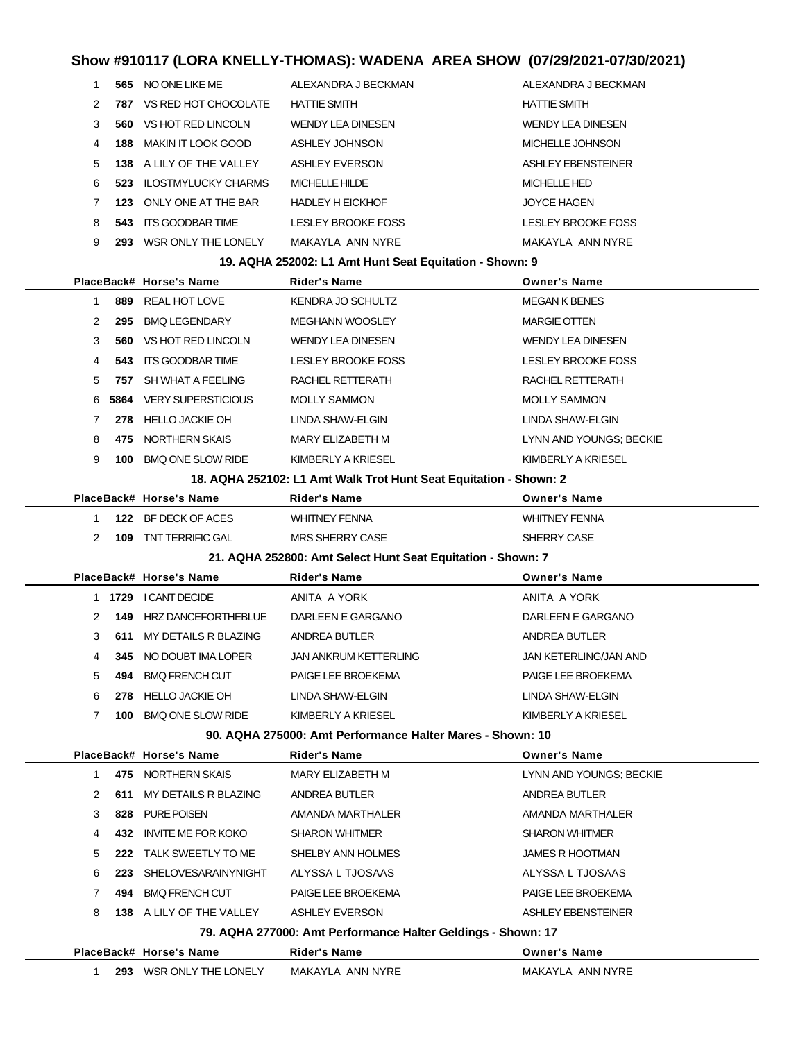|                |      |                            |                                                                   | SNOW #910117 (LURA NNELLT-I HUMAS): WADENA  AREA SHOW  (07729/2021-07730/2021) |
|----------------|------|----------------------------|-------------------------------------------------------------------|--------------------------------------------------------------------------------|
| 1              |      | 565 NO ONE LIKE ME         | ALEXANDRA J BECKMAN                                               | ALEXANDRA J BECKMAN                                                            |
| 2              | 787  | VS RED HOT CHOCOLATE       | <b>HATTIE SMITH</b>                                               | <b>HATTIE SMITH</b>                                                            |
| 3              | 560  | VS HOT RED LINCOLN         | <b>WENDY LEA DINESEN</b>                                          | <b>WENDY LEA DINESEN</b>                                                       |
| 4              | 188  | <b>MAKIN IT LOOK GOOD</b>  | <b>ASHLEY JOHNSON</b>                                             | MICHELLE JOHNSON                                                               |
| 5              |      | 138 A LILY OF THE VALLEY   | <b>ASHLEY EVERSON</b>                                             | ASHLEY EBENSTEINER                                                             |
| 6              | 523  | <b>ILOSTMYLUCKY CHARMS</b> | <b>MICHELLE HILDE</b>                                             | <b>MICHELLE HED</b>                                                            |
| 7              | 123  | ONLY ONE AT THE BAR        | <b>HADLEY H EICKHOF</b>                                           | <b>JOYCE HAGEN</b>                                                             |
| 8              | 543  | <b>ITS GOODBAR TIME</b>    | LESLEY BROOKE FOSS                                                | <b>LESLEY BROOKE FOSS</b>                                                      |
| 9              |      | 293 WSR ONLY THE LONELY    | MAKAYLA ANN NYRE                                                  | MAKAYLA ANN NYRE                                                               |
|                |      |                            | 19. AQHA 252002: L1 Amt Hunt Seat Equitation - Shown: 9           |                                                                                |
|                |      | PlaceBack# Horse's Name    | Rider's Name                                                      | <b>Owner's Name</b>                                                            |
| $\mathbf{1}$   | 889  | <b>REAL HOT LOVE</b>       | KENDRA JO SCHULTZ                                                 | <b>MEGAN K BENES</b>                                                           |
| 2              | 295  | <b>BMQ LEGENDARY</b>       | <b>MEGHANN WOOSLEY</b>                                            | <b>MARGIE OTTEN</b>                                                            |
| 3              | 560  | VS HOT RED LINCOLN         | <b>WENDY LEA DINESEN</b>                                          | <b>WENDY LEA DINESEN</b>                                                       |
| 4              | 543  | ITS GOODBAR TIME           | LESLEY BROOKE FOSS                                                | LESLEY BROOKE FOSS                                                             |
| 5              | 757  | SH WHAT A FEELING          | RACHEL RETTERATH                                                  | RACHEL RETTERATH                                                               |
| 6              | 5864 | <b>VERY SUPERSTICIOUS</b>  | <b>MOLLY SAMMON</b>                                               | <b>MOLLY SAMMON</b>                                                            |
| 7              | 278  | HELLO JACKIE OH            | LINDA SHAW-ELGIN                                                  | LINDA SHAW-ELGIN                                                               |
| 8              | 475  | NORTHERN SKAIS             | MARY ELIZABETH M                                                  | LYNN AND YOUNGS; BECKIE                                                        |
| 9              | 100  | <b>BMQ ONE SLOW RIDE</b>   | KIMBERLY A KRIESEL                                                | KIMBERLY A KRIESEL                                                             |
|                |      |                            | 18. AQHA 252102: L1 Amt Walk Trot Hunt Seat Equitation - Shown: 2 |                                                                                |
|                |      | PlaceBack# Horse's Name    | Rider's Name                                                      | <b>Owner's Name</b>                                                            |
| $\mathbf 1$    | 122  | BF DECK OF ACES            | <b>WHITNEY FENNA</b>                                              | <b>WHITNEY FENNA</b>                                                           |
| $\overline{2}$ | 109  | TNT TERRIFIC GAL           | <b>MRS SHERRY CASE</b>                                            | SHERRY CASE                                                                    |
|                |      |                            | 21. AQHA 252800: Amt Select Hunt Seat Equitation - Shown: 7       |                                                                                |
|                |      | PlaceBack# Horse's Name    | Rider's Name                                                      | <b>Owner's Name</b>                                                            |
|                | 1    | 1729 I CANT DECIDE         | ANITA A YORK                                                      | ANITA A YORK                                                                   |
| 2              | 149  | HRZ DANCEFORTHEBLUE        | DARLEEN E GARGANO                                                 | DARLEEN E GARGANO                                                              |
| 3              | 611  | MY DETAILS R BLAZING       | ANDREA BUTLER                                                     | ANDREA BUTLER                                                                  |
| 4              | 345  | NO DOUBT IMA LOPER         | <b>JAN ANKRUM KETTERLING</b>                                      | <b>JAN KETERLING/JAN AND</b>                                                   |
| 5              | 494  | <b>BMQ FRENCH CUT</b>      | PAIGE LEE BROEKEMA                                                | PAIGE LEE BROEKEMA                                                             |
| 6              |      | 278 HELLO JACKIE OH        | LINDA SHAW-ELGIN                                                  | LINDA SHAW-ELGIN                                                               |
| 7              |      | 100 BMQ ONE SLOW RIDE      | KIMBERLY A KRIESEL                                                | KIMBERLY A KRIESEL                                                             |
|                |      |                            | 90. AQHA 275000: Amt Performance Halter Mares - Shown: 10         |                                                                                |
|                |      | PlaceBack# Horse's Name    | Rider's Name                                                      | <b>Owner's Name</b>                                                            |
| $\mathbf{1}$   |      | 475 NORTHERN SKAIS         | MARY ELIZABETH M                                                  | LYNN AND YOUNGS; BECKIE                                                        |
| 2              | 611  | MY DETAILS R BLAZING       | ANDREA BUTLER                                                     | ANDREA BUTLER                                                                  |
| 3              | 828  | PURE POISEN                | AMANDA MARTHALER                                                  | AMANDA MARTHALER                                                               |
| 4              |      | 432 INVITE ME FOR KOKO     | <b>SHARON WHITMER</b>                                             | <b>SHARON WHITMER</b>                                                          |
| 5              |      | 222 TALK SWEETLY TO ME     | SHELBY ANN HOLMES                                                 | <b>JAMES R HOOTMAN</b>                                                         |
| 6              |      | 223 SHELOVESARAINYNIGHT    | ALYSSA L TJOSAAS                                                  | ALYSSA L TJOSAAS                                                               |
| 7              | 494  | <b>BMQ FRENCH CUT</b>      | PAIGE LEE BROEKEMA                                                | PAIGE LEE BROEKEMA                                                             |
| 8              |      | 138 A LILY OF THE VALLEY   | <b>ASHLEY EVERSON</b>                                             | ASHLEY EBENSTEINER                                                             |
|                |      |                            | 79. AQHA 277000: Amt Performance Halter Geldings - Shown: 17      |                                                                                |
|                |      | PlaceBack# Horse's Name    | <b>Rider's Name</b>                                               | <b>Owner's Name</b>                                                            |

| WSR ONLY THE LONELY<br>MAKAYLA<br>293<br>ANN NYRE | ANN NYRE<br>MAKAYLA |
|---------------------------------------------------|---------------------|
|---------------------------------------------------|---------------------|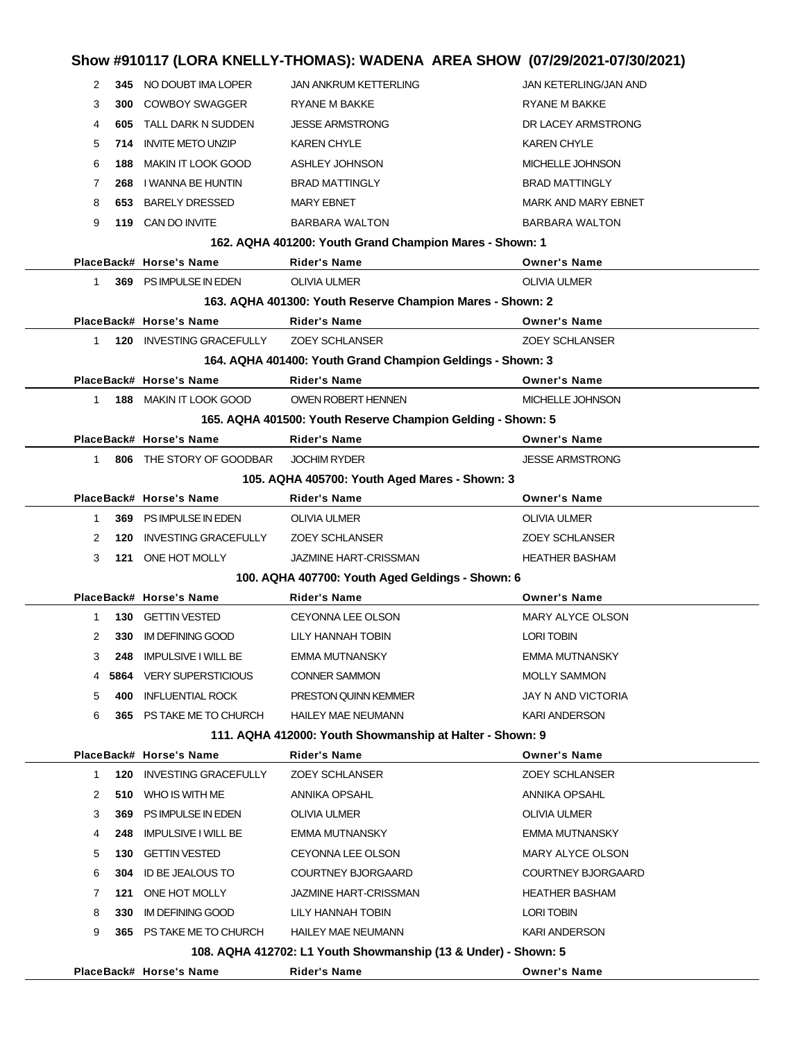## **Show #910117 (LORA KNELLY-THOMAS): WADENA AREA SHOW (07/29/2021-07/30/2021) 345** NO DOUBT IMA LOPER JAN ANKRUM KETTERLING JAN KETERLING/JAN AND **300 COWBOY SWAGGER RYANE M BAKKE RYANE M BAKKE 605** TALL DARK N SUDDEN JESSE ARMSTRONG DR LACEY ARMSTRONG **714** INVITE METO UNZIP KAREN CHYLE **KAREN CHYLE 188** MAKIN IT LOOK GOOD ASHLEY JOHNSON MICHELLE JOHNSON **268** I WANNA BE HUNTIN BRAD MATTINGLY BRAD MATTINGLY **653** BARELY DRESSED MARY EBNET MARY AND MARK AND MARY EBNET **119** CAN DO INVITE BARBARA WALTON BARBARA WALTON **162. AQHA 401200: Youth Grand Champion Mares - Shown: 1 PlaceBack# Horse's Name Rider's Name Owner's Name 369** PS IMPULSE IN EDEN OLIVIA ULMER OLIVIA ULMER **163. AQHA 401300: Youth Reserve Champion Mares - Shown: 2 PlaceBack# Horse's Name Rider's Name Owner's Name 120** INVESTING GRACEFULLY ZOEY SCHLANSER ZOEY SCHLANSER **164. AQHA 401400: Youth Grand Champion Geldings - Shown: 3 PlaceBack# Horse's Name Rider's Name Owner's Name 188** MAKIN IT LOOK GOOD OWEN ROBERT HENNEN MICHELLE JOHNSON **165. AQHA 401500: Youth Reserve Champion Gelding - Shown: 5 PlaceBack# Horse's Name Rider's Name Owner's Name 806** THE STORY OF GOODBAR JOCHIM RYDER **STATE AREA STATES ARMSTRONG 105. AQHA 405700: Youth Aged Mares - Shown: 3 PlaceBack# Horse's Name Rider's Name Owner's Name 369** PS IMPULSE IN EDEN OLIVIA ULMER OLIVIA ULMER **120** INVESTING GRACEFULLY ZOEY SCHLANSER ZOEY SCHLANSER **121** ONE HOT MOLLY **SAMINE HART-CRISSMAN** HEATHER BASHAM **100. AQHA 407700: Youth Aged Geldings - Shown: 6 PlaceBack# Horse's Name Rider's Name Owner's Name 130** GETTIN VESTED CEYONNA LEE OLSON MARY ALYCE OLSON **330** IM DEFINING GOOD LILY HANNAH TOBIN LORI TOBIN **248** IMPULSIVE I WILL BE EMMA MUTNANSKY EMMA MUTNANSKY **5864** VERY SUPERSTICIOUS CONNER SAMMON MOLLY SAMMON **400** INFLUENTIAL ROCK PRESTON QUINN KEMMER JAY N AND VICTORIA **365** PS TAKE ME TO CHURCH HAILEY MAE NEUMANN KARI ANDERSON **111. AQHA 412000: Youth Showmanship at Halter - Shown: 9 PlaceBack# Horse's Name Rider's Name Owner's Name 120** INVESTING GRACEFULLY ZOEY SCHLANSER ZOEY SCHLANSER **510** WHO IS WITH ME ANNIKA OPSAHL AND ANNIKA OPSAHL **369** PS IMPULSE IN EDEN OLIVIA ULMER OLIVIA ULMER **248** IMPULSIVE I WILL BE EMMA MUTNANSKY EMMA MUTNANSKY **130** GETTIN VESTED CEYONNA LEE OLSON MARY ALYCE OLSON **304** ID BE JEALOUS TO COURTNEY BJORGAARD COURTNEY BJORGAARD **121 ONE HOT MOLLY JAZMINE HART-CRISSMAN HEATHER BASHAM 330** IM DEFINING GOOD LILY HANNAH TOBIN LORI TOBIN LORI TOBIN **365** PS TAKE ME TO CHURCH HAILEY MAE NEUMANN KARI ANDERSON **108. AQHA 412702: L1 Youth Showmanship (13 & Under) - Shown: 5 PlaceBack# Horse's Name Rider's Name Owner's Name**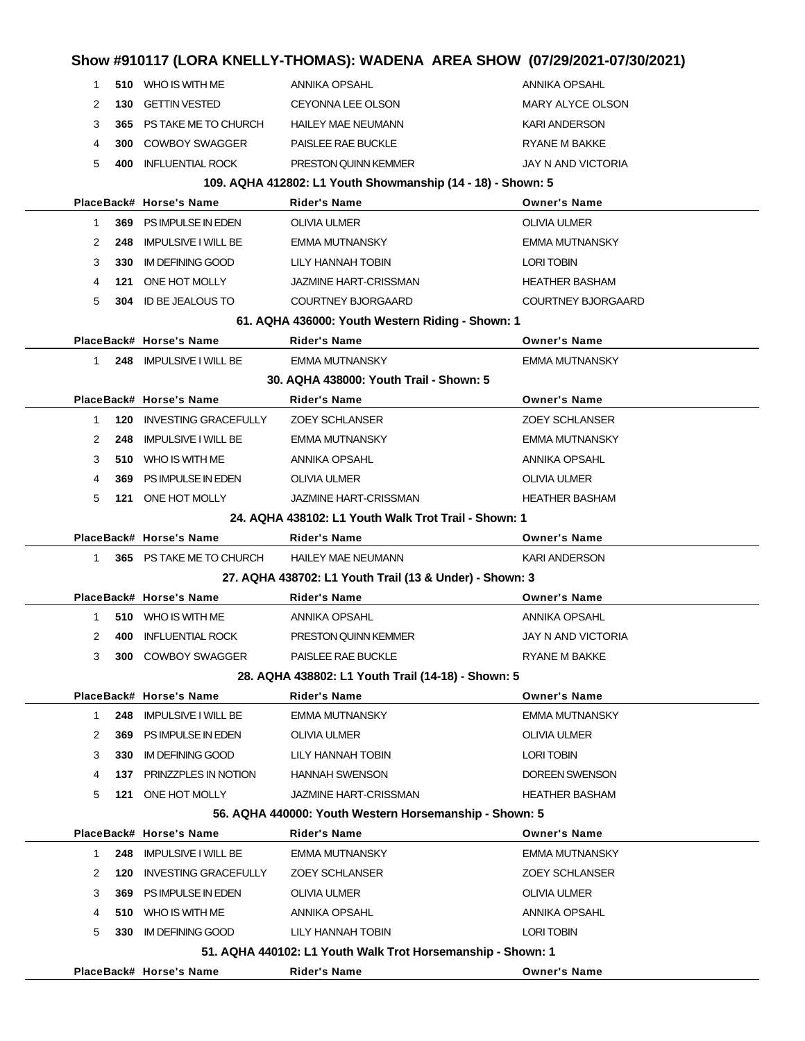|              |     |                             |                                                             | Show #910117 (LORA KNELLY-THOMAS): WADENA AREA SHOW (07/29/2021-07/30/2021) |
|--------------|-----|-----------------------------|-------------------------------------------------------------|-----------------------------------------------------------------------------|
| $\mathbf{1}$ |     | 510 WHO IS WITH ME          | ANNIKA OPSAHL                                               | ANNIKA OPSAHL                                                               |
| 2            | 130 | <b>GETTIN VESTED</b>        | <b>CEYONNA LEE OLSON</b>                                    | <b>MARY ALYCE OLSON</b>                                                     |
| 3            |     | 365 PS TAKE ME TO CHURCH    | <b>HAILEY MAE NEUMANN</b>                                   | <b>KARI ANDERSON</b>                                                        |
| 4            |     | <b>300 COWBOY SWAGGER</b>   | PAISLEE RAE BUCKLE                                          | RYANE M BAKKE                                                               |
| 5            | 400 | <b>INFLUENTIAL ROCK</b>     | PRESTON QUINN KEMMER                                        | JAY N AND VICTORIA                                                          |
|              |     |                             | 109. AQHA 412802: L1 Youth Showmanship (14 - 18) - Shown: 5 |                                                                             |
|              |     | PlaceBack# Horse's Name     | <b>Rider's Name</b>                                         | <b>Owner's Name</b>                                                         |
| 1            |     | 369 PS IMPULSE IN EDEN      | <b>OLIVIA ULMER</b>                                         | <b>OLIVIA ULMER</b>                                                         |
| 2            | 248 | <b>IMPULSIVE I WILL BE</b>  | <b>EMMA MUTNANSKY</b>                                       | <b>EMMA MUTNANSKY</b>                                                       |
| 3            | 330 | <b>IM DEFINING GOOD</b>     | LILY HANNAH TOBIN                                           | LORI TOBIN                                                                  |
| 4            |     | 121 ONE HOT MOLLY           | <b>JAZMINE HART-CRISSMAN</b>                                | <b>HEATHER BASHAM</b>                                                       |
| 5            |     | 304 ID BE JEALOUS TO        | <b>COURTNEY BJORGAARD</b>                                   | <b>COURTNEY BJORGAARD</b>                                                   |
|              |     |                             | 61. AQHA 436000: Youth Western Riding - Shown: 1            |                                                                             |
|              |     | PlaceBack# Horse's Name     | Rider's Name                                                | <b>Owner's Name</b>                                                         |
| $\mathbf{1}$ |     | 248 IMPULSIVE I WILL BE     | <b>EMMA MUTNANSKY</b>                                       | <b>EMMA MUTNANSKY</b>                                                       |
|              |     |                             | 30. AQHA 438000: Youth Trail - Shown: 5                     |                                                                             |
|              |     | PlaceBack# Horse's Name     | Rider's Name                                                | <b>Owner's Name</b>                                                         |
| 1            | 120 | INVESTING GRACEFULLY        | <b>ZOEY SCHLANSER</b>                                       | <b>ZOEY SCHLANSER</b>                                                       |
| 2            | 248 | <b>IMPULSIVE I WILL BE</b>  | <b>EMMA MUTNANSKY</b>                                       | <b>EMMA MUTNANSKY</b>                                                       |
| 3            |     | 510 WHO IS WITH ME          | ANNIKA OPSAHL                                               | ANNIKA OPSAHL                                                               |
| 4            | 369 | PS IMPULSE IN EDEN          | <b>OLIVIA ULMER</b>                                         | <b>OLIVIA ULMER</b>                                                         |
| 5            |     | 121 ONE HOT MOLLY           | <b>JAZMINE HART-CRISSMAN</b>                                | <b>HEATHER BASHAM</b>                                                       |
|              |     |                             | 24. AQHA 438102: L1 Youth Walk Trot Trail - Shown: 1        |                                                                             |
|              |     | PlaceBack# Horse's Name     | Rider's Name                                                | <b>Owner's Name</b>                                                         |
| $\mathbf{1}$ |     | 365 PS TAKE ME TO CHURCH    | <b>HAILEY MAE NEUMANN</b>                                   | <b>KARI ANDERSON</b>                                                        |
|              |     |                             | 27. AQHA 438702: L1 Youth Trail (13 & Under) - Shown: 3     |                                                                             |
|              |     | PlaceBack# Horse's Name     | <b>Rider's Name</b>                                         | <b>Owner's Name</b>                                                         |
| 1            |     | 510 WHO IS WITH ME          | ANNIKA OPSAHL                                               | <b>ANNIKA OPSAHL</b>                                                        |
| 2            | 400 | <b>INFLUENTIAL ROCK</b>     | PRESTON QUINN KEMMER                                        | JAY N AND VICTORIA                                                          |
| 3            |     | 300 COWBOY SWAGGER          | PAISLEE RAE BUCKLE                                          | RYANE M BAKKE                                                               |
|              |     |                             | 28. AQHA 438802: L1 Youth Trail (14-18) - Shown: 5          |                                                                             |
|              |     | PlaceBack# Horse's Name     | <b>Rider's Name</b>                                         | <b>Owner's Name</b>                                                         |
| $\mathbf{1}$ | 248 | <b>IMPULSIVE I WILL BE</b>  | <b>EMMA MUTNANSKY</b>                                       | <b>EMMA MUTNANSKY</b>                                                       |
| 2            | 369 | PS IMPULSE IN EDEN          | OLIVIA ULMER                                                | <b>OLIVIA ULMER</b>                                                         |
| 3            | 330 | <b>IM DEFINING GOOD</b>     | LILY HANNAH TOBIN                                           | LORI TOBIN                                                                  |
| 4            |     | 137 PRINZZPLES IN NOTION    | <b>HANNAH SWENSON</b>                                       | DOREEN SWENSON                                                              |
| 5            |     | 121 ONE HOT MOLLY           | <b>JAZMINE HART-CRISSMAN</b>                                | <b>HEATHER BASHAM</b>                                                       |
|              |     |                             | 56. AQHA 440000: Youth Western Horsemanship - Shown: 5      |                                                                             |
|              |     | PlaceBack# Horse's Name     | Rider's Name                                                | <b>Owner's Name</b>                                                         |
| 1            | 248 | <b>IMPULSIVE I WILL BE</b>  | <b>EMMA MUTNANSKY</b>                                       | EMMA MUTNANSKY                                                              |
| 2            | 120 | <b>INVESTING GRACEFULLY</b> | <b>ZOEY SCHLANSER</b>                                       | <b>ZOEY SCHLANSER</b>                                                       |
| 3            | 369 | PS IMPULSE IN EDEN          | OLIVIA ULMER                                                | <b>OLIVIA ULMER</b>                                                         |
| 4            |     | 510 WHO IS WITH ME          | ANNIKA OPSAHL                                               | ANNIKA OPSAHL                                                               |
| 5            | 330 | IM DEFINING GOOD            | LILY HANNAH TOBIN                                           | LORI TOBIN                                                                  |
|              |     |                             | 51. AQHA 440102: L1 Youth Walk Trot Horsemanship - Shown: 1 |                                                                             |
|              |     | PlaceBack# Horse's Name     | Rider's Name                                                | <b>Owner's Name</b>                                                         |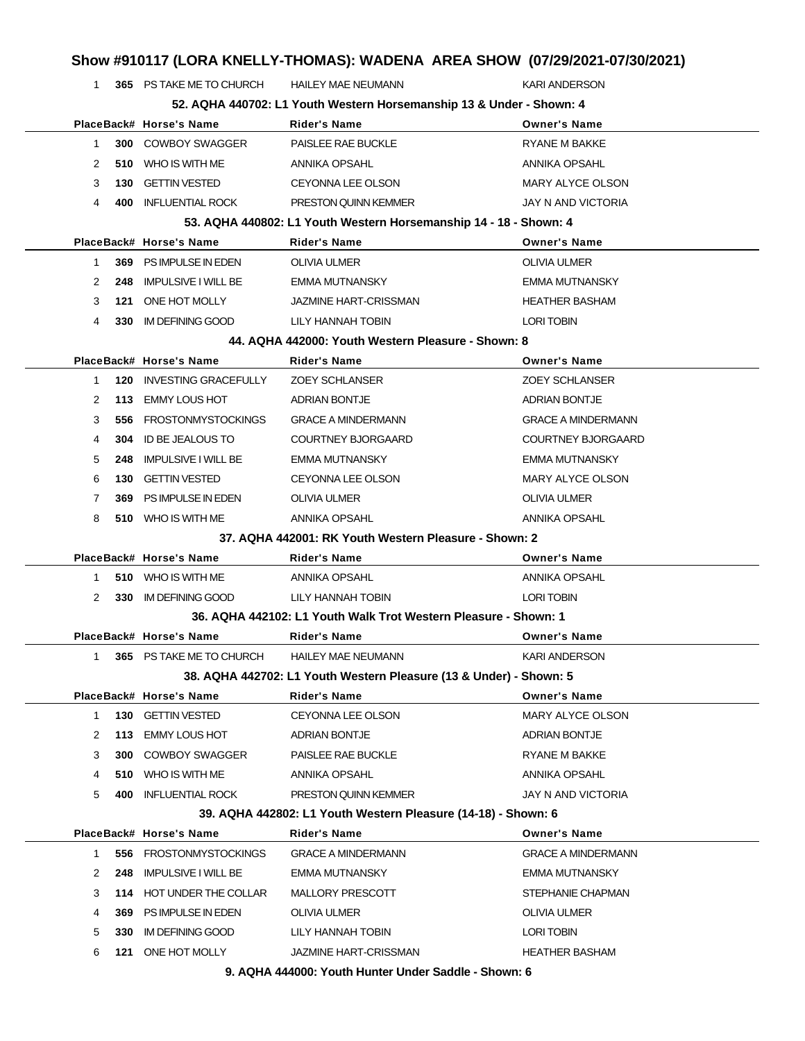|              | 1   | 365 PS TAKE ME TO CHURCH    | <b>HAILEY MAE NEUMANN</b>                                            | <b>KARI ANDERSON</b>      |
|--------------|-----|-----------------------------|----------------------------------------------------------------------|---------------------------|
|              |     |                             | 52. AQHA 440702: L1 Youth Western Horsemanship 13 & Under - Shown: 4 |                           |
|              |     | PlaceBack# Horse's Name     | <b>Rider's Name</b>                                                  | <b>Owner's Name</b>       |
| 1.           |     | <b>300 COWBOY SWAGGER</b>   | PAISLEE RAE BUCKLE                                                   | <b>RYANE M BAKKE</b>      |
| 2            | 510 | WHO IS WITH ME              | ANNIKA OPSAHL                                                        | ANNIKA OPSAHL             |
| 3            | 130 | <b>GETTIN VESTED</b>        | <b>CEYONNA LEE OLSON</b>                                             | MARY ALYCE OLSON          |
| 4            | 400 | <b>INFLUENTIAL ROCK</b>     | PRESTON QUINN KEMMER                                                 | <b>JAY N AND VICTORIA</b> |
|              |     |                             | 53. AQHA 440802: L1 Youth Western Horsemanship 14 - 18 - Shown: 4    |                           |
|              |     | PlaceBack# Horse's Name     | <b>Rider's Name</b>                                                  | <b>Owner's Name</b>       |
| 1.           | 369 | PS IMPULSE IN EDEN          | OLIVIA ULMER                                                         | OLIVIA ULMER              |
| 2            | 248 | <b>IMPULSIVE I WILL BE</b>  | <b>EMMA MUTNANSKY</b>                                                | <b>EMMA MUTNANSKY</b>     |
| 3            | 121 | ONE HOT MOLLY               | <b>JAZMINE HART-CRISSMAN</b>                                         | <b>HEATHER BASHAM</b>     |
| 4            | 330 | IM DEFINING GOOD            | LILY HANNAH TOBIN                                                    | <b>LORI TOBIN</b>         |
|              |     |                             | 44. AQHA 442000: Youth Western Pleasure - Shown: 8                   |                           |
|              |     | PlaceBack# Horse's Name     | <b>Rider's Name</b>                                                  | <b>Owner's Name</b>       |
| 1            | 120 | <b>INVESTING GRACEFULLY</b> | <b>ZOEY SCHLANSER</b>                                                | <b>ZOEY SCHLANSER</b>     |
| 2            | 113 | <b>EMMY LOUS HOT</b>        | <b>ADRIAN BONTJE</b>                                                 | <b>ADRIAN BONTJE</b>      |
| 3            | 556 | <b>FROSTONMYSTOCKINGS</b>   | <b>GRACE A MINDERMANN</b>                                            | <b>GRACE A MINDERMANN</b> |
| 4            | 304 | ID BE JEALOUS TO            | <b>COURTNEY BJORGAARD</b>                                            | <b>COURTNEY BJORGAARD</b> |
| 5            | 248 | <b>IMPULSIVE I WILL BE</b>  | EMMA MUTNANSKY                                                       | EMMA MUTNANSKY            |
| 6            | 130 | <b>GETTIN VESTED</b>        | <b>CEYONNA LEE OLSON</b>                                             | MARY ALYCE OLSON          |
| 7            | 369 | PS IMPULSE IN EDEN          | <b>OLIVIA ULMER</b>                                                  | OLIVIA ULMER              |
| 8            |     | 510 WHO IS WITH ME          | ANNIKA OPSAHL                                                        | ANNIKA OPSAHL             |
|              |     |                             | 37. AQHA 442001: RK Youth Western Pleasure - Shown: 2                |                           |
|              |     | PlaceBack# Horse's Name     | Rider's Name                                                         | <b>Owner's Name</b>       |
| 1.           |     | 510 WHO IS WITH ME          | ANNIKA OPSAHL                                                        | ANNIKA OPSAHL             |
| 2            | 330 | IM DEFINING GOOD            | LILY HANNAH TOBIN                                                    | <b>LORI TOBIN</b>         |
|              |     |                             | 36. AQHA 442102: L1 Youth Walk Trot Western Pleasure - Shown: 1      |                           |
|              |     | PlaceBack# Horse's Name     | <b>Rider's Name</b>                                                  | <b>Owner's Name</b>       |
| 1            |     | 365 PS TAKE ME TO CHURCH    | <b>HAILEY MAE NEUMANN</b>                                            | <b>KARI ANDERSON</b>      |
|              |     |                             | 38. AQHA 442702: L1 Youth Western Pleasure (13 & Under) - Shown: 5   |                           |
|              |     | PlaceBack# Horse's Name     | <b>Rider's Name</b>                                                  | <b>Owner's Name</b>       |
|              |     |                             |                                                                      |                           |
| $\mathbf{1}$ | 130 | <b>GETTIN VESTED</b>        | CEYONNA LEE OLSON                                                    | <b>MARY ALYCE OLSON</b>   |
| 2            | 113 | <b>EMMY LOUS HOT</b>        | ADRIAN BONTJE                                                        | ADRIAN BONTJE             |
| 3            | 300 | <b>COWBOY SWAGGER</b>       | PAISLEE RAE BUCKLE                                                   | RYANE M BAKKE             |
| 4            |     | 510 WHO IS WITH ME          | ANNIKA OPSAHL                                                        | ANNIKA OPSAHL             |
| 5            | 400 | <b>INFLUENTIAL ROCK</b>     | PRESTON QUINN KEMMER                                                 | JAY N AND VICTORIA        |
|              |     |                             | 39. AQHA 442802: L1 Youth Western Pleasure (14-18) - Shown: 6        |                           |
|              |     | PlaceBack# Horse's Name     | <b>Rider's Name</b>                                                  | <b>Owner's Name</b>       |
| 1.           |     | 556 FROSTONMYSTOCKINGS      | <b>GRACE A MINDERMANN</b>                                            | <b>GRACE A MINDERMANN</b> |
| 2            | 248 | <b>IMPULSIVE I WILL BE</b>  | <b>EMMA MUTNANSKY</b>                                                | EMMA MUTNANSKY            |
| 3            |     | 114 HOT UNDER THE COLLAR    | MALLORY PRESCOTT                                                     | STEPHANIE CHAPMAN         |
| 4            | 369 | PS IMPULSE IN EDEN          | OLIVIA ULMER                                                         | OLIVIA ULMER              |
| 5            | 330 | IM DEFINING GOOD            | LILY HANNAH TOBIN                                                    | LORI TOBIN                |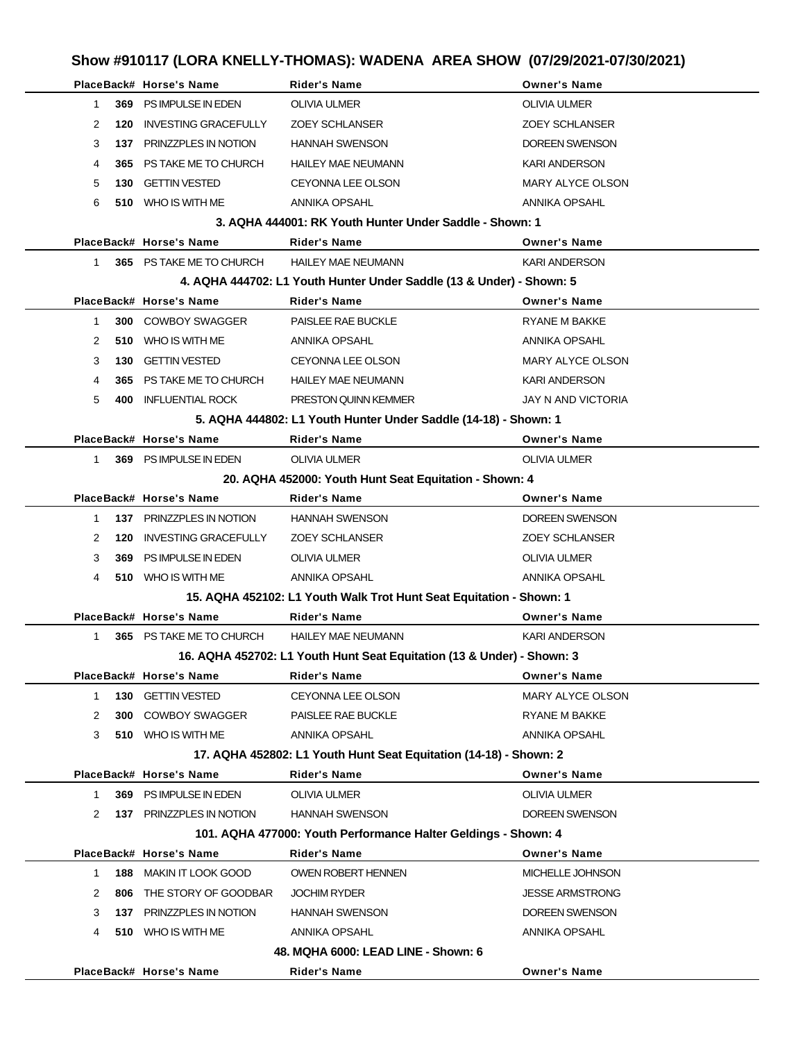|              |     | PlaceBack# Horse's Name     | <b>Rider's Name</b>                                                    | <b>Owner's Name</b>     |
|--------------|-----|-----------------------------|------------------------------------------------------------------------|-------------------------|
| 1            | 369 | PS IMPULSE IN EDEN          | OLIVIA ULMER                                                           | <b>OLIVIA ULMER</b>     |
| 2            | 120 | <b>INVESTING GRACEFULLY</b> | <b>ZOEY SCHLANSER</b>                                                  | <b>ZOEY SCHLANSER</b>   |
| 3            |     | 137 PRINZZPLES IN NOTION    | <b>HANNAH SWENSON</b>                                                  | DOREEN SWENSON          |
| 4            | 365 | PS TAKE ME TO CHURCH        | <b>HAILEY MAE NEUMANN</b>                                              | <b>KARI ANDERSON</b>    |
| 5            | 130 | <b>GETTIN VESTED</b>        | CEYONNA LEE OLSON                                                      | <b>MARY ALYCE OLSON</b> |
| 6            |     | 510 WHO IS WITH ME          | <b>ANNIKA OPSAHL</b>                                                   | <b>ANNIKA OPSAHL</b>    |
|              |     |                             | 3. AQHA 444001: RK Youth Hunter Under Saddle - Shown: 1                |                         |
|              |     | PlaceBack# Horse's Name     | <b>Rider's Name</b>                                                    | <b>Owner's Name</b>     |
| $\mathbf{1}$ |     | 365 PS TAKE ME TO CHURCH    | <b>HAILEY MAE NEUMANN</b>                                              | <b>KARI ANDERSON</b>    |
|              |     |                             | 4. AQHA 444702: L1 Youth Hunter Under Saddle (13 & Under) - Shown: 5   |                         |
|              |     | PlaceBack# Horse's Name     | <b>Rider's Name</b>                                                    | <b>Owner's Name</b>     |
| 1.           |     | <b>300 COWBOY SWAGGER</b>   | PAISLEE RAE BUCKLE                                                     | <b>RYANE M BAKKE</b>    |
| 2            | 510 | WHO IS WITH ME              | ANNIKA OPSAHL                                                          | ANNIKA OPSAHL           |
| 3            | 130 | <b>GETTIN VESTED</b>        | CEYONNA LEE OLSON                                                      | MARY ALYCE OLSON        |
| 4            | 365 | PS TAKE ME TO CHURCH        | <b>HAILEY MAE NEUMANN</b>                                              | <b>KARI ANDERSON</b>    |
| 5            | 400 | <b>INFLUENTIAL ROCK</b>     | <b>PRESTON QUINN KEMMER</b>                                            | JAY N AND VICTORIA      |
|              |     |                             | 5. AQHA 444802: L1 Youth Hunter Under Saddle (14-18) - Shown: 1        |                         |
|              |     | PlaceBack# Horse's Name     | <b>Rider's Name</b>                                                    | <b>Owner's Name</b>     |
| 1            |     | 369 PS IMPULSE IN EDEN      | OLIVIA ULMER                                                           | <b>OLIVIA ULMER</b>     |
|              |     |                             | 20. AQHA 452000: Youth Hunt Seat Equitation - Shown: 4                 |                         |
|              |     | PlaceBack# Horse's Name     | <b>Rider's Name</b>                                                    | <b>Owner's Name</b>     |
| 1            |     | 137 PRINZZPLES IN NOTION    | <b>HANNAH SWENSON</b>                                                  | <b>DOREEN SWENSON</b>   |
| 2            | 120 | <b>INVESTING GRACEFULLY</b> | <b>ZOEY SCHLANSER</b>                                                  | <b>ZOEY SCHLANSER</b>   |
| 3            | 369 | PS IMPULSE IN EDEN          | OLIVIA ULMER                                                           | OLIVIA ULMER            |
| 4            |     | 510 WHO IS WITH ME          | ANNIKA OPSAHL                                                          | <b>ANNIKA OPSAHL</b>    |
|              |     |                             | 15. AQHA 452102: L1 Youth Walk Trot Hunt Seat Equitation - Shown: 1    |                         |
|              |     | PlaceBack# Horse's Name     | <b>Rider's Name</b>                                                    | <b>Owner's Name</b>     |
| $\mathbf{1}$ |     | 365 PS TAKE ME TO CHURCH    | <b>HAILEY MAE NEUMANN</b>                                              | <b>KARI ANDERSON</b>    |
|              |     |                             | 16. AQHA 452702: L1 Youth Hunt Seat Equitation (13 & Under) - Shown: 3 |                         |
|              |     | PlaceBack# Horse's Name     | Rider's Name                                                           | <b>Owner's Name</b>     |
| 1.           |     | 130 GETTIN VESTED           | <b>CEYONNA LEE OLSON</b>                                               | <b>MARY ALYCE OLSON</b> |
| 2            |     | <b>300 COWBOY SWAGGER</b>   | PAISLEE RAE BUCKLE                                                     | <b>RYANE M BAKKE</b>    |
| 3            |     | 510 WHO IS WITH ME          | ANNIKA OPSAHL                                                          | ANNIKA OPSAHL           |
|              |     |                             | 17. AQHA 452802: L1 Youth Hunt Seat Equitation (14-18) - Shown: 2      |                         |
|              |     | PlaceBack# Horse's Name     | <b>Rider's Name</b>                                                    | <b>Owner's Name</b>     |
| 1.           |     | 369 PS IMPULSE IN EDEN      | OLIVIA ULMER                                                           | <b>OLIVIA ULMER</b>     |
| 2            |     | 137 PRINZZPLES IN NOTION    | HANNAH SWENSON                                                         | DOREEN SWENSON          |
|              |     |                             | 101. AQHA 477000: Youth Performance Halter Geldings - Shown: 4         |                         |
|              |     | PlaceBack# Horse's Name     | <b>Rider's Name</b>                                                    | <b>Owner's Name</b>     |
| 1            |     | 188 MAKIN IT LOOK GOOD      | OWEN ROBERT HENNEN                                                     | MICHELLE JOHNSON        |
| 2            | 806 | THE STORY OF GOODBAR        | <b>JOCHIM RYDER</b>                                                    | <b>JESSE ARMSTRONG</b>  |
| 3            |     | 137 PRINZZPLES IN NOTION    | <b>HANNAH SWENSON</b>                                                  | DOREEN SWENSON          |
| 4            |     | 510 WHO IS WITH ME          | ANNIKA OPSAHL                                                          | ANNIKA OPSAHL           |
|              |     |                             | 48. MQHA 6000: LEAD LINE - Shown: 6                                    |                         |
|              |     | PlaceBack# Horse's Name     | Rider's Name                                                           | <b>Owner's Name</b>     |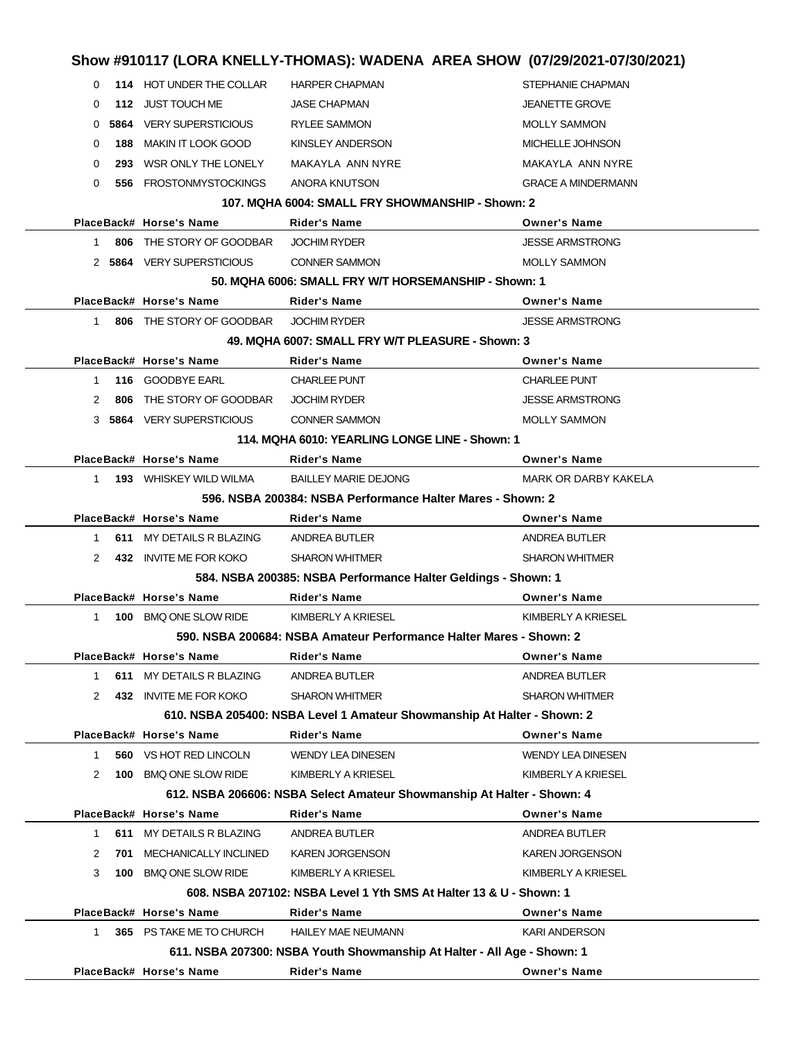|              |     |                                | Show #910117 (LORA KNELLY-THOMAS): WADENA AREA SHOW (07/29/2021-07/30/2021) |                             |
|--------------|-----|--------------------------------|-----------------------------------------------------------------------------|-----------------------------|
| 0            |     | 114 HOT UNDER THE COLLAR       | <b>HARPER CHAPMAN</b>                                                       | STEPHANIE CHAPMAN           |
| 0            |     | 112 JUST TOUCH ME              | <b>JASE CHAPMAN</b>                                                         | <b>JEANETTE GROVE</b>       |
| 0            |     | <b>5864</b> VERY SUPERSTICIOUS | <b>RYLEE SAMMON</b>                                                         | <b>MOLLY SAMMON</b>         |
| 0            | 188 | MAKIN IT LOOK GOOD             | KINSLEY ANDERSON                                                            | MICHELLE JOHNSON            |
| 0            |     | 293 WSR ONLY THE LONELY        | MAKAYLA ANN NYRE                                                            | MAKAYLA ANN NYRE            |
| 0            |     | 556 FROSTONMYSTOCKINGS         | ANORA KNUTSON                                                               | <b>GRACE A MINDERMANN</b>   |
|              |     |                                | 107. MQHA 6004: SMALL FRY SHOWMANSHIP - Shown: 2                            |                             |
|              |     | PlaceBack# Horse's Name        | Rider's Name                                                                | <b>Owner's Name</b>         |
| $\mathbf{1}$ |     | 806 THE STORY OF GOODBAR       | <b>JOCHIM RYDER</b>                                                         | <b>JESSE ARMSTRONG</b>      |
|              |     | 2 5864 VERY SUPERSTICIOUS      | <b>CONNER SAMMON</b>                                                        | <b>MOLLY SAMMON</b>         |
|              |     |                                | 50. MQHA 6006: SMALL FRY W/T HORSEMANSHIP - Shown: 1                        |                             |
|              |     | PlaceBack# Horse's Name        | Rider's Name                                                                | <b>Owner's Name</b>         |
| 1            |     | 806 THE STORY OF GOODBAR       | <b>JOCHIM RYDER</b>                                                         | <b>JESSE ARMSTRONG</b>      |
|              |     |                                | 49. MQHA 6007: SMALL FRY W/T PLEASURE - Shown: 3                            |                             |
|              |     | PlaceBack# Horse's Name        | <b>Rider's Name</b>                                                         | <b>Owner's Name</b>         |
| 1            |     | 116 GOODBYE EARL               | <b>CHARLEE PUNT</b>                                                         | <b>CHARLEE PUNT</b>         |
| 2            | 806 | THE STORY OF GOODBAR           | <b>JOCHIM RYDER</b>                                                         | <b>JESSE ARMSTRONG</b>      |
|              |     | 3 5864 VERY SUPERSTICIOUS      | <b>CONNER SAMMON</b>                                                        | <b>MOLLY SAMMON</b>         |
|              |     |                                | 114, MQHA 6010: YEARLING LONGE LINE - Shown: 1                              |                             |
|              |     | PlaceBack# Horse's Name        | Rider's Name                                                                | <b>Owner's Name</b>         |
| $1 \quad$    |     | <b>193</b> WHISKEY WILD WILMA  | <b>BAILLEY MARIE DEJONG</b>                                                 | <b>MARK OR DARBY KAKELA</b> |
|              |     |                                | 596, NSBA 200384: NSBA Performance Halter Mares - Shown: 2                  |                             |
|              |     | PlaceBack# Horse's Name        | <b>Rider's Name</b>                                                         | <b>Owner's Name</b>         |
| 1            |     | 611 MY DETAILS R BLAZING       | ANDREA BUTLER                                                               | ANDREA BUTLER               |
| 2            |     | 432 INVITE ME FOR KOKO         | <b>SHARON WHITMER</b>                                                       | <b>SHARON WHITMER</b>       |
|              |     |                                | 584. NSBA 200385: NSBA Performance Halter Geldings - Shown: 1               |                             |
|              |     | PlaceBack# Horse's Name        | <b>Rider's Name</b>                                                         | <b>Owner's Name</b>         |
| $\mathbf{1}$ |     | 100 BMQ ONE SLOW RIDE          | KIMBERLY A KRIESEL                                                          | KIMBERLY A KRIESEL          |
|              |     |                                | 590, NSBA 200684: NSBA Amateur Performance Halter Mares - Shown: 2          |                             |
|              |     | PlaceBack# Horse's Name        | <b>Rider's Name</b>                                                         | <b>Owner's Name</b>         |
| 1.           | 611 | MY DETAILS R BLAZING           | ANDREA BUTLER                                                               | <b>ANDREA BUTLER</b>        |
| 2            |     | 432 INVITE ME FOR KOKO         | <b>SHARON WHITMER</b>                                                       | <b>SHARON WHITMER</b>       |
|              |     |                                | 610. NSBA 205400: NSBA Level 1 Amateur Showmanship At Halter - Shown: 2     |                             |
|              |     | PlaceBack# Horse's Name        | <b>Rider's Name</b>                                                         | <b>Owner's Name</b>         |
| 1            |     | 560 VS HOT RED LINCOLN         | <b>WENDY LEA DINESEN</b>                                                    | <b>WENDY LEA DINESEN</b>    |
| 2            |     | 100 BMQ ONE SLOW RIDE          | KIMBERLY A KRIESEL                                                          | KIMBERLY A KRIESEL          |
|              |     |                                | 612. NSBA 206606: NSBA Select Amateur Showmanship At Halter - Shown: 4      |                             |
|              |     | PlaceBack# Horse's Name        | <b>Rider's Name</b>                                                         | <b>Owner's Name</b>         |
| 1            | 611 | MY DETAILS R BLAZING           | ANDREA BUTLER                                                               | <b>ANDREA BUTLER</b>        |
| 2            | 701 | MECHANICALLY INCLINED          | <b>KAREN JORGENSON</b>                                                      | <b>KAREN JORGENSON</b>      |
| 3            |     | 100 BMQ ONE SLOW RIDE          | KIMBERLY A KRIESEL                                                          | KIMBERLY A KRIESEL          |
|              |     |                                | 608. NSBA 207102: NSBA Level 1 Yth SMS At Halter 13 & U - Shown: 1          |                             |
|              |     | PlaceBack# Horse's Name        | Rider's Name                                                                | <b>Owner's Name</b>         |
| 1            |     | 365 PS TAKE ME TO CHURCH       | <b>HAILEY MAE NEUMANN</b>                                                   | <b>KARI ANDERSON</b>        |
|              |     |                                | 611. NSBA 207300: NSBA Youth Showmanship At Halter - All Age - Shown: 1     |                             |
|              |     | PlaceBack# Horse's Name        | Rider's Name                                                                | <b>Owner's Name</b>         |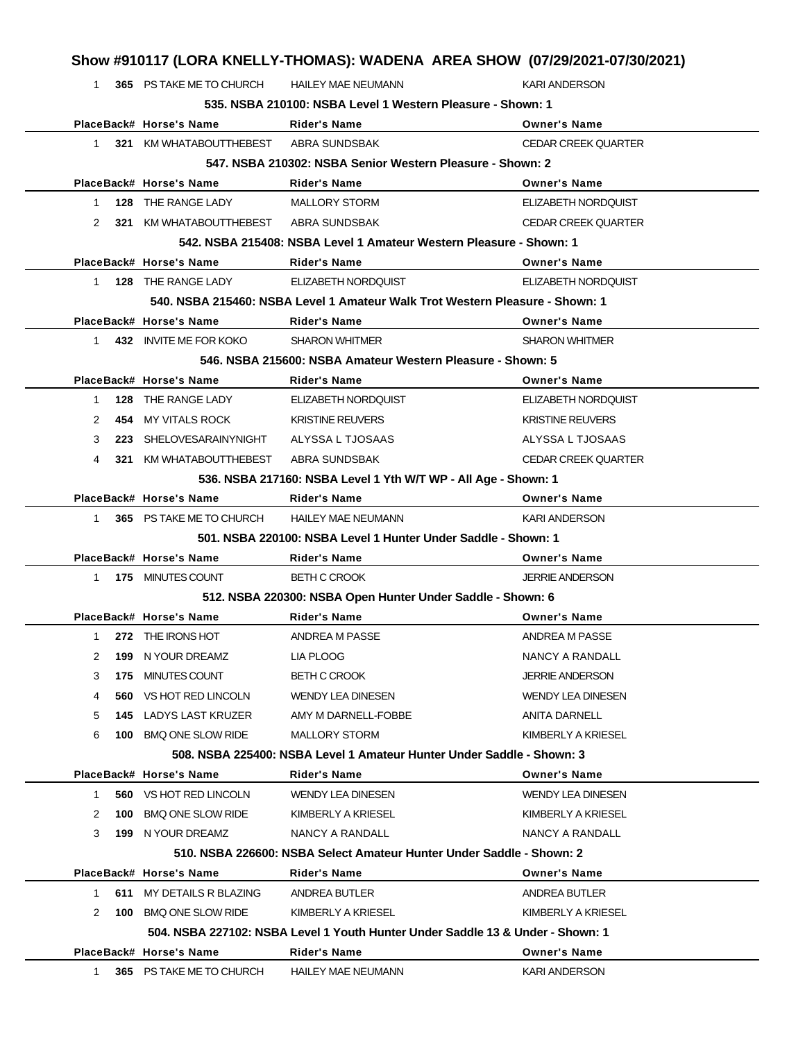1 **365** PS TAKE ME TO CHURCH HAILEY MAE NEUMANN KARI ANDERSON **535. NSBA 210100: NSBA Level 1 Western Pleasure - Shown: 1**

|                                                           |     |                                       | 535. NSBA 210100: NSBA Level 1 Western Pleasure - Shown: 1                     |                            |  |
|-----------------------------------------------------------|-----|---------------------------------------|--------------------------------------------------------------------------------|----------------------------|--|
|                                                           |     | PlaceBack# Horse's Name               | <b>Rider's Name</b>                                                            | <b>Owner's Name</b>        |  |
| 1.                                                        |     | 321 KM WHATABOUTTHEBEST               | ABRA SUNDSBAK                                                                  | <b>CEDAR CREEK QUARTER</b> |  |
| 547, NSBA 210302: NSBA Senior Western Pleasure - Shown: 2 |     |                                       |                                                                                |                            |  |
|                                                           |     | PlaceBack# Horse's Name               | Rider's Name                                                                   | <b>Owner's Name</b>        |  |
| $\mathbf{1}$                                              |     | 128 THE RANGE LADY                    | <b>MALLORY STORM</b>                                                           | ELIZABETH NORDQUIST        |  |
| 2                                                         |     | 321 KM WHATABOUTTHEBEST ABRA SUNDSBAK |                                                                                | <b>CEDAR CREEK QUARTER</b> |  |
|                                                           |     |                                       | 542. NSBA 215408: NSBA Level 1 Amateur Western Pleasure - Shown: 1             |                            |  |
|                                                           |     | PlaceBack# Horse's Name               | <b>Rider's Name</b>                                                            | <b>Owner's Name</b>        |  |
| 1.                                                        |     | 128 THE RANGE LADY                    | ELIZABETH NORDQUIST                                                            | ELIZABETH NORDQUIST        |  |
|                                                           |     |                                       | 540. NSBA 215460: NSBA Level 1 Amateur Walk Trot Western Pleasure - Shown: 1   |                            |  |
|                                                           |     | PlaceBack# Horse's Name               | <b>Rider's Name</b>                                                            | <b>Owner's Name</b>        |  |
| 1.                                                        |     | 432 INVITE ME FOR KOKO                | <b>SHARON WHITMER</b>                                                          | <b>SHARON WHITMER</b>      |  |
|                                                           |     |                                       | 546. NSBA 215600: NSBA Amateur Western Pleasure - Shown: 5                     |                            |  |
|                                                           |     | PlaceBack# Horse's Name               | <b>Rider's Name</b>                                                            | <b>Owner's Name</b>        |  |
| 1                                                         |     | 128 THE RANGE LADY                    | ELIZABETH NORDQUIST                                                            | ELIZABETH NORDQUIST        |  |
| 2                                                         |     | 454 MY VITALS ROCK                    | <b>KRISTINE REUVERS</b>                                                        | <b>KRISTINE REUVERS</b>    |  |
| 3                                                         | 223 | SHELOVESARAINYNIGHT ALYSSA L TJOSAAS  |                                                                                | ALYSSA L TJOSAAS           |  |
| 4                                                         | 321 | KM WHATABOUTTHEBEST                   | ABRA SUNDSBAK                                                                  | <b>CEDAR CREEK QUARTER</b> |  |
|                                                           |     |                                       | 536. NSBA 217160: NSBA Level 1 Yth W/T WP - All Age - Shown: 1                 |                            |  |
|                                                           |     | PlaceBack# Horse's Name               | <b>Rider's Name</b>                                                            | <b>Owner's Name</b>        |  |
| 1                                                         |     | 365 PS TAKE ME TO CHURCH              | <b>HAILEY MAE NEUMANN</b>                                                      | <b>KARI ANDERSON</b>       |  |
|                                                           |     |                                       | 501. NSBA 220100: NSBA Level 1 Hunter Under Saddle - Shown: 1                  |                            |  |
|                                                           |     | PlaceBack# Horse's Name               | Rider's Name                                                                   | <b>Owner's Name</b>        |  |
| 1                                                         |     | 175 MINUTES COUNT                     | <b>BETH C CROOK</b>                                                            | <b>JERRIE ANDERSON</b>     |  |
|                                                           |     |                                       | 512. NSBA 220300: NSBA Open Hunter Under Saddle - Shown: 6                     |                            |  |
|                                                           |     | PlaceBack# Horse's Name               | <b>Rider's Name</b>                                                            | <b>Owner's Name</b>        |  |
| 1                                                         |     | 272 THE IRONS HOT                     | ANDREA M PASSE                                                                 | ANDREA M PASSE             |  |
| 2                                                         | 199 | N YOUR DREAMZ                         | LIA PLOOG                                                                      | NANCY A RANDALL            |  |
| 3                                                         |     | 175 MINUTES COUNT                     | <b>BETH C CROOK</b>                                                            | <b>JERRIE ANDERSON</b>     |  |
|                                                           | ว6บ | VS HOT RED LINCOLN                    | WENDY LEA DINESEN                                                              | <b>WENDY LEA DINESEN</b>   |  |
| 5                                                         | 145 | LADYS LAST KRUZER                     | AMY M DARNELL-FOBBE                                                            | <b>ANITA DARNELL</b>       |  |
| 6                                                         |     | 100 BMQ ONE SLOW RIDE                 | <b>MALLORY STORM</b>                                                           | KIMBERLY A KRIESEL         |  |
|                                                           |     |                                       | 508. NSBA 225400: NSBA Level 1 Amateur Hunter Under Saddle - Shown: 3          |                            |  |
|                                                           |     | PlaceBack# Horse's Name               | Rider's Name                                                                   | <b>Owner's Name</b>        |  |
| $\mathbf{1}$                                              |     | 560 VS HOT RED LINCOLN                | <b>WENDY LEA DINESEN</b>                                                       | <b>WENDY LEA DINESEN</b>   |  |
| 2                                                         | 100 | <b>BMQ ONE SLOW RIDE</b>              | KIMBERLY A KRIESEL                                                             | KIMBERLY A KRIESEL         |  |
| 3                                                         |     | 199 N YOUR DREAMZ                     | NANCY A RANDALL                                                                | NANCY A RANDALL            |  |
|                                                           |     |                                       | 510. NSBA 226600: NSBA Select Amateur Hunter Under Saddle - Shown: 2           |                            |  |
|                                                           |     | PlaceBack# Horse's Name               | Rider's Name                                                                   | <b>Owner's Name</b>        |  |
| 1                                                         |     | 611 MY DETAILS R BLAZING              | ANDREA BUTLER                                                                  | ANDREA BUTLER              |  |
| 2                                                         |     | 100 BMQ ONE SLOW RIDE                 | KIMBERLY A KRIESEL                                                             | KIMBERLY A KRIESEL         |  |
|                                                           |     |                                       | 504, NSBA 227102: NSBA Level 1 Youth Hunter Under Saddle 13 & Under - Shown: 1 |                            |  |
|                                                           |     | PlaceBack# Horse's Name               | Rider's Name                                                                   | <b>Owner's Name</b>        |  |
| 1.                                                        |     | 365 PS TAKE ME TO CHURCH              | <b>HAILEY MAE NEUMANN</b>                                                      | KARI ANDERSON              |  |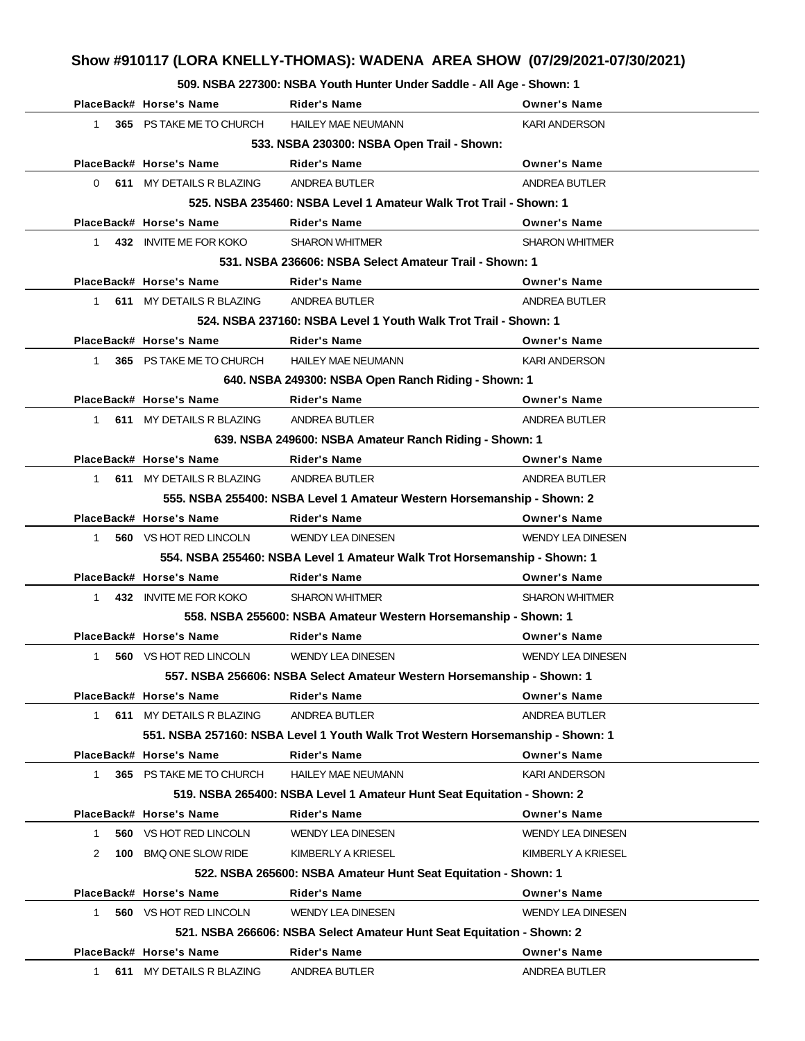**509. NSBA 227300: NSBA Youth Hunter Under Saddle - All Age - Shown: 1**

|              | PlaceBack# Horse's Name                    | Rider's Name                                                                   | <b>Owner's Name</b>      |  |  |  |
|--------------|--------------------------------------------|--------------------------------------------------------------------------------|--------------------------|--|--|--|
| $1 \quad$    | 365 PS TAKE ME TO CHURCH                   | <b>HAILEY MAE NEUMANN</b>                                                      | <b>KARI ANDERSON</b>     |  |  |  |
|              | 533. NSBA 230300: NSBA Open Trail - Shown: |                                                                                |                          |  |  |  |
|              | PlaceBack# Horse's Name                    | <b>Rider's Name</b>                                                            | <b>Owner's Name</b>      |  |  |  |
|              | 0 611 MY DETAILS R BLAZING                 | ANDREA BUTLER                                                                  | ANDREA BUTLER            |  |  |  |
|              |                                            | 525. NSBA 235460: NSBA Level 1 Amateur Walk Trot Trail - Shown: 1              |                          |  |  |  |
|              | PlaceBack# Horse's Name                    | <b>Rider's Name</b>                                                            | <b>Owner's Name</b>      |  |  |  |
| $1 \quad$    | 432 INVITE ME FOR KOKO                     | <b>SHARON WHITMER</b>                                                          | <b>SHARON WHITMER</b>    |  |  |  |
|              |                                            | 531. NSBA 236606: NSBA Select Amateur Trail - Shown: 1                         |                          |  |  |  |
|              | PlaceBack# Horse's Name                    | Rider's Name                                                                   | <b>Owner's Name</b>      |  |  |  |
|              | 1 611 MY DETAILS R BLAZING                 | ANDREA BUTLER                                                                  | ANDREA BUTLER            |  |  |  |
|              |                                            | 524, NSBA 237160: NSBA Level 1 Youth Walk Trot Trail - Shown: 1                |                          |  |  |  |
|              | PlaceBack# Horse's Name                    | <b>Rider's Name</b>                                                            | <b>Owner's Name</b>      |  |  |  |
| $\mathbf{1}$ | 365 PS TAKE ME TO CHURCH                   | <b>HAILEY MAE NEUMANN</b>                                                      | <b>KARI ANDERSON</b>     |  |  |  |
|              |                                            | 640. NSBA 249300: NSBA Open Ranch Riding - Shown: 1                            |                          |  |  |  |
|              | PlaceBack# Horse's Name                    | Rider's Name                                                                   | <b>Owner's Name</b>      |  |  |  |
| 1            | 611 MY DETAILS R BLAZING                   | ANDREA BUTLER                                                                  | ANDREA BUTLER            |  |  |  |
|              |                                            | 639. NSBA 249600: NSBA Amateur Ranch Riding - Shown: 1                         |                          |  |  |  |
|              | PlaceBack# Horse's Name                    | Rider's Name                                                                   | <b>Owner's Name</b>      |  |  |  |
|              | 1 611 MY DETAILS R BLAZING                 | ANDREA BUTLER                                                                  | ANDREA BUTLER            |  |  |  |
|              |                                            | 555. NSBA 255400: NSBA Level 1 Amateur Western Horsemanship - Shown: 2         |                          |  |  |  |
|              | PlaceBack# Horse's Name                    | <b>Rider's Name</b>                                                            | <b>Owner's Name</b>      |  |  |  |
| 1            | <b>560 VS HOT RED LINCOLN</b>              | WENDY LEA DINESEN                                                              | <b>WENDY LEA DINESEN</b> |  |  |  |
|              |                                            | 554. NSBA 255460: NSBA Level 1 Amateur Walk Trot Horsemanship - Shown: 1       |                          |  |  |  |
|              | PlaceBack# Horse's Name                    | Rider's Name                                                                   | <b>Owner's Name</b>      |  |  |  |
| 1            | 432 INVITE ME FOR KOKO                     | <b>SHARON WHITMER</b>                                                          | <b>SHARON WHITMER</b>    |  |  |  |
|              |                                            | 558. NSBA 255600: NSBA Amateur Western Horsemanship - Shown: 1                 |                          |  |  |  |
|              | PlaceBack# Horse's Name                    | Rider's Name                                                                   | <b>Owner's Name</b>      |  |  |  |
| 1            | <b>560 VS HOT RED LINCOLN</b>              | <b>WENDY LEA DINESEN</b>                                                       | <b>WENDY LEA DINESEN</b> |  |  |  |
|              |                                            | 557. NSBA 256606: NSBA Select Amateur Western Horsemanship - Shown: 1          |                          |  |  |  |
|              | PlaceBack# Horse's Name                    | Rider's Name                                                                   | <b>Owner's Name</b>      |  |  |  |
| 1            | 611 MY DETAILS R BLAZING                   | ANDREA BUTLER                                                                  | ANDREA BUTLER            |  |  |  |
|              |                                            | 551. NSBA 257160: NSBA Level 1 Youth Walk Trot Western Horsemanship - Shown: 1 |                          |  |  |  |
|              | PlaceBack# Horse's Name                    | <b>Rider's Name</b>                                                            | <b>Owner's Name</b>      |  |  |  |
| 1            | 365 PS TAKE ME TO CHURCH                   | <b>HAILEY MAE NEUMANN</b>                                                      | <b>KARI ANDERSON</b>     |  |  |  |
|              |                                            | 519. NSBA 265400: NSBA Level 1 Amateur Hunt Seat Equitation - Shown: 2         |                          |  |  |  |
|              | PlaceBack# Horse's Name                    | <b>Rider's Name</b>                                                            | <b>Owner's Name</b>      |  |  |  |
| 1            | 560 VS HOT RED LINCOLN                     | <b>WENDY LEA DINESEN</b>                                                       | <b>WENDY LEA DINESEN</b> |  |  |  |
| 2            | 100 BMQ ONE SLOW RIDE                      | KIMBERLY A KRIESEL                                                             | KIMBERLY A KRIESEL       |  |  |  |
|              |                                            | 522. NSBA 265600: NSBA Amateur Hunt Seat Equitation - Shown: 1                 |                          |  |  |  |
|              | PlaceBack# Horse's Name                    | <b>Rider's Name</b>                                                            | <b>Owner's Name</b>      |  |  |  |
| $\mathbf{1}$ | 560 VS HOT RED LINCOLN                     | <b>WENDY LEA DINESEN</b>                                                       | <b>WENDY LEA DINESEN</b> |  |  |  |
|              |                                            | 521. NSBA 266606: NSBA Select Amateur Hunt Seat Equitation - Shown: 2          |                          |  |  |  |
|              | PlaceBack# Horse's Name                    | <b>Rider's Name</b>                                                            | <b>Owner's Name</b>      |  |  |  |
| 1.           | 611 MY DETAILS R BLAZING                   | ANDREA BUTLER                                                                  | ANDREA BUTLER            |  |  |  |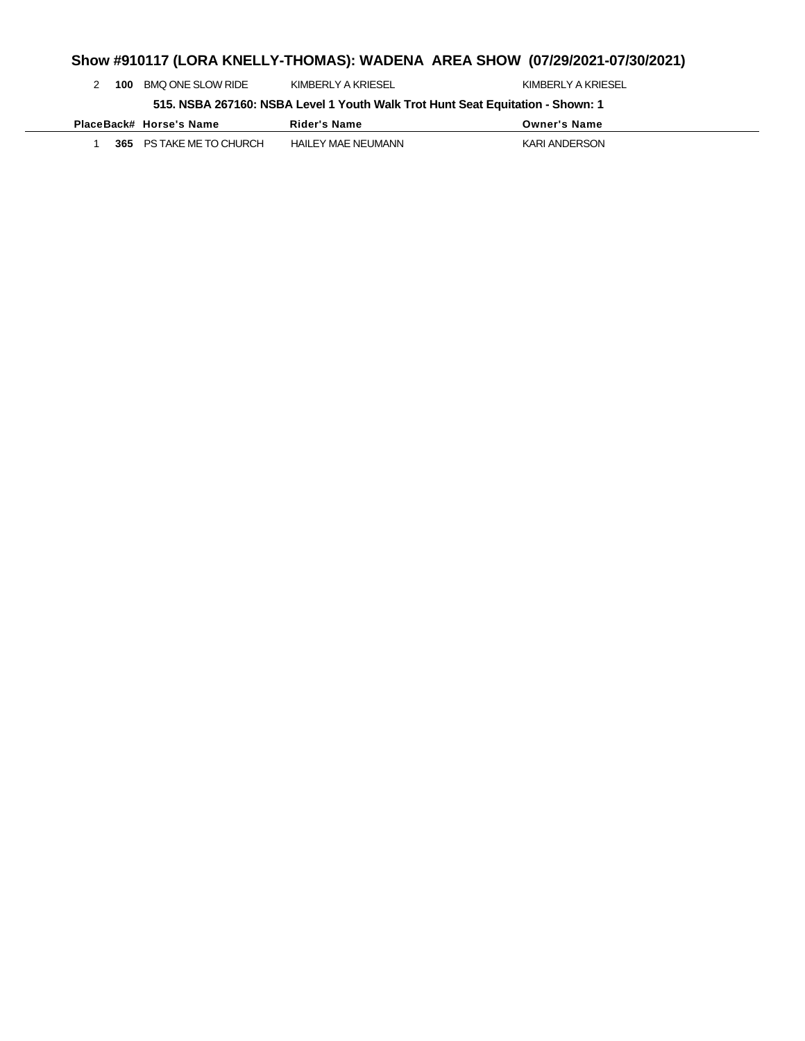|  | 100                                                                            | BMQ ONE SLOW RIDE       | KIMBERLY A KRIESEL | KIMBERLY A KRIESEL  |  |  |
|--|--------------------------------------------------------------------------------|-------------------------|--------------------|---------------------|--|--|
|  | 515. NSBA 267160: NSBA Level 1 Youth Walk Trot Hunt Seat Equitation - Shown: 1 |                         |                    |                     |  |  |
|  |                                                                                |                         |                    |                     |  |  |
|  |                                                                                | PlaceBack# Horse's Name | Rider's Name       | <b>Owner's Name</b> |  |  |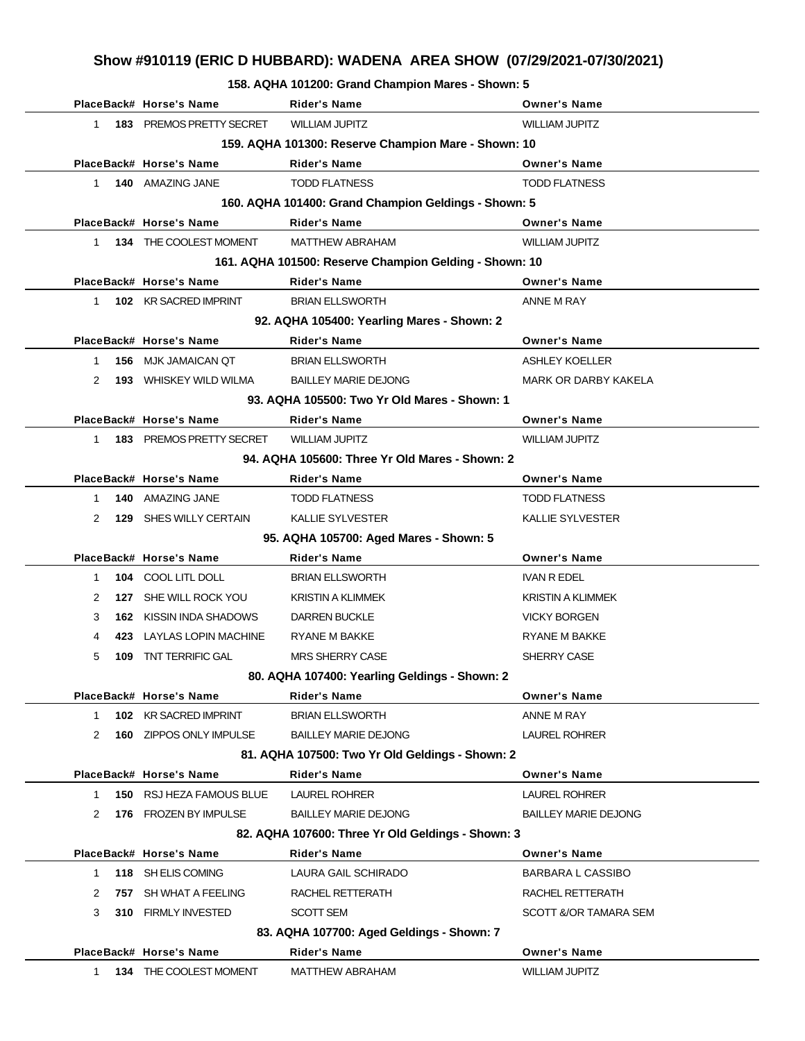**158. AQHA 101200: Grand Champion Mares - Shown: 5**

|              | PlaceBack# Horse's Name        | <b>Rider's Name</b>                                    | <b>Owner's Name</b>         |
|--------------|--------------------------------|--------------------------------------------------------|-----------------------------|
| 1            | 183 PREMOS PRETTY SECRET       | <b>WILLIAM JUPITZ</b>                                  | <b>WILLIAM JUPITZ</b>       |
|              |                                | 159. AQHA 101300: Reserve Champion Mare - Shown: 10    |                             |
|              | PlaceBack# Horse's Name        | <b>Rider's Name</b>                                    | <b>Owner's Name</b>         |
| 1            | 140 AMAZING JANE               | <b>TODD FLATNESS</b>                                   | <b>TODD FLATNESS</b>        |
|              |                                | 160. AQHA 101400: Grand Champion Geldings - Shown: 5   |                             |
|              | PlaceBack# Horse's Name        | <b>Rider's Name</b>                                    | <b>Owner's Name</b>         |
| 1            | 134 THE COOLEST MOMENT         | <b>MATTHEW ABRAHAM</b>                                 | <b>WILLIAM JUPITZ</b>       |
|              |                                | 161. AQHA 101500: Reserve Champion Gelding - Shown: 10 |                             |
|              | PlaceBack# Horse's Name        | <b>Rider's Name</b>                                    | <b>Owner's Name</b>         |
| 1            | 102 KR SACRED IMPRINT          | <b>BRIAN ELLSWORTH</b>                                 | ANNE M RAY                  |
|              |                                | 92. AQHA 105400: Yearling Mares - Shown: 2             |                             |
|              | PlaceBack# Horse's Name        | <b>Rider's Name</b>                                    | <b>Owner's Name</b>         |
| 1            | 156 MJK JAMAICAN QT            | <b>BRIAN ELLSWORTH</b>                                 | ASHLEY KOELLER              |
| 2            | <b>193</b> WHISKEY WILD WILMA  | <b>BAILLEY MARIE DEJONG</b>                            | <b>MARK OR DARBY KAKELA</b> |
|              |                                | 93. AQHA 105500: Two Yr Old Mares - Shown: 1           |                             |
|              | PlaceBack# Horse's Name        | Rider's Name                                           | <b>Owner's Name</b>         |
| 1            | 183 PREMOS PRETTY SECRET       | <b>WILLIAM JUPITZ</b>                                  | <b>WILLIAM JUPITZ</b>       |
|              |                                | 94. AQHA 105600: Three Yr Old Mares - Shown: 2         |                             |
|              | PlaceBack# Horse's Name        | <b>Rider's Name</b>                                    | <b>Owner's Name</b>         |
| $\mathbf{1}$ | 140 AMAZING JANE               | <b>TODD FLATNESS</b>                                   | <b>TODD FLATNESS</b>        |
| 2<br>129     | SHES WILLY CERTAIN             | <b>KALLIE SYLVESTER</b>                                | <b>KALLIE SYLVESTER</b>     |
|              |                                | 95. AQHA 105700: Aged Mares - Shown: 5                 |                             |
|              | PlaceBack# Horse's Name        | <b>Rider's Name</b>                                    | <b>Owner's Name</b>         |
| $\mathbf{1}$ | 104 COOL LITL DOLL             | <b>BRIAN ELLSWORTH</b>                                 | <b>IVAN R EDEL</b>          |
| 2            | 127 SHE WILL ROCK YOU          | <b>KRISTIN A KLIMMEK</b>                               | <b>KRISTIN A KLIMMEK</b>    |
| 3            | <b>162 KISSIN INDA SHADOWS</b> | <b>DARREN BUCKLE</b>                                   | <b>VICKY BORGEN</b>         |
| 4            | 423 LAYLAS LOPIN MACHINE       | RYANE M BAKKE                                          | RYANE M BAKKE               |
| 5<br>109     | <b>TNT TERRIFIC GAL</b>        | <b>MRS SHERRY CASE</b>                                 | SHERRY CASE                 |
|              |                                | 80. AQHA 107400: Yearling Geldings - Shown: 2          |                             |
|              | PlaceBack# Horse's Name        | <b>Rider's Name</b>                                    | <b>Owner's Name</b>         |
| 1            | 102 KR SACRED IMPRINT          | <b>BRIAN ELLSWORTH</b>                                 | ANNE M RAY                  |
| 2            | 160 ZIPPOS ONLY IMPULSE        | <b>BAILLEY MARIE DEJONG</b>                            | <b>LAUREL ROHRER</b>        |
|              |                                | 81. AQHA 107500: Two Yr Old Geldings - Shown: 2        |                             |
|              | PlaceBack# Horse's Name        | <b>Rider's Name</b>                                    | <b>Owner's Name</b>         |
| $\mathbf 1$  | 150 RSJ HEZA FAMOUS BLUE       | <b>LAUREL ROHRER</b>                                   | <b>LAUREL ROHRER</b>        |
| 2<br>176     | <b>FROZEN BY IMPULSE</b>       | <b>BAILLEY MARIE DEJONG</b>                            | <b>BAILLEY MARIE DEJONG</b> |
|              |                                | 82. AQHA 107600: Three Yr Old Geldings - Shown: 3      |                             |
|              | PlaceBack# Horse's Name        | <b>Rider's Name</b>                                    | <b>Owner's Name</b>         |
| 1            | 118 SH ELIS COMING             | LAURA GAIL SCHIRADO                                    | BARBARA L CASSIBO           |
| 2<br>757     | SH WHAT A FEELING              | RACHEL RETTERATH                                       | RACHEL RETTERATH            |
| 3            | 310 FIRMLY INVESTED            | SCOTT SEM                                              | SCOTT &/OR TAMARA SEM       |
|              |                                | 83. AQHA 107700: Aged Geldings - Shown: 7              |                             |
|              | PlaceBack# Horse's Name        | <b>Rider's Name</b>                                    | <b>Owner's Name</b>         |
| 1.           | 134 THE COOLEST MOMENT         | <b>MATTHEW ABRAHAM</b>                                 | <b>WILLIAM JUPITZ</b>       |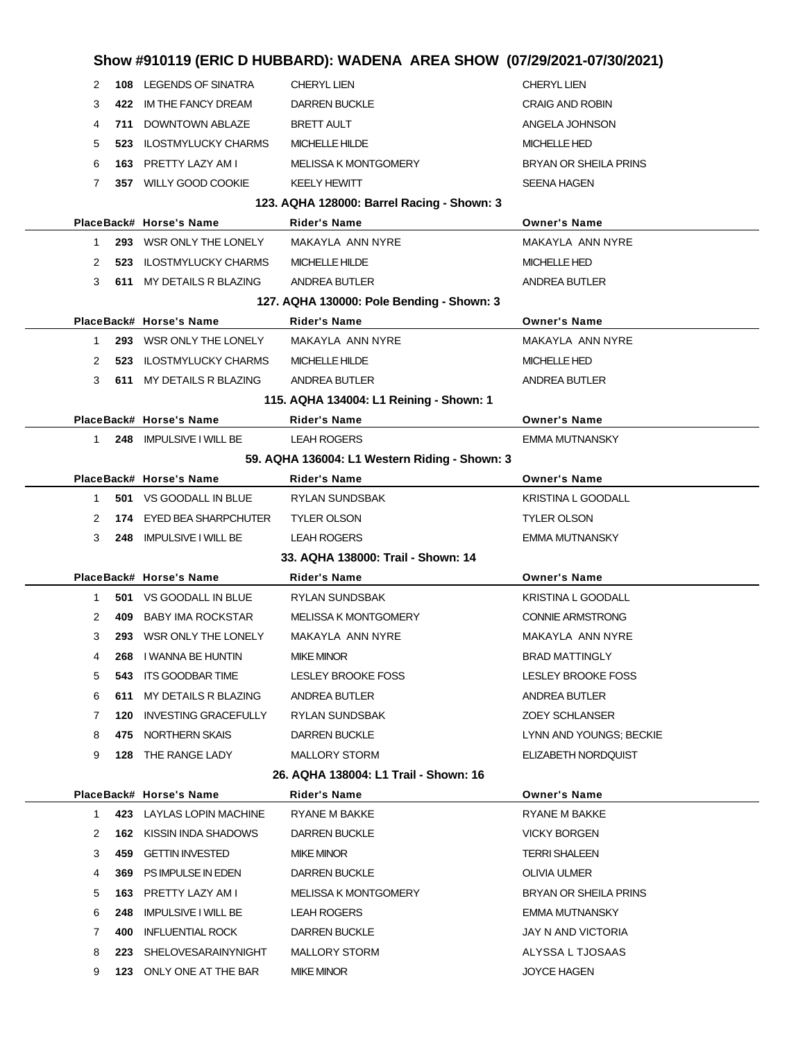| Show #910119 (ERIC D HUBBARD): WADENA AREA SHOW (07/29/2021-07/30/2021) |                |                                 |                                               |                              |
|-------------------------------------------------------------------------|----------------|---------------------------------|-----------------------------------------------|------------------------------|
|                                                                         | 2              | 108 LEGENDS OF SINATRA          | <b>CHERYL LIEN</b>                            | <b>CHERYL LIEN</b>           |
|                                                                         | 3              | 422 IM THE FANCY DREAM          | <b>DARREN BUCKLE</b>                          | <b>CRAIG AND ROBIN</b>       |
|                                                                         | 4              | 711 DOWNTOWN ABLAZE             | <b>BRETT AULT</b>                             | ANGELA JOHNSON               |
|                                                                         | 5              | 523 ILOSTMYLUCKY CHARMS         | <b>MICHELLE HILDE</b>                         | <b>MICHELLE HED</b>          |
|                                                                         | 6              | 163 PRETTY LAZY AM I            | <b>MELISSA K MONTGOMERY</b>                   | <b>BRYAN OR SHEILA PRINS</b> |
|                                                                         | 7              | 357 WILLY GOOD COOKIE           | <b>KEELY HEWITT</b>                           | <b>SEENA HAGEN</b>           |
|                                                                         |                |                                 | 123. AQHA 128000: Barrel Racing - Shown: 3    |                              |
|                                                                         |                | PlaceBack# Horse's Name         | <b>Rider's Name</b>                           | <b>Owner's Name</b>          |
|                                                                         | $\mathbf{1}$   | 293 WSR ONLY THE LONELY         | MAKAYLA ANN NYRE                              | MAKAYLA ANN NYRE             |
|                                                                         | 2              | 523 ILOSTMYLUCKY CHARMS         | MICHELLE HILDE                                | <b>MICHELLE HED</b>          |
|                                                                         | 3              | 611 MY DETAILS R BLAZING        | ANDREA BUTLER                                 | ANDREA BUTLER                |
|                                                                         |                |                                 | 127. AQHA 130000: Pole Bending - Shown: 3     |                              |
|                                                                         |                | PlaceBack# Horse's Name         | <b>Rider's Name</b>                           | <b>Owner's Name</b>          |
|                                                                         | $\mathbf{1}$   | 293 WSR ONLY THE LONELY         | MAKAYLA ANN NYRE                              | MAKAYLA ANN NYRE             |
|                                                                         | 2              | 523 ILOSTMYLUCKY CHARMS         | <b>MICHELLE HILDE</b>                         | <b>MICHELLE HED</b>          |
|                                                                         | 3              | 611 MY DETAILS R BLAZING        | ANDREA BUTLER                                 | ANDREA BUTLER                |
|                                                                         |                |                                 | 115. AQHA 134004: L1 Reining - Shown: 1       |                              |
|                                                                         |                | PlaceBack# Horse's Name         | <b>Rider's Name</b>                           | <b>Owner's Name</b>          |
|                                                                         | 1              | 248 IMPULSIVE I WILL BE         | <b>LEAH ROGERS</b>                            | EMMA MUTNANSKY               |
|                                                                         |                |                                 | 59. AQHA 136004: L1 Western Riding - Shown: 3 |                              |
|                                                                         |                | PlaceBack# Horse's Name         | <b>Rider's Name</b>                           | <b>Owner's Name</b>          |
|                                                                         | $\mathbf{1}$   | 501 VS GOODALL IN BLUE          | RYLAN SUNDSBAK                                | <b>KRISTINA L GOODALL</b>    |
|                                                                         | 2              | <b>174 EYED BEA SHARPCHUTER</b> | <b>TYLER OLSON</b>                            | <b>TYLER OLSON</b>           |
|                                                                         | 3              | 248 IMPULSIVE I WILL BE         | <b>LEAH ROGERS</b>                            | <b>EMMA MUTNANSKY</b>        |
|                                                                         |                |                                 | 33. AQHA 138000: Trail - Shown: 14            |                              |
|                                                                         |                | PlaceBack# Horse's Name         | Rider's Name                                  | <b>Owner's Name</b>          |
|                                                                         | 1              | <b>501 VS GOODALL IN BLUE</b>   | RYLAN SUNDSBAK                                | <b>KRISTINA L GOODALL</b>    |
|                                                                         | $\overline{2}$ | 409 BABY IMA ROCKSTAR           | <b>MELISSA K MONTGOMERY</b>                   | <b>CONNIE ARMSTRONG</b>      |
|                                                                         | 3              | 293 WSR ONLY THE LONELY         | MAKAYLA ANN NYRE                              | MAKAYLA ANN NYRE             |
|                                                                         | 4              | 268 I WANNA BE HUNTIN           | MIKE MINOR                                    | <b>BRAD MATTINGLY</b>        |
|                                                                         | 5              | 543 ITS GOODBAR TIME            | LESLEY BROOKE FOSS                            | LESLEY BROOKE FOSS           |
|                                                                         | 6              | 611 MY DETAILS R BLAZING        | ANDREA BUTLER                                 | ANDREA BUTLER                |
|                                                                         | 7              | 120 INVESTING GRACEFULLY        | RYLAN SUNDSBAK                                | <b>ZOEY SCHLANSER</b>        |
|                                                                         | 8              | 475 NORTHERN SKAIS              | DARREN BUCKLE                                 | LYNN AND YOUNGS; BECKIE      |
|                                                                         | 9              | <b>128 THE RANGE LADY</b>       | <b>MALLORY STORM</b>                          | ELIZABETH NORDQUIST          |
|                                                                         |                |                                 | 26. AQHA 138004: L1 Trail - Shown: 16         |                              |
|                                                                         |                | PlaceBack# Horse's Name         | Rider's Name                                  | <b>Owner's Name</b>          |
|                                                                         | $\mathbf{1}$   | 423 LAYLAS LOPIN MACHINE        | RYANE M BAKKE                                 | RYANE M BAKKE                |
|                                                                         | 2              | <b>162 KISSIN INDA SHADOWS</b>  | DARREN BUCKLE                                 | <b>VICKY BORGEN</b>          |
|                                                                         | 3              | 459 GETTIN INVESTED             | <b>MIKE MINOR</b>                             | <b>TERRI SHALEEN</b>         |
|                                                                         | 4              | 369 PS IMPULSE IN EDEN          | DARREN BUCKLE                                 | OLIVIA ULMER                 |
|                                                                         | 5              | 163 PRETTY LAZY AM I            | MELISSA K MONTGOMERY                          | BRYAN OR SHEILA PRINS        |
|                                                                         | 6<br>248       | <b>IMPULSIVE I WILL BE</b>      | <b>LEAH ROGERS</b>                            | EMMA MUTNANSKY               |
|                                                                         | 7<br>400       | INFLUENTIAL ROCK                | <b>DARREN BUCKLE</b>                          | JAY N AND VICTORIA           |
|                                                                         | 8              | 223 SHELOVESARAINYNIGHT         | <b>MALLORY STORM</b>                          | ALYSSA L TJOSAAS             |
|                                                                         | 9              | 123 ONLY ONE AT THE BAR         | MIKE MINOR                                    | <b>JOYCE HAGEN</b>           |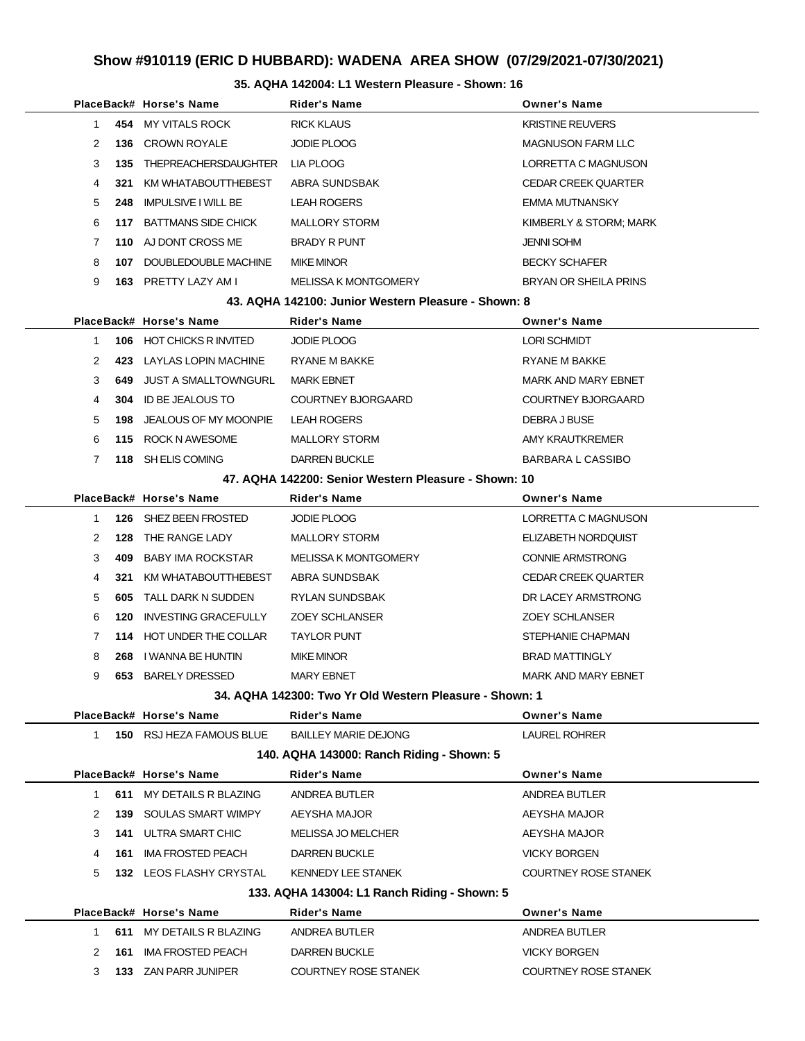#### **35. AQHA 142004: L1 Western Pleasure - Shown: 16**

|  |              |      | PlaceBack# Horse's Name                                 | Rider's Name                                         | <b>Owner's Name</b>          |
|--|--------------|------|---------------------------------------------------------|------------------------------------------------------|------------------------------|
|  | $\mathbf{1}$ |      | 454 MY VITALS ROCK                                      | <b>RICK KLAUS</b>                                    | <b>KRISTINE REUVERS</b>      |
|  | 2            |      | <b>136 CROWN ROYALE</b>                                 | JODIE PLOOG                                          | <b>MAGNUSON FARM LLC</b>     |
|  | 3            |      | 135 THEPREACHERSDAUGHTER                                | LIA PLOOG                                            | LORRETTA C MAGNUSON          |
|  | 4            | 321  | KM WHATABOUTTHEBEST                                     | ABRA SUNDSBAK                                        | <b>CEDAR CREEK QUARTER</b>   |
|  | 5            | 248  | <b>IMPULSIVE I WILL BE</b>                              | <b>LEAH ROGERS</b>                                   | EMMA MUTNANSKY               |
|  | 6            |      | 117 BATTMANS SIDE CHICK                                 | <b>MALLORY STORM</b>                                 | KIMBERLY & STORM; MARK       |
|  | 7            |      | 110 AJ DONT CROSS ME                                    | <b>BRADY R PUNT</b>                                  | <b>JENNI SOHM</b>            |
|  | 8            |      | 107 DOUBLEDOUBLE MACHINE                                | <b>MIKE MINOR</b>                                    | <b>BECKY SCHAFER</b>         |
|  | 9            |      | 163 PRETTY LAZY AM I                                    | <b>MELISSA K MONTGOMERY</b>                          | <b>BRYAN OR SHEILA PRINS</b> |
|  |              |      |                                                         | 43. AQHA 142100: Junior Western Pleasure - Shown: 8  |                              |
|  |              |      | PlaceBack# Horse's Name                                 | Rider's Name                                         | <b>Owner's Name</b>          |
|  | 1            |      | <b>106 HOT CHICKS R INVITED</b>                         | <b>JODIE PLOOG</b>                                   | <b>LORI SCHMIDT</b>          |
|  | 2            |      | 423 LAYLAS LOPIN MACHINE                                | RYANE M BAKKE                                        | <b>RYANE M BAKKE</b>         |
|  | 3            | 649. | JUST A SMALLTOWNGURL                                    | <b>MARK EBNET</b>                                    | <b>MARK AND MARY EBNET</b>   |
|  | 4            | 304  | ID BE JEALOUS TO                                        | COURTNEY BJORGAARD                                   | COURTNEY BJORGAARD           |
|  | 5            | 198  | JEALOUS OF MY MOONPIE                                   | <b>LEAH ROGERS</b>                                   | DEBRA J BUSE                 |
|  | 6            |      | 115 ROCK N AWESOME                                      | <b>MALLORY STORM</b>                                 | AMY KRAUTKREMER              |
|  | 7            |      | 118 SH ELIS COMING                                      | <b>DARREN BUCKLE</b>                                 | <b>BARBARA L CASSIBO</b>     |
|  |              |      |                                                         | 47. AQHA 142200: Senior Western Pleasure - Shown: 10 |                              |
|  |              |      | PlaceBack# Horse's Name                                 | <b>Rider's Name</b>                                  | <b>Owner's Name</b>          |
|  | $\mathbf{1}$ |      | 126 SHEZ BEEN FROSTED                                   | <b>JODIE PLOOG</b>                                   | LORRETTA C MAGNUSON          |
|  | 2            |      | <b>128 THE RANGE LADY</b>                               | <b>MALLORY STORM</b>                                 | ELIZABETH NORDQUIST          |
|  | 3            | 409  | BABY IMA ROCKSTAR                                       | <b>MELISSA K MONTGOMERY</b>                          | <b>CONNIE ARMSTRONG</b>      |
|  | 4            | 321  | KM WHATABOUTTHEBEST                                     | ABRA SUNDSBAK                                        | <b>CEDAR CREEK QUARTER</b>   |
|  | 5            | 605  | TALL DARK N SUDDEN                                      | RYLAN SUNDSBAK                                       | DR LACEY ARMSTRONG           |
|  | 6            | 120  | <b>INVESTING GRACEFULLY</b>                             | <b>ZOEY SCHLANSER</b>                                | <b>ZOEY SCHLANSER</b>        |
|  | 7            |      | 114 HOT UNDER THE COLLAR                                | <b>TAYLOR PUNT</b>                                   | STEPHANIE CHAPMAN            |
|  | 8            | 268  | I WANNA BE HUNTIN                                       | <b>MIKE MINOR</b>                                    | <b>BRAD MATTINGLY</b>        |
|  | 9            |      | 653 BARELY DRESSED                                      | <b>MARY EBNET</b>                                    | <b>MARK AND MARY EBNET</b>   |
|  |              |      | 34. AQHA 142300: Two Yr Old Western Pleasure - Shown: 1 |                                                      |                              |
|  |              |      | PlaceBack# Horse's Name                                 | <b>Rider's Name</b>                                  | <b>Owner's Name</b>          |
|  | $\mathbf{1}$ |      | 150 RSJ HEZA FAMOUS BLUE                                | <b>BAILLEY MARIE DEJONG</b>                          | <b>LAUREL ROHRER</b>         |
|  |              |      |                                                         | 140. AQHA 143000: Ranch Riding - Shown: 5            |                              |
|  |              |      | PlaceBack# Horse's Name                                 | <b>Rider's Name</b>                                  | <b>Owner's Name</b>          |
|  | $\mathbf{1}$ | 611  | MY DETAILS R BLAZING                                    | ANDREA BUTLER                                        | ANDREA BUTLER                |
|  | 2            |      | <b>139 SOULAS SMART WIMPY</b>                           | AEYSHA MAJOR                                         | AEYSHA MAJOR                 |
|  | 3            |      | <b>141 ULTRA SMART CHIC</b>                             | <b>MELISSA JO MELCHER</b>                            | AEYSHA MAJOR                 |
|  | 4            |      | <b>161 IMA FROSTED PEACH</b>                            | <b>DARREN BUCKLE</b>                                 | <b>VICKY BORGEN</b>          |
|  | 5            |      | 132 LEOS FLASHY CRYSTAL                                 | <b>KENNEDY LEE STANEK</b>                            | <b>COURTNEY ROSE STANEK</b>  |
|  |              |      |                                                         | 133. AQHA 143004: L1 Ranch Riding - Shown: 5         |                              |
|  |              |      | PlaceBack# Horse's Name                                 | <b>Rider's Name</b>                                  | <b>Owner's Name</b>          |
|  | 1            |      | 611 MY DETAILS R BLAZING                                | ANDREA BUTLER                                        | ANDREA BUTLER                |
|  | 2            | 161  | IMA FROSTED PEACH                                       | <b>DARREN BUCKLE</b>                                 | <b>VICKY BORGEN</b>          |
|  | 3            |      | 133 ZAN PARR JUNIPER                                    | COURTNEY ROSE STANEK                                 | <b>COURTNEY ROSE STANEK</b>  |
|  |              |      |                                                         |                                                      |                              |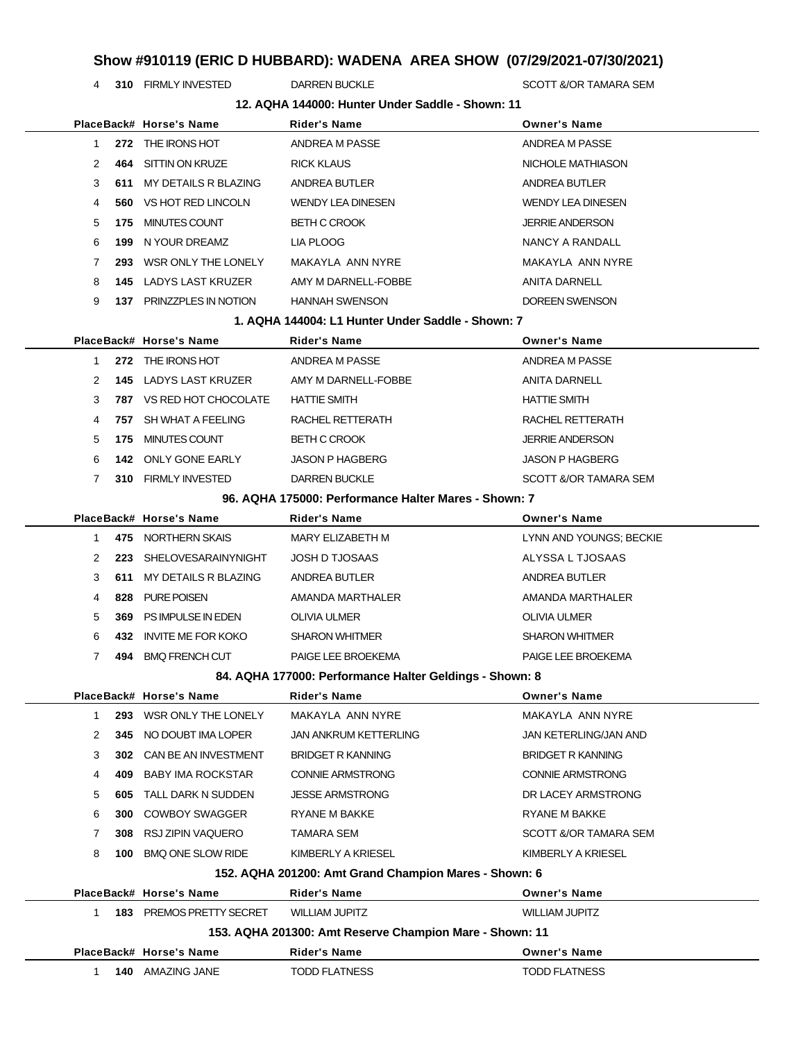**310** FIRMLY INVESTED DARREN BUCKLE SCOTT &/OR TAMARA SEM

|                |     |                                 | 12. AQHA 144000: Hunter Under Saddle - Shown: 11        |                              |
|----------------|-----|---------------------------------|---------------------------------------------------------|------------------------------|
|                |     | PlaceBack# Horse's Name         | <b>Rider's Name</b>                                     | <b>Owner's Name</b>          |
| 1              |     | 272 THE IRONS HOT               | ANDREA M PASSE                                          | ANDREA M PASSE               |
| 2              | 464 | SITTIN ON KRUZE                 | <b>RICK KLAUS</b>                                       | NICHOLE MATHIASON            |
| 3              | 611 | MY DETAILS R BLAZING            | <b>ANDREA BUTLER</b>                                    | ANDREA BUTLER                |
| 4              |     | <b>560 VS HOT RED LINCOLN</b>   | <b>WENDY LEA DINESEN</b>                                | <b>WENDY LEA DINESEN</b>     |
| 5              | 175 | MINUTES COUNT                   | <b>BETH C CROOK</b>                                     | <b>JERRIE ANDERSON</b>       |
| 6              | 199 | N YOUR DREAMZ                   | LIA PLOOG                                               | NANCY A RANDALL              |
| 7              | 293 | WSR ONLY THE LONELY             | MAKAYLA ANN NYRE                                        | MAKAYLA ANN NYRE             |
| 8              |     | <b>145 LADYS LAST KRUZER</b>    | AMY M DARNELL-FOBBE                                     | ANITA DARNELL                |
| 9              |     | 137 PRINZZPLES IN NOTION        | <b>HANNAH SWENSON</b>                                   | DOREEN SWENSON               |
|                |     |                                 | 1. AQHA 144004: L1 Hunter Under Saddle - Shown: 7       |                              |
|                |     | PlaceBack# Horse's Name         | <b>Rider's Name</b>                                     | <b>Owner's Name</b>          |
| 1.             |     | 272 THE IRONS HOT               | ANDREA M PASSE                                          | ANDREA M PASSE               |
| 2              |     | <b>145 LADYS LAST KRUZER</b>    | AMY M DARNELL-FOBBE                                     | <b>ANITA DARNELL</b>         |
| 3              |     | <b>787 VS RED HOT CHOCOLATE</b> | <b>HATTIE SMITH</b>                                     | <b>HATTIE SMITH</b>          |
| 4              |     | 757 SH WHAT A FEELING           | RACHEL RETTERATH                                        | RACHEL RETTERATH             |
| 5              |     | 175 MINUTES COUNT               | <b>BETH C CROOK</b>                                     | <b>JERRIE ANDERSON</b>       |
| 6              |     | <b>142 ONLY GONE EARLY</b>      | <b>JASON P HAGBERG</b>                                  | <b>JASON P HAGBERG</b>       |
| 7              |     | 310 FIRMLY INVESTED             | <b>DARREN BUCKLE</b>                                    | SCOTT &/OR TAMARA SEM        |
|                |     |                                 | 96. AQHA 175000: Performance Halter Mares - Shown: 7    |                              |
|                |     | PlaceBack# Horse's Name         | <b>Rider's Name</b>                                     | <b>Owner's Name</b>          |
| 1.             |     | 475 NORTHERN SKAIS              | MARY ELIZABETH M                                        | LYNN AND YOUNGS; BECKIE      |
| 2              | 223 | SHELOVESARAINYNIGHT             | <b>JOSH D TJOSAAS</b>                                   | ALYSSA L TJOSAAS             |
| 3              | 611 | MY DETAILS R BLAZING            | ANDREA BUTLER                                           | ANDREA BUTLER                |
| 4              | 828 | PURE POISEN                     | AMANDA MARTHALER                                        | AMANDA MARTHALER             |
| 5              | 369 | PS IMPULSE IN EDEN              | <b>OLIVIA ULMER</b>                                     | <b>OLIVIA ULMER</b>          |
| 6              | 432 | <b>INVITE ME FOR KOKO</b>       | <b>SHARON WHITMER</b>                                   | <b>SHARON WHITMER</b>        |
| $\overline{7}$ |     | 494 BMQ FRENCH CUT              | PAIGE LEE BROEKEMA                                      | PAIGE LEE BROEKEMA           |
|                |     |                                 | 84. AQHA 177000: Performance Halter Geldings - Shown: 8 |                              |
|                |     | PlaceBack# Horse's Name         | <b>Rider's Name</b>                                     | <b>Owner's Name</b>          |
| 1              | 293 | WSR ONLY THE LONELY             | MAKAYLA ANN NYRE                                        | MAKAYLA ANN NYRE             |
| 2              | 345 | NO DOUBT IMA LOPER              | JAN ANKRUM KETTERLING                                   | <b>JAN KETERLING/JAN AND</b> |
| 3              | 302 | CAN BE AN INVESTMENT            | <b>BRIDGET R KANNING</b>                                | <b>BRIDGET R KANNING</b>     |
| 4              | 409 | <b>BABY IMA ROCKSTAR</b>        | <b>CONNIE ARMSTRONG</b>                                 | <b>CONNIE ARMSTRONG</b>      |
| 5              | 605 | TALL DARK N SUDDEN              | <b>JESSE ARMSTRONG</b>                                  | DR LACEY ARMSTRONG           |
| 6              | 300 | <b>COWBOY SWAGGER</b>           | RYANE M BAKKE                                           | RYANE M BAKKE                |
| 7              | 308 | RSJ ZIPIN VAQUERO               | TAMARA SEM                                              | SCOTT &/OR TAMARA SEM        |
| 8              |     | 100 BMQ ONE SLOW RIDE           | KIMBERLY A KRIESEL                                      | KIMBERLY A KRIESEL           |
|                |     |                                 | 152. AQHA 201200: Amt Grand Champion Mares - Shown: 6   |                              |
|                |     | PlaceBack# Horse's Name         | <b>Rider's Name</b>                                     | <b>Owner's Name</b>          |
| $\mathbf{1}$   |     | <b>183 PREMOS PRETTY SECRET</b> | <b>WILLIAM JUPITZ</b>                                   | <b>WILLIAM JUPITZ</b>        |
|                |     |                                 | 153. AQHA 201300: Amt Reserve Champion Mare - Shown: 11 |                              |
|                |     |                                 |                                                         |                              |
|                |     | PlaceBack# Horse's Name         | Rider's Name                                            | <b>Owner's Name</b>          |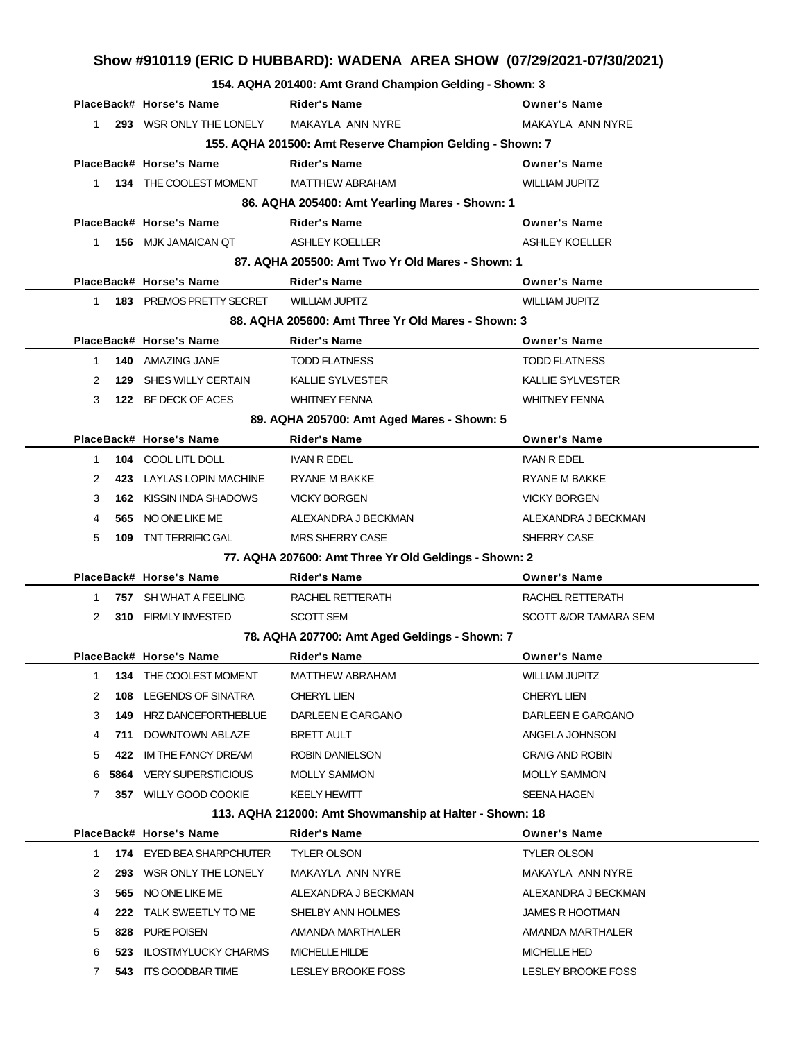#### **154. AQHA 201400: Amt Grand Champion Gelding - Shown: 3**

|              |      | PlaceBack# Horse's Name         | <b>Rider's Name</b>                                       | <b>Owner's Name</b>     |
|--------------|------|---------------------------------|-----------------------------------------------------------|-------------------------|
| $\mathbf{1}$ |      | 293 WSR ONLY THE LONELY         | MAKAYLA ANN NYRE                                          | MAKAYLA ANN NYRE        |
|              |      |                                 | 155. AQHA 201500: Amt Reserve Champion Gelding - Shown: 7 |                         |
|              |      | PlaceBack# Horse's Name         | <b>Rider's Name</b>                                       | <b>Owner's Name</b>     |
| 1            |      | 134 THE COOLEST MOMENT          | <b>MATTHEW ABRAHAM</b>                                    | <b>WILLIAM JUPITZ</b>   |
|              |      |                                 | 86. AQHA 205400: Amt Yearling Mares - Shown: 1            |                         |
|              |      | PlaceBack# Horse's Name         | <b>Rider's Name</b>                                       | <b>Owner's Name</b>     |
| 1.           |      | 156 MJK JAMAICAN QT             | <b>ASHLEY KOELLER</b>                                     | <b>ASHLEY KOELLER</b>   |
|              |      |                                 | 87. AQHA 205500: Amt Two Yr Old Mares - Shown: 1          |                         |
|              |      | PlaceBack# Horse's Name         | <b>Rider's Name</b>                                       | <b>Owner's Name</b>     |
| 1            |      | <b>183 PREMOS PRETTY SECRET</b> | <b>WILLIAM JUPITZ</b>                                     | <b>WILLIAM JUPITZ</b>   |
|              |      |                                 | 88. AQHA 205600: Amt Three Yr Old Mares - Shown: 3        |                         |
|              |      | PlaceBack# Horse's Name         | Rider's Name                                              | <b>Owner's Name</b>     |
| $\mathbf 1$  |      | 140 AMAZING JANE                | <b>TODD FLATNESS</b>                                      | <b>TODD FLATNESS</b>    |
| 2            |      | 129 SHES WILLY CERTAIN          | <b>KALLIE SYLVESTER</b>                                   | <b>KALLIE SYLVESTER</b> |
| 3            |      | 122 BF DECK OF ACES             | <b>WHITNEY FENNA</b>                                      | <b>WHITNEY FENNA</b>    |
|              |      |                                 | 89. AQHA 205700: Amt Aged Mares - Shown: 5                |                         |
|              |      | PlaceBack# Horse's Name         | <b>Rider's Name</b>                                       | <b>Owner's Name</b>     |
| 1            |      | 104 COOL LITL DOLL              | <b>IVAN R EDEL</b>                                        | <b>IVAN R EDEL</b>      |
| 2            |      | 423 LAYLAS LOPIN MACHINE        | RYANE M BAKKE                                             | RYANE M BAKKE           |
| 3            |      | <b>162 KISSIN INDA SHADOWS</b>  | <b>VICKY BORGEN</b>                                       | <b>VICKY BORGEN</b>     |
| 4            |      | 565 NO ONE LIKE ME              | ALEXANDRA J BECKMAN                                       | ALEXANDRA J BECKMAN     |
| 5            | 109  | TNT TERRIFIC GAL                | <b>MRS SHERRY CASE</b>                                    | SHERRY CASE             |
|              |      |                                 | 77. AQHA 207600: Amt Three Yr Old Geldings - Shown: 2     |                         |
|              |      | PlaceBack# Horse's Name         | Rider's Name                                              | <b>Owner's Name</b>     |
| 1            |      | 757 SH WHAT A FEELING           | RACHEL RETTERATH                                          | RACHEL RETTERATH        |
| 2            |      | 310 FIRMLY INVESTED             | <b>SCOTT SEM</b>                                          | SCOTT &/OR TAMARA SEM   |
|              |      |                                 | 78. AQHA 207700: Amt Aged Geldings - Shown: 7             |                         |
|              |      | PlaceBack# Horse's Name         | <b>Rider's Name</b>                                       | <b>Owner's Name</b>     |
| 1            |      | 134 THE COOLEST MOMENT          | MATTHEW ABRAHAM                                           | <b>WILLIAM JUPITZ</b>   |
| 2            | 108  | LEGENDS OF SINATRA              | <b>CHERYL LIEN</b>                                        | <b>CHERYL LIEN</b>      |
| 3            | 149  | HRZ DANCEFORTHEBLUE             | DARLEEN E GARGANO                                         | DARLEEN E GARGANO       |
| 4            | 711  | DOWNTOWN ABLAZE                 | <b>BRETT AULT</b>                                         | ANGELA JOHNSON          |
| 5            | 422  | IM THE FANCY DREAM              | ROBIN DANIELSON                                           | <b>CRAIG AND ROBIN</b>  |
| 6            | 5864 | <b>VERY SUPERSTICIOUS</b>       | <b>MOLLY SAMMON</b>                                       | <b>MOLLY SAMMON</b>     |
| 7            |      | 357 WILLY GOOD COOKIE           | <b>KEELY HEWITT</b>                                       | <b>SEENA HAGEN</b>      |
|              |      |                                 | 113. AQHA 212000: Amt Showmanship at Halter - Shown: 18   |                         |
|              |      | PlaceBack# Horse's Name         | <b>Rider's Name</b>                                       | <b>Owner's Name</b>     |
| $\mathbf{1}$ |      | 174 EYED BEA SHARPCHUTER        | <b>TYLER OLSON</b>                                        | <b>TYLER OLSON</b>      |
| 2            | 293  | WSR ONLY THE LONELY             | MAKAYLA ANN NYRE                                          | MAKAYLA ANN NYRE        |
| 3            | 565  | NO ONE LIKE ME                  | ALEXANDRA J BECKMAN                                       | ALEXANDRA J BECKMAN     |
| 4            | 222  | TALK SWEETLY TO ME              | SHELBY ANN HOLMES                                         | <b>JAMES R HOOTMAN</b>  |
|              |      |                                 |                                                           |                         |
| 5            | 828  | PURE POISEN                     | AMANDA MARTHALER                                          | AMANDA MARTHALER        |
| 6            | 523  | <b>ILOSTMYLUCKY CHARMS</b>      | <b>MICHELLE HILDE</b>                                     | <b>MICHELLE HED</b>     |
| $\mathbf{7}$ |      | 543 ITS GOODBAR TIME            | LESLEY BROOKE FOSS                                        | LESLEY BROOKE FOSS      |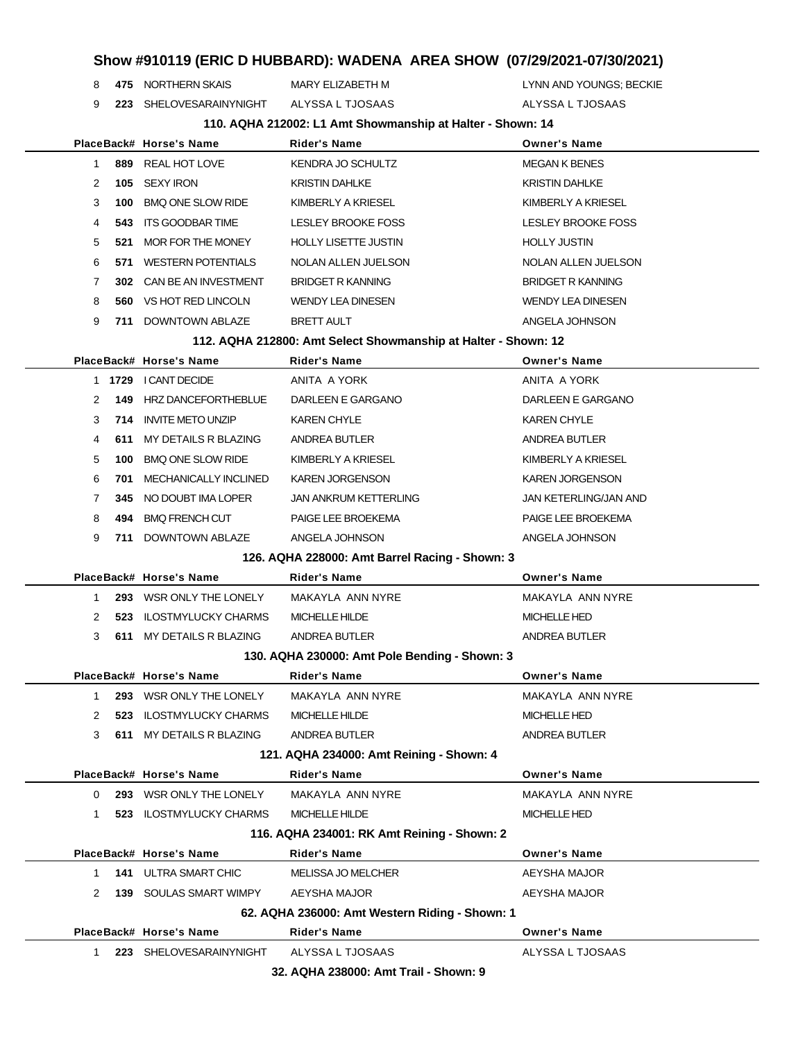**475** NORTHERN SKAIS MARY ELIZABETH M LYNN AND YOUNGS; BECKIE

**223** SHELOVESARAINYNIGHT ALYSSA L TJOSAAS ALYSSA L TJOSAAS

**110. AQHA 212002: L1 Amt Showmanship at Halter - Shown: 14**

|                |     | PlaceBack# Horse's Name                  | TT0. AQTA 212002. ET AINE SHOWINGISHIP & Halter - SHOWN. 14<br><b>Rider's Name</b> | <b>Owner's Name</b>       |
|----------------|-----|------------------------------------------|------------------------------------------------------------------------------------|---------------------------|
| $\mathbf{1}$   |     | 889 REAL HOT LOVE                        | KENDRA JO SCHULTZ                                                                  | <b>MEGAN K BENES</b>      |
| 2              |     | 105 SEXY IRON                            | <b>KRISTIN DAHLKE</b>                                                              | <b>KRISTIN DAHLKE</b>     |
| 3              | 100 | <b>BMQ ONE SLOW RIDE</b>                 | KIMBERLY A KRIESEL                                                                 | KIMBERLY A KRIESEL        |
| 4              | 543 | ITS GOODBAR TIME                         | LESLEY BROOKE FOSS                                                                 | <b>LESLEY BROOKE FOSS</b> |
| 5              |     | 521 MOR FOR THE MONEY                    | <b>HOLLY LISETTE JUSTIN</b>                                                        | <b>HOLLY JUSTIN</b>       |
| 6              |     | 571 WESTERN POTENTIALS                   | NOLAN ALLEN JUELSON                                                                | NOLAN ALLEN JUELSON       |
| 7              |     | 302 CAN BE AN INVESTMENT                 | <b>BRIDGET R KANNING</b>                                                           | <b>BRIDGET R KANNING</b>  |
| 8              |     | 560 VS HOT RED LINCOLN                   | <b>WENDY LEA DINESEN</b>                                                           | <b>WENDY LEA DINESEN</b>  |
| 9              |     | 711 DOWNTOWN ABLAZE                      | <b>BRETT AULT</b>                                                                  | ANGELA JOHNSON            |
|                |     |                                          | 112. AQHA 212800: Amt Select Showmanship at Halter - Shown: 12                     |                           |
|                |     | PlaceBack# Horse's Name                  | <b>Rider's Name</b>                                                                | <b>Owner's Name</b>       |
|                |     | 1 1729 I CANT DECIDE                     | ANITA A YORK                                                                       | ANITA A YORK              |
| 2              |     | <b>149 HRZ DANCEFORTHEBLUE</b>           | DARLEEN E GARGANO                                                                  | DARLEEN E GARGANO         |
| 3              |     | 714 INVITE METO UNZIP                    | <b>KAREN CHYLE</b>                                                                 | <b>KAREN CHYLE</b>        |
| 4              |     | 611 MY DETAILS R BLAZING                 | ANDREA BUTLER                                                                      | ANDREA BUTLER             |
| 5              | 100 | <b>BMQ ONE SLOW RIDE</b>                 | KIMBERLY A KRIESEL                                                                 | KIMBERLY A KRIESEL        |
| 6              |     | <b>701 MECHANICALLY INCLINED</b>         | <b>KAREN JORGENSON</b>                                                             | <b>KAREN JORGENSON</b>    |
| $\overline{7}$ |     | 345 NO DOUBT IMA LOPER                   | <b>JAN ANKRUM KETTERLING</b>                                                       | JAN KETERLING/JAN AND     |
| 8              |     | 494 BMQ FRENCH CUT                       | PAIGE LEE BROEKEMA                                                                 | PAIGE LEE BROEKEMA        |
| 9              |     | 711 DOWNTOWN ABLAZE                      | ANGELA JOHNSON                                                                     | ANGELA JOHNSON            |
|                |     |                                          | 126. AQHA 228000: Amt Barrel Racing - Shown: 3                                     |                           |
|                |     | PlaceBack# Horse's Name                  | <b>Rider's Name</b>                                                                | <b>Owner's Name</b>       |
| 1              |     | 293 WSR ONLY THE LONELY                  | MAKAYLA ANN NYRE                                                                   | MAKAYLA ANN NYRE          |
| 2              |     | 523 ILOSTMYLUCKY CHARMS                  | MICHELLE HILDE                                                                     | <b>MICHELLE HED</b>       |
| 3              |     | 611 MY DETAILS R BLAZING                 | ANDREA BUTLER                                                                      | ANDREA BUTLER             |
|                |     |                                          | 130. AQHA 230000: Amt Pole Bending - Shown: 3                                      |                           |
|                |     | PlaceBack# Horse's Name                  | <b>Rider's Name</b>                                                                | <b>Owner's Name</b>       |
| 1              |     | 293 WSR ONLY THE LONELY                  | MAKAYLA ANN NYRE                                                                   | MAKAYLA ANN NYRE          |
|                |     | 523 ILOSTMYLUCKY CHARMS                  | <b>MICHELLE HILDE</b>                                                              | MICHELLE HED              |
| 3              |     | 611 MY DETAILS R BLAZING                 | ANDREA BUTLER                                                                      | ANDREA BUTLER             |
|                |     | 121. AQHA 234000: Amt Reining - Shown: 4 |                                                                                    |                           |
|                |     | PlaceBack# Horse's Name                  | <b>Rider's Name</b>                                                                | <b>Owner's Name</b>       |
| 0              |     | 293 WSR ONLY THE LONELY                  | MAKAYLA ANN NYRE                                                                   | MAKAYLA ANN NYRE          |
| 1              |     | 523 ILOSTMYLUCKY CHARMS                  | <b>MICHELLE HILDE</b>                                                              | <b>MICHELLE HED</b>       |
|                |     |                                          | 116. AQHA 234001: RK Amt Reining - Shown: 2                                        |                           |
|                |     | PlaceBack# Horse's Name                  | <b>Rider's Name</b>                                                                | <b>Owner's Name</b>       |
| 1              |     | <b>141 ULTRA SMART CHIC</b>              | <b>MELISSA JO MELCHER</b>                                                          | <b>AEYSHA MAJOR</b>       |
| 2              |     | <b>139 SOULAS SMART WIMPY</b>            | AEYSHA MAJOR                                                                       | AEYSHA MAJOR              |
|                |     |                                          | 62. AQHA 236000: Amt Western Riding - Shown: 1                                     |                           |
|                |     | PlaceBack# Horse's Name                  | <b>Rider's Name</b>                                                                | <b>Owner's Name</b>       |
| 1              |     | 223 SHELOVESARAINYNIGHT                  | ALYSSA L TJOSAAS                                                                   | ALYSSA L TJOSAAS          |

**32. AQHA 238000: Amt Trail - Shown: 9**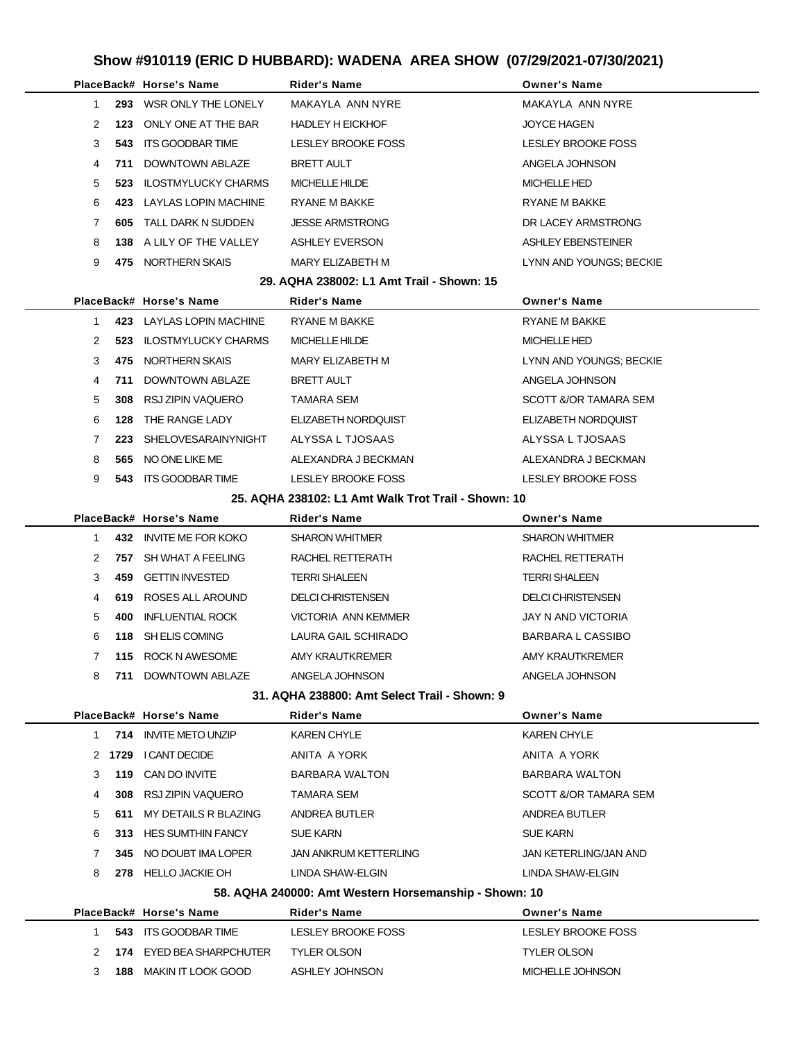|              |     | PlaceBack# Horse's Name       | <b>Rider's Name</b>                                   | <b>Owner's Name</b>       |
|--------------|-----|-------------------------------|-------------------------------------------------------|---------------------------|
| $\mathbf{1}$ |     | 293 WSR ONLY THE LONELY       | MAKAYLA ANN NYRE                                      | MAKAYLA ANN NYRE          |
| 2            |     | 123 ONLY ONE AT THE BAR       | <b>HADLEY H EICKHOF</b>                               | <b>JOYCE HAGEN</b>        |
| 3            | 543 | ITS GOODBAR TIME              | LESLEY BROOKE FOSS                                    | LESLEY BROOKE FOSS        |
| 4            |     | 711 DOWNTOWN ABLAZE           | <b>BRETT AULT</b>                                     | ANGELA JOHNSON            |
| 5            |     | 523 ILOSTMYLUCKY CHARMS       | MICHELLE HILDE                                        | <b>MICHELLE HED</b>       |
| 6            | 423 | LAYLAS LOPIN MACHINE          | RYANE M BAKKE                                         | RYANE M BAKKE             |
| 7            |     | <b>605 TALL DARK N SUDDEN</b> | <b>JESSE ARMSTRONG</b>                                | DR LACEY ARMSTRONG        |
| 8            |     | 138 A LILY OF THE VALLEY      | <b>ASHLEY EVERSON</b>                                 | ASHLEY EBENSTEINER        |
| 9            |     | 475 NORTHERN SKAIS            | MARY ELIZABETH M                                      | LYNN AND YOUNGS; BECKIE   |
|              |     |                               | 29. AQHA 238002: L1 Amt Trail - Shown: 15             |                           |
|              |     | PlaceBack# Horse's Name       | <b>Rider's Name</b>                                   | <b>Owner's Name</b>       |
| $1 \quad$    |     | 423 LAYLAS LOPIN MACHINE      | RYANE M BAKKE                                         | RYANE M BAKKE             |
| 2            |     | 523 ILOSTMYLUCKY CHARMS       | MICHELLE HILDE                                        | <b>MICHELLE HED</b>       |
| 3            | 475 | NORTHERN SKAIS                | MARY ELIZABETH M                                      | LYNN AND YOUNGS; BECKIE   |
| 4            |     | 711 DOWNTOWN ABLAZE           | <b>BRETT AULT</b>                                     | ANGELA JOHNSON            |
| 5            | 308 | RSJ ZIPIN VAQUERO             | TAMARA SEM                                            | SCOTT &/OR TAMARA SEM     |
| 6            | 128 | THE RANGE LADY                | ELIZABETH NORDQUIST                                   | ELIZABETH NORDQUIST       |
| 7            | 223 | SHELOVESARAINYNIGHT           | ALYSSA L TJOSAAS                                      | ALYSSA L TJOSAAS          |
| 8            |     | 565 NO ONE LIKE ME            | ALEXANDRA J BECKMAN                                   | ALEXANDRA J BECKMAN       |
| 9            |     | 543 ITS GOODBAR TIME          | LESLEY BROOKE FOSS                                    | LESLEY BROOKE FOSS        |
|              |     |                               | 25. AQHA 238102: L1 Amt Walk Trot Trail - Shown: 10   |                           |
|              |     | PlaceBack# Horse's Name       | Rider's Name                                          | <b>Owner's Name</b>       |
| 1            |     | 432 INVITE ME FOR KOKO        | <b>SHARON WHITMER</b>                                 | <b>SHARON WHITMER</b>     |
| 2            |     | 757 SH WHAT A FEELING         | RACHEL RETTERATH                                      | RACHEL RETTERATH          |
| 3            |     | 459 GETTIN INVESTED           | <b>TERRI SHALEEN</b>                                  | <b>TERRI SHALEEN</b>      |
| 4            |     | 619 ROSES ALL AROUND          | <b>DELCI CHRISTENSEN</b>                              | <b>DELCI CHRISTENSEN</b>  |
| 5            | 400 | INFLUENTIAL ROCK              | VICTORIA ANN KEMMER                                   | <b>JAY N AND VICTORIA</b> |
| 6            |     | 118 SH ELIS COMING            | LAURA GAIL SCHIRADO                                   | <b>BARBARA L CASSIBO</b>  |
| 7            |     | 115 ROCK N AWESOME            | AMY KRAUTKREMER                                       | AMY KRAUTKREMER           |
| 8            | 711 | DOWNTOWN ABLAZE               | ANGELA JOHNSON                                        | ANGELA JOHNSON            |
|              |     |                               | 31. AQHA 238800: Amt Select Trail - Shown: 9          |                           |
|              |     | PlaceBack# Horse's Name       | Rider's Name                                          | <b>Owner's Name</b>       |
| 1.           |     | 714 INVITE METO UNZIP         | <b>KAREN CHYLE</b>                                    | <b>KAREN CHYLE</b>        |
|              |     | 2 1729 I CANT DECIDE          | ANITA A YORK                                          | ANITA A YORK              |
| 3            |     | 119 CAN DO INVITE             | BARBARA WALTON                                        | <b>BARBARA WALTON</b>     |
| 4            |     | 308 RSJ ZIPIN VAQUERO         | TAMARA SEM                                            | SCOTT &/OR TAMARA SEM     |
| 5            |     | 611 MY DETAILS R BLAZING      | ANDREA BUTLER                                         | ANDREA BUTLER             |
| 6            |     | 313 HES SUMTHIN FANCY         | <b>SUE KARN</b>                                       | <b>SUE KARN</b>           |
| 7            |     | 345 NO DOUBT IMA LOPER        | <b>JAN ANKRUM KETTERLING</b>                          | JAN KETERLING/JAN AND     |
| 8            |     | 278 HELLO JACKIE OH           | LINDA SHAW-ELGIN                                      | LINDA SHAW-ELGIN          |
|              |     |                               | 58. AQHA 240000: Amt Western Horsemanship - Shown: 10 |                           |
|              |     | PlaceBack# Horse's Name       | <b>Rider's Name</b>                                   | <b>Owner's Name</b>       |
| $\mathbf 1$  |     | 543 ITS GOODBAR TIME          | LESLEY BROOKE FOSS                                    | LESLEY BROOKE FOSS        |
| 2            |     | 174 EYED BEA SHARPCHUTER      | <b>TYLER OLSON</b>                                    | <b>TYLER OLSON</b>        |
| 3            |     | <b>188 MAKIN IT LOOK GOOD</b> | ASHLEY JOHNSON                                        | MICHELLE JOHNSON          |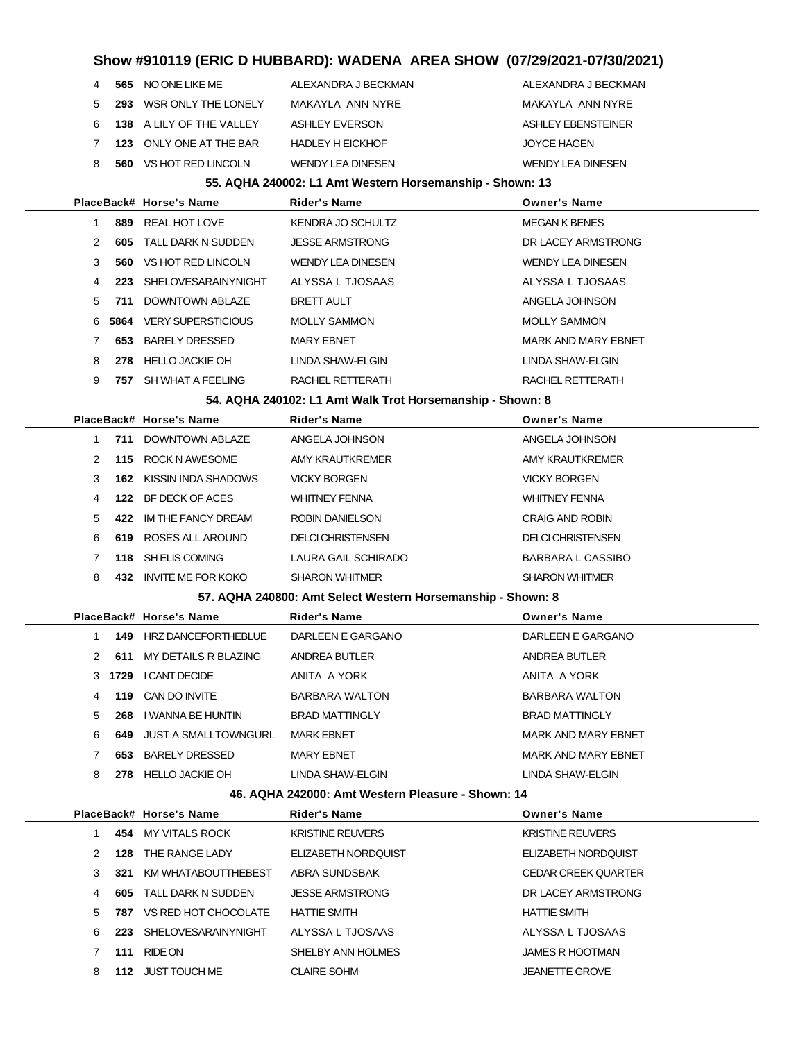|  | 4 565 NO ONE LIKE ME       | ALEXANDRA J BECKMAN      | ALEXANDRA J BECKMAN      |
|--|----------------------------|--------------------------|--------------------------|
|  | 5 293 WSR ONLY THE LONELY  | MAKAYLA ANN NYRE         | MAKAYI A ANN NYRF        |
|  | 6 138 A LILY OF THE VALLEY | ASHLEY EVERSON           | ASHLEY EBENSTEINER       |
|  | 7 123 ONLY ONE AT THE BAR  | <b>HADLEY H EICKHOF</b>  | <b>JOYCE HAGEN</b>       |
|  | 8 560 VS HOT RED LINCOLN   | <b>WENDY LEA DINESEN</b> | <b>WENDY LEA DINESEN</b> |
|  |                            |                          |                          |

#### **55. AQHA 240002: L1 Amt Western Horsemanship - Shown: 13**

|   |      | PlaceBack# Horse's Name   | <b>Rider's Name</b>      | <b>Owner's Name</b>        |
|---|------|---------------------------|--------------------------|----------------------------|
|   | 889  | REAL HOT LOVE             | KENDRA JO SCHULTZ        | <b>MEGAN K BENES</b>       |
| 2 | 605  | TALL DARK N SUDDEN        | <b>JESSE ARMSTRONG</b>   | DR LACEY ARMSTRONG         |
| 3 | 560. | VS HOT RED LINCOLN        | <b>WENDY LEA DINESEN</b> | <b>WENDY LEA DINESEN</b>   |
| 4 | 223  | SHELOVESARAINYNIGHT       | ALYSSA L TJOSAAS         | ALYSSA L TJOSAAS           |
| 5 | 711  | DOWNTOWN ABLAZE           | <b>BRETT AULT</b>        | ANGELA JOHNSON             |
| 6 | 5864 | <b>VERY SUPERSTICIOUS</b> | <b>MOLLY SAMMON</b>      | <b>MOLLY SAMMON</b>        |
|   | 653  | BARELY DRESSED            | <b>MARY EBNET</b>        | <b>MARK AND MARY EBNET</b> |
| 8 | 278  | <b>HELLO JACKIE OH</b>    | LINDA SHAW-ELGIN         | LINDA SHAW-ELGIN           |
| 9 | 757  | SH WHAT A FEELING         | RACHEL RETTERATH         | RACHEL RETTERATH           |
|   |      |                           |                          |                            |

**54. AQHA 240102: L1 Amt Walk Trot Horsemanship - Shown: 8**

|    |     | PlaceBack# Horse's Name   | <b>Rider's Name</b>   | <b>Owner's Name</b>   |
|----|-----|---------------------------|-----------------------|-----------------------|
|    | 711 | DOWNTOWN ABI AZE          | ANGELA JOHNSON        | ANGELA JOHNSON        |
| 2  | 115 | ROCK N AWESOME            | AMY KRAUTKREMER       | AMY KRAUTKREMER       |
| 3  | 162 | KISSIN INDA SHADOWS       | <b>VICKY BORGEN</b>   | <b>VICKY BORGEN</b>   |
| 4  | 122 | BF DECK OF ACES           | <b>WHITNEY FENNA</b>  | <b>WHITNEY FENNA</b>  |
| 5. | 422 | IM THE FANCY DREAM        | ROBIN DANIELSON       | CRAIG AND ROBIN       |
| 6  | 619 | ROSES ALL AROUND          | DELCI CHRISTENSEN     | DELCI CHRISTENSEN     |
|    | 118 | SH ELIS COMING            | LAURA GAIL SCHIRADO   | BARBARA L CASSIBO     |
| 8  | 432 | <b>INVITE ME FOR KOKO</b> | <b>SHARON WHITMER</b> | <b>SHARON WHITMER</b> |
|    |     |                           |                       |                       |

#### **57. AQHA 240800: Amt Select Western Horsemanship - Shown: 8**

|  |    |      | PlaceBack# Horse's Name | <b>Rider's Name</b>   | <b>Owner's Name</b>        |
|--|----|------|-------------------------|-----------------------|----------------------------|
|  |    |      | 149 HRZ DANCEFORTHEBLUE | DARLEEN E GARGANO     | DARLEEN E GARGANO          |
|  | 2  | 611  | MY DETAILS R BLAZING    | ANDREA BUTLER         | ANDREA BUTLER              |
|  | 3  | 1729 | I CANT DECIDE           | ANITA A YORK          | ANITA A YORK               |
|  | 4  | 119  | CAN DO INVITE           | <b>BARBARA WALTON</b> | BARBARA WALTON             |
|  | .5 | 268  | I WANNA BE HUNTIN       | <b>BRAD MATTINGLY</b> | <b>BRAD MATTINGLY</b>      |
|  | 6. | 649  | JUST A SMALLTOWNGURL    | <b>MARK EBNET</b>     | MARK AND MARY EBNET        |
|  |    | 653  | <b>BARELY DRESSED</b>   | <b>MARY EBNET</b>     | <b>MARK AND MARY EBNET</b> |
|  | 8  | 278  | <b>HELLO JACKIE OH</b>  | LINDA SHAW-ELGIN      | LINDA SHAW-ELGIN           |
|  |    |      |                         |                       |                            |

#### **46. AQHA 242000: Amt Western Pleasure - Shown: 14**

|    |     | PlaceBack# Horse's Name | <b>Rider's Name</b>     | <b>Owner's Name</b>        |
|----|-----|-------------------------|-------------------------|----------------------------|
|    | 454 | MY VITALS ROCK          | <b>KRISTINE REUVERS</b> | <b>KRISTINE REUVERS</b>    |
| 2  | 128 | THE RANGE LADY          | ELIZABETH NORDOUIST     | ELIZABETH NORDOUIST        |
| 3  | 321 | KM WHATABOUTTHEBEST     | ABRA SUNDSBAK           | <b>CEDAR CREEK QUARTER</b> |
| 4  | 605 | TALL DARK N SUDDEN      | <b>JESSE ARMSTRONG</b>  | DR LACEY ARMSTRONG         |
| 5. | 787 | VS RED HOT CHOCOLATE    | <b>HATTIE SMITH</b>     | <b>HATTIE SMITH</b>        |
| 6  | 223 | SHELOVESARAINYNIGHT     | ALYSSA L TJOSAAS        | ALYSSA L TJOSAAS           |
|    | 111 | RIDE ON                 | SHELBY ANN HOLMES       | JAMES R HOOTMAN            |
| 8  | 112 | JUST TOUCH ME           | <b>CLAIRE SOHM</b>      | <b>JEANETTE GROVE</b>      |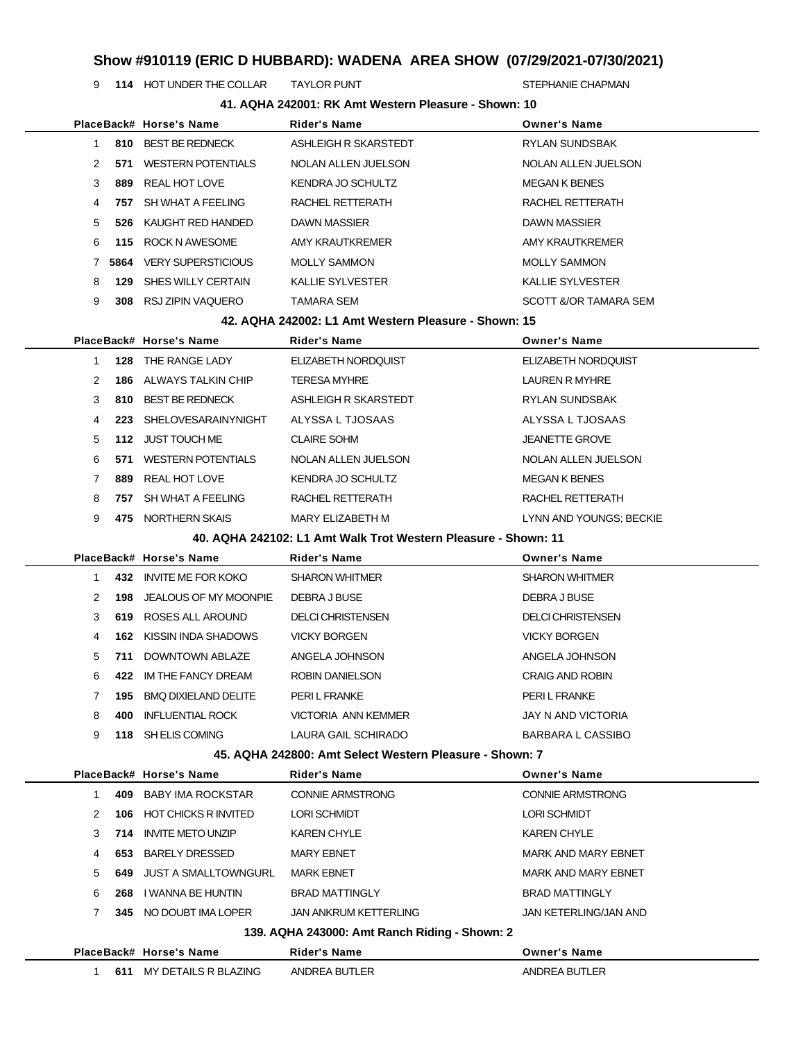**114** HOT UNDER THE COLLAR TAYLOR PUNT STEPHANIE CHAPMAN

| 41. AQHA 242001: RK Amt Western Pleasure - Shown: 10 |      |                           |                                                                                |                                                |  |
|------------------------------------------------------|------|---------------------------|--------------------------------------------------------------------------------|------------------------------------------------|--|
|                                                      |      | PlaceBack# Horse's Name   | <b>Rider's Name</b>                                                            | <b>Owner's Name</b>                            |  |
| $\mathbf{1}$                                         |      | 810 BEST BE REDNECK       | ASHLEIGH R SKARSTEDT                                                           | RYLAN SUNDSBAK                                 |  |
| 2                                                    | 571  | WESTERN POTENTIALS        | NOLAN ALLEN JUELSON                                                            | NOLAN ALLEN JUELSON                            |  |
| 3                                                    | 889  | REAL HOT LOVE             | <b>KENDRA JO SCHULTZ</b>                                                       | <b>MEGAN K BENES</b>                           |  |
| 4                                                    | 757  | SH WHAT A FEELING         | RACHEL RETTERATH                                                               | RACHEL RETTERATH                               |  |
| 5                                                    | 526  | KAUGHT RED HANDED         | <b>DAWN MASSIER</b>                                                            | DAWN MASSIER                                   |  |
| 6                                                    | 115  | ROCK N AWESOME            | AMY KRAUTKREMER                                                                | AMY KRAUTKREMER                                |  |
| 7                                                    | 5864 | <b>VERY SUPERSTICIOUS</b> | <b>MOLLY SAMMON</b>                                                            | <b>MOLLY SAMMON</b>                            |  |
| 8                                                    | 129  | SHES WILLY CERTAIN        | <b>KALLIE SYLVESTER</b>                                                        | <b>KALLIE SYLVESTER</b>                        |  |
| 9                                                    |      | 308 RSJ ZIPIN VAQUERO     | TAMARA SEM                                                                     | SCOTT &/OR TAMARA SEM                          |  |
|                                                      |      |                           | 42. AQHA 242002: L1 Amt Western Pleasure - Shown: 15                           |                                                |  |
|                                                      |      | PlaceBack# Horse's Name   | Rider's Name                                                                   | <b>Owner's Name</b>                            |  |
| 1                                                    |      | <b>128 THE RANGE LADY</b> | ELIZABETH NORDQUIST                                                            | ELIZABETH NORDQUIST                            |  |
| 2                                                    |      | 186 ALWAYS TALKIN CHIP    | <b>TERESA MYHRE</b>                                                            | LAUREN R MYHRE                                 |  |
| 3                                                    | 810  | <b>BEST BE REDNECK</b>    | ASHLEIGH R SKARSTEDT                                                           | <b>RYLAN SUNDSBAK</b>                          |  |
| 4                                                    | 223  | SHELOVESARAINYNIGHT       | ALYSSA L TJOSAAS                                                               | ALYSSA L TJOSAAS                               |  |
| 5                                                    |      | 112 JUST TOUCH ME         | <b>CLAIRE SOHM</b>                                                             | <b>JEANETTE GROVE</b>                          |  |
| 6                                                    |      | 571 WESTERN POTENTIALS    | NOLAN ALLEN JUELSON                                                            | NOLAN ALLEN JUELSON                            |  |
| 7                                                    | 889  | REAL HOT LOVE             | KENDRA JO SCHULTZ                                                              | <b>MEGAN K BENES</b>                           |  |
| 8                                                    | 757  | SH WHAT A FEELING         | RACHEL RETTERATH                                                               | RACHEL RETTERATH                               |  |
| 9                                                    |      | 475 NORTHERN SKAIS        | MARY ELIZABETH M                                                               | LYNN AND YOUNGS; BECKIE                        |  |
|                                                      |      |                           | 40. AQHA 242102: L1 Amt Walk Trot Western Pleasure - Shown: 11                 |                                                |  |
|                                                      |      | PlaceBack# Horse's Name   | <b>Rider's Name</b>                                                            | <b>Owner's Name</b>                            |  |
| 1                                                    |      | 432 INVITE ME FOR KOKO    | <b>SHARON WHITMER</b>                                                          | <b>SHARON WHITMER</b>                          |  |
| 2                                                    | 198  | JEALOUS OF MY MOONPIE     | DEBRA J BUSE                                                                   | DEBRA J BUSE                                   |  |
| 3                                                    |      | 619 ROSES ALL AROUND      | <b>DELCI CHRISTENSEN</b>                                                       | <b>DELCI CHRISTENSEN</b>                       |  |
| 4                                                    | 162  | KISSIN INDA SHADOWS       | <b>VICKY BORGEN</b>                                                            | <b>VICKY BORGEN</b>                            |  |
| 5                                                    |      |                           |                                                                                |                                                |  |
|                                                      |      |                           |                                                                                |                                                |  |
|                                                      |      | 711 DOWNTOWN ABLAZE       | ANGELA JOHNSON                                                                 | ANGELA JOHNSON                                 |  |
| 6                                                    |      | 422 IM THE FANCY DREAM    | ROBIN DANIELSON                                                                | <b>CRAIG AND ROBIN</b>                         |  |
| 7                                                    | 195  | BMQ DIXIELAND DELITE      | PERI L FRANKE                                                                  | PERI L FRANKE                                  |  |
| 8                                                    | 400  | <b>INFLUENTIAL ROCK</b>   | <b>VICTORIA ANN KEMMER</b>                                                     | <b>JAY N AND VICTORIA</b>                      |  |
| 9                                                    |      | 118 SH ELIS COMING        | LAURA GAIL SCHIRADO                                                            | <b>BARBARA L CASSIBO</b>                       |  |
|                                                      |      | PlaceBack# Horse's Name   | 45. AQHA 242800: Amt Select Western Pleasure - Shown: 7<br><b>Rider's Name</b> |                                                |  |
| $\mathbf{1}$                                         |      | 409 BABY IMA ROCKSTAR     | <b>CONNIE ARMSTRONG</b>                                                        | <b>Owner's Name</b><br><b>CONNIE ARMSTRONG</b> |  |
| 2                                                    |      | 106 HOT CHICKS R INVITED  | <b>LORI SCHMIDT</b>                                                            | <b>LORI SCHMIDT</b>                            |  |
| 3                                                    | 714  | <b>INVITE METO UNZIP</b>  | <b>KAREN CHYLE</b>                                                             | <b>KAREN CHYLE</b>                             |  |
| 4                                                    | 653  | BARELY DRESSED            | <b>MARY EBNET</b>                                                              | MARK AND MARY EBNET                            |  |
| 5                                                    |      | 649 JUST A SMALLTOWNGURL  | <b>MARK EBNET</b>                                                              | MARK AND MARY EBNET                            |  |
| 6                                                    | 268  | I WANNA BE HUNTIN         | <b>BRAD MATTINGLY</b>                                                          | <b>BRAD MATTINGLY</b>                          |  |
| 7                                                    |      | 345 NO DOUBT IMA LOPER    | <b>JAN ANKRUM KETTERLING</b>                                                   | JAN KETERLING/JAN AND                          |  |
|                                                      |      |                           |                                                                                |                                                |  |
|                                                      |      | PlaceBack# Horse's Name   | 139. AQHA 243000: Amt Ranch Riding - Shown: 2<br><b>Rider's Name</b>           | <b>Owner's Name</b>                            |  |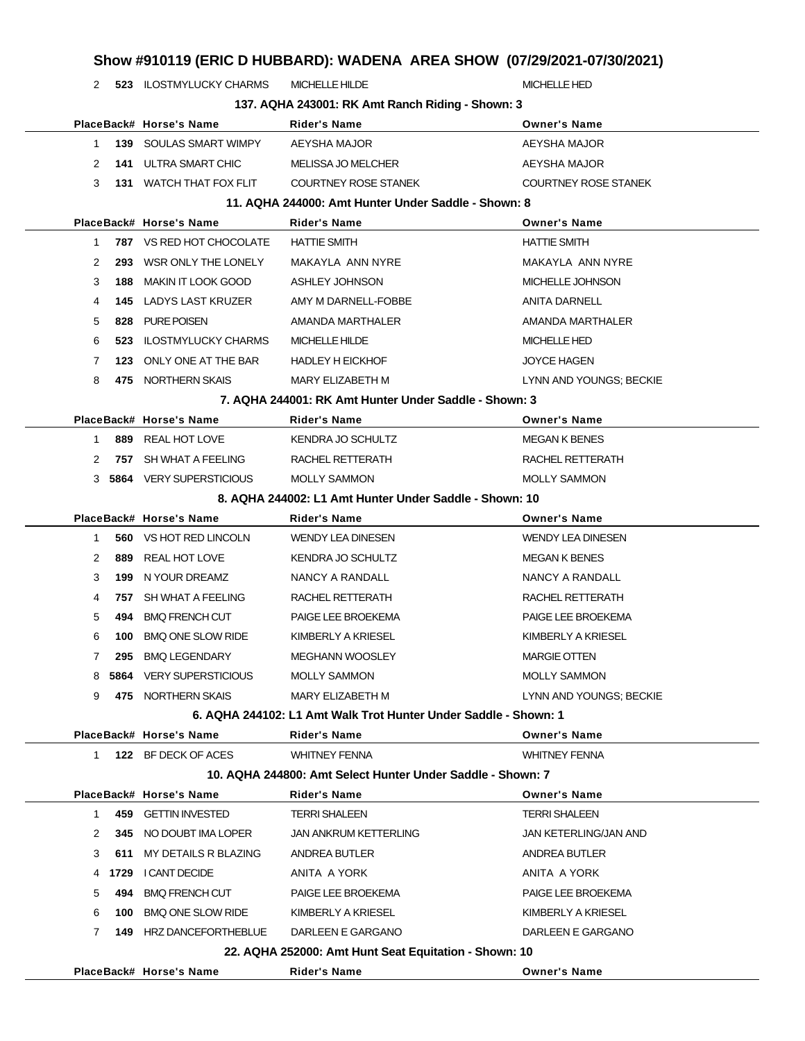**523** ILOSTMYLUCKY CHARMS MICHELLE HILDE MICHELLE HED MICHELLE HED

|              |     |                                 | 137. AQHA 243001: RK Amt Ranch Riding - Shown: 3                | <b>Owner's Name</b>         |
|--------------|-----|---------------------------------|-----------------------------------------------------------------|-----------------------------|
|              |     | PlaceBack# Horse's Name         | Rider's Name                                                    |                             |
| 1            | 139 | SOULAS SMART WIMPY              | AEYSHA MAJOR                                                    | AEYSHA MAJOR                |
| 2            | 141 | ULTRA SMART CHIC                | MELISSA JO MELCHER                                              | AEYSHA MAJOR                |
| 3            | 131 | WATCH THAT FOX FLIT             | <b>COURTNEY ROSE STANEK</b>                                     | <b>COURTNEY ROSE STANEK</b> |
|              |     |                                 | 11. AQHA 244000: Amt Hunter Under Saddle - Shown: 8             |                             |
|              |     | PlaceBack# Horse's Name         | <b>Rider's Name</b>                                             | <b>Owner's Name</b>         |
| 1            |     | <b>787 VS RED HOT CHOCOLATE</b> | <b>HATTIE SMITH</b>                                             | <b>HATTIE SMITH</b>         |
| 2            | 293 | WSR ONLY THE LONELY             | MAKAYLA ANN NYRE                                                | MAKAYLA ANN NYRE            |
| 3            | 188 | <b>MAKIN IT LOOK GOOD</b>       | ASHLEY JOHNSON                                                  | MICHELLE JOHNSON            |
| 4            |     | <b>145 LADYS LAST KRUZER</b>    | AMY M DARNELL-FOBBE                                             | <b>ANITA DARNELL</b>        |
| 5            | 828 | <b>PURE POISEN</b>              | AMANDA MARTHALER                                                | AMANDA MARTHALER            |
| 6            | 523 | <b>ILOSTMYLUCKY CHARMS</b>      | <b>MICHELLE HILDE</b>                                           | <b>MICHELLE HED</b>         |
| 7            | 123 | ONLY ONE AT THE BAR             | <b>HADLEY H EICKHOF</b>                                         | <b>JOYCE HAGEN</b>          |
| 8            | 475 | NORTHERN SKAIS                  | MARY ELIZABETH M                                                | LYNN AND YOUNGS; BECKIE     |
|              |     |                                 | 7. AQHA 244001: RK Amt Hunter Under Saddle - Shown: 3           |                             |
|              |     | PlaceBack# Horse's Name         | <b>Rider's Name</b>                                             | <b>Owner's Name</b>         |
| 1            | 889 | REAL HOT LOVE                   | <b>KENDRA JO SCHULTZ</b>                                        | <b>MEGAN K BENES</b>        |
| 2            | 757 | SH WHAT A FEELING               | RACHEL RETTERATH                                                | RACHEL RETTERATH            |
| 3            |     | 5864 VERY SUPERSTICIOUS         | <b>MOLLY SAMMON</b>                                             | <b>MOLLY SAMMON</b>         |
|              |     |                                 | 8. AQHA 244002: L1 Amt Hunter Under Saddle - Shown: 10          |                             |
|              |     | PlaceBack# Horse's Name         | Rider's Name                                                    | <b>Owner's Name</b>         |
| 1            |     | 560 VS HOT RED LINCOLN          | <b>WENDY LEA DINESEN</b>                                        | <b>WENDY LEA DINESEN</b>    |
| 2            | 889 | REAL HOT LOVE                   | <b>KENDRA JO SCHULTZ</b>                                        | <b>MEGAN K BENES</b>        |
| 3            | 199 | N YOUR DREAMZ                   | NANCY A RANDALL                                                 | NANCY A RANDALL             |
| 4            | 757 | SH WHAT A FEELING               | RACHEL RETTERATH                                                | RACHEL RETTERATH            |
| 5            | 494 | <b>BMQ FRENCH CUT</b>           | PAIGE LEE BROEKEMA                                              | <b>PAIGE LEE BROEKEMA</b>   |
| 6            | 100 | <b>BMQ ONE SLOW RIDE</b>        | KIMBERLY A KRIESEL                                              | KIMBERLY A KRIESEL          |
| 7            | 295 | <b>BMQ LEGENDARY</b>            | <b>MEGHANN WOOSLEY</b>                                          | <b>MARGIE OTTEN</b>         |
| 8            |     | <b>5864 VERY SUPERSTICIOUS</b>  | <b>MOLLY SAMMON</b>                                             | <b>MOLLY SAMMON</b>         |
| 9            |     | 475 NORTHERN SKAIS              | MARY ELIZABETH M                                                | LYNN AND YOUNGS; BECKIE     |
|              |     |                                 | 6. AQHA 244102: L1 Amt Walk Trot Hunter Under Saddle - Shown: 1 |                             |
|              |     | PlaceBack# Horse's Name         | Rider's Name                                                    | <b>Owner's Name</b>         |
| 1.           |     | 122 BF DECK OF ACES             | <b>WHITNEY FENNA</b>                                            | <b>WHITNEY FENNA</b>        |
|              |     |                                 | 10. AQHA 244800: Amt Select Hunter Under Saddle - Shown: 7      |                             |
|              |     | PlaceBack# Horse's Name         | Rider's Name                                                    | <b>Owner's Name</b>         |
| 1            | 459 | <b>GETTIN INVESTED</b>          | <b>TERRI SHALEEN</b>                                            | <b>TERRI SHALEEN</b>        |
| 2            |     | 345 NO DOUBT IMA LOPER          | <b>JAN ANKRUM KETTERLING</b>                                    | JAN KETERLING/JAN AND       |
| 3            | 611 | MY DETAILS R BLAZING            | ANDREA BUTLER                                                   | ANDREA BUTLER               |
|              |     | 4 1729 I CANT DECIDE            | ANITA A YORK                                                    | ANITA A YORK                |
| 5            | 494 | <b>BMQ FRENCH CUT</b>           | PAIGE LEE BROEKEMA                                              | PAIGE LEE BROEKEMA          |
| 6            | 100 | <b>BMQ ONE SLOW RIDE</b>        | KIMBERLY A KRIESEL                                              | KIMBERLY A KRIESEL          |
| $\mathbf{7}$ |     | 149 HRZ DANCEFORTHEBLUE         | DARLEEN E GARGANO                                               | DARLEEN E GARGANO           |
|              |     |                                 | 22. AQHA 252000: Amt Hunt Seat Equitation - Shown: 10           |                             |
|              |     | PlaceBack# Horse's Name         | <b>Rider's Name</b>                                             | <b>Owner's Name</b>         |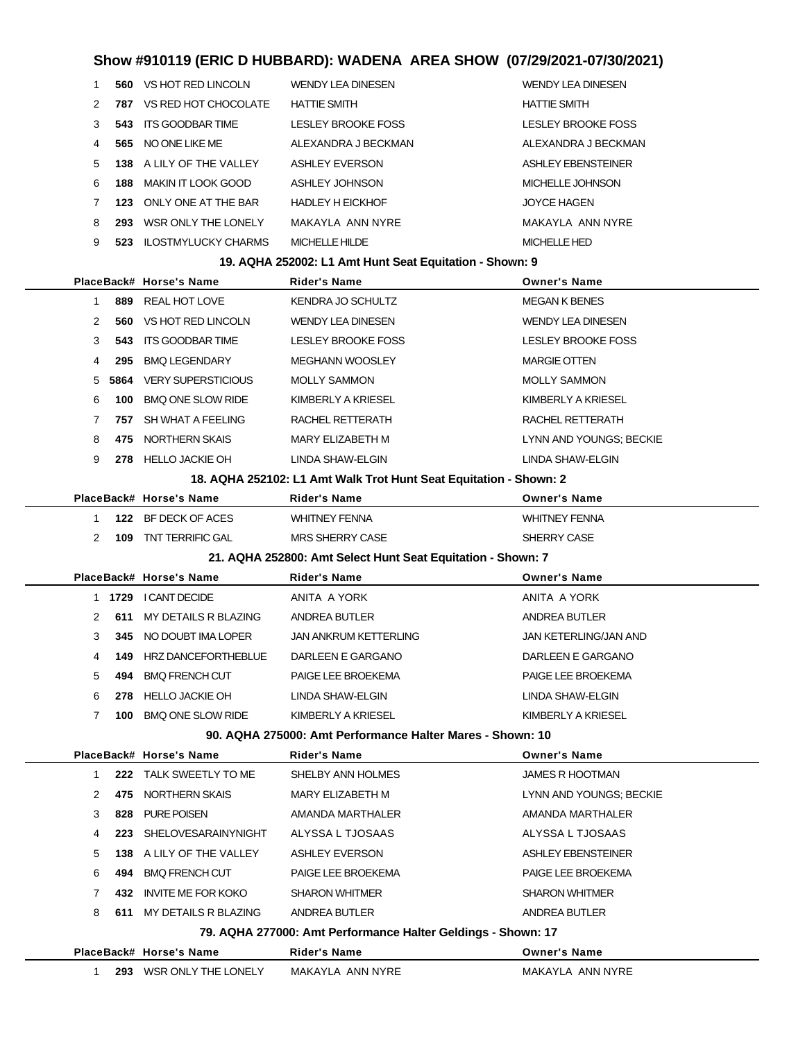|               |      | 560 VS HOT RED LINCOLN     | WENDY LEA DINESEN       | WENDY LEA DINESEN         |
|---------------|------|----------------------------|-------------------------|---------------------------|
| $\mathcal{P}$ | 787  | VS RED HOT CHOCOLATE       | <b>HATTIE SMITH</b>     | <b>HATTIE SMITH</b>       |
| 3             | 543  | ITS GOODBAR TIME           | LESLEY BROOKE FOSS      | <b>LESLEY BROOKE FOSS</b> |
| 4             | 565  | NO ONE LIKE ME             | ALEXANDRA J BECKMAN     | ALEXANDRA J BECKMAN       |
| .5            |      | 138 A LILY OF THE VALLEY   | <b>ASHLEY EVERSON</b>   | ASHLEY EBENSTEINER        |
| 6             | 188  | MAKIN IT LOOK GOOD         | ASHLEY JOHNSON          | MICHELLE JOHNSON          |
|               | 123. | ONI Y ONE AT THE BAR       | <b>HADLEY H EICKHOF</b> | <b>JOYCE HAGEN</b>        |
| 8             | 293  | WSR ONLY THE LONELY        | MAKAYI A ANN NYRF       | MAKAYLA ANN NYRE          |
| 9             | 523. | <b>ILOSTMYLUCKY CHARMS</b> | MICHELLE HILDE          | MICHELLE HED              |
|               |      |                            |                         |                           |

#### **19. AQHA 252002: L1 Amt Hunt Seat Equitation - Shown: 9**

| 19. AQHA 252002: L1 Amt Hunt Seat Equitation - Shown: 9 |      |                           |                                                                   |                              |  |  |
|---------------------------------------------------------|------|---------------------------|-------------------------------------------------------------------|------------------------------|--|--|
|                                                         |      | PlaceBack# Horse's Name   | <b>Rider's Name</b>                                               | <b>Owner's Name</b>          |  |  |
| 1                                                       | 889  | <b>REAL HOT LOVE</b>      | <b>KENDRA JO SCHULTZ</b>                                          | <b>MEGAN K BENES</b>         |  |  |
| 2                                                       | 560  | VS HOT RED LINCOLN        | <b>WENDY LEA DINESEN</b>                                          | <b>WENDY LEA DINESEN</b>     |  |  |
| 3                                                       | 543  | <b>ITS GOODBAR TIME</b>   | <b>LESLEY BROOKE FOSS</b>                                         | <b>LESLEY BROOKE FOSS</b>    |  |  |
| 4                                                       | 295  | <b>BMQ LEGENDARY</b>      | <b>MEGHANN WOOSLEY</b>                                            | <b>MARGIE OTTEN</b>          |  |  |
| 5                                                       | 5864 | <b>VERY SUPERSTICIOUS</b> | <b>MOLLY SAMMON</b>                                               | <b>MOLLY SAMMON</b>          |  |  |
| 6                                                       | 100  | <b>BMQ ONE SLOW RIDE</b>  | KIMBERLY A KRIESEL                                                | KIMBERLY A KRIESEL           |  |  |
| 7                                                       | 757  | SH WHAT A FEELING         | RACHEL RETTERATH                                                  | RACHEL RETTERATH             |  |  |
| 8                                                       | 475  | NORTHERN SKAIS            | <b>MARY ELIZABETH M</b>                                           | LYNN AND YOUNGS; BECKIE      |  |  |
| 9                                                       | 278  | <b>HELLO JACKIE OH</b>    | LINDA SHAW-ELGIN                                                  | LINDA SHAW-ELGIN             |  |  |
|                                                         |      |                           | 18. AQHA 252102: L1 Amt Walk Trot Hunt Seat Equitation - Shown: 2 |                              |  |  |
|                                                         |      | PlaceBack# Horse's Name   | <b>Rider's Name</b>                                               | <b>Owner's Name</b>          |  |  |
| 1                                                       |      | 122 BF DECK OF ACES       | <b>WHITNEY FENNA</b>                                              | <b>WHITNEY FENNA</b>         |  |  |
| 2                                                       | 109  | TNT TERRIFIC GAL          | <b>MRS SHERRY CASE</b>                                            | SHERRY CASE                  |  |  |
|                                                         |      |                           | 21. AQHA 252800: Amt Select Hunt Seat Equitation - Shown: 7       |                              |  |  |
|                                                         |      | PlaceBack# Horse's Name   | <b>Rider's Name</b>                                               | <b>Owner's Name</b>          |  |  |
|                                                         |      | 1 1729 I CANT DECIDE      | ANITA A YORK                                                      | ANITA A YORK                 |  |  |
| 2                                                       | 611  | MY DETAILS R BLAZING      | ANDREA BUTLER                                                     | ANDREA BUTLER                |  |  |
| 3                                                       | 345  | NO DOUBT IMA LOPER        | <b>JAN ANKRUM KETTERLING</b>                                      | <b>JAN KETERLING/JAN AND</b> |  |  |
| 4                                                       | 149. | HRZ DANCEFORTHEBLUE       | DARLEEN E GARGANO                                                 | DARLEEN E GARGANO            |  |  |
| 5                                                       | 494  | <b>BMQ FRENCH CUT</b>     | PAIGE LEE BROEKEMA                                                | PAIGE LEE BROEKEMA           |  |  |
| 6                                                       | 278  | <b>HELLO JACKIE OH</b>    | LINDA SHAW-ELGIN                                                  | LINDA SHAW-ELGIN             |  |  |
| $\overline{7}$                                          | 100  | <b>BMQ ONE SLOW RIDE</b>  | KIMBERLY A KRIESEL                                                | KIMBERLY A KRIESEL           |  |  |
|                                                         |      |                           | 90. AQHA 275000: Amt Performance Halter Mares - Shown: 10         |                              |  |  |
|                                                         |      | PlaceBack# Horse's Name   | <b>Rider's Name</b>                                               | <b>Owner's Name</b>          |  |  |
| 1                                                       | 222  | TALK SWEETLY TO ME        | SHELBY ANN HOLMES                                                 | <b>JAMES R HOOTMAN</b>       |  |  |
| 2                                                       | 475  | NORTHERN SKAIS            | <b>MARY ELIZABETH M</b>                                           | LYNN AND YOUNGS; BECKIE      |  |  |
| 3                                                       | 828  | <b>PURE POISEN</b>        | AMANDA MARTHALER                                                  | AMANDA MARTHALER             |  |  |
| 4                                                       | 223  | SHELOVESARAINYNIGHT       | ALYSSA L TJOSAAS                                                  | ALYSSA L TJOSAAS             |  |  |

 **494** BMQ FRENCH CUT PAIGE LEE BROEKEMA PAIGE LEE BROEKEMA **432** INVITE ME FOR KOKO SHARON WHITMER SHARON WHITMER

**138** A LILY OF THE VALLEY ASHLEY EVERSON ASHLEY ASHLEY EBENSTEINER

**611** MY DETAILS R BLAZING ANDREA BUTLER AND ANDREA BUTLER

**79. AQHA 277000: Amt Performance Halter Geldings - Shown: 17**

- **PlaceBack# Horse's Name Rider's Name Owner's Name**
	- **293** WSR ONLY THE LONELY MAKAYLA ANN NYRE MAKAYLA ANN NYRE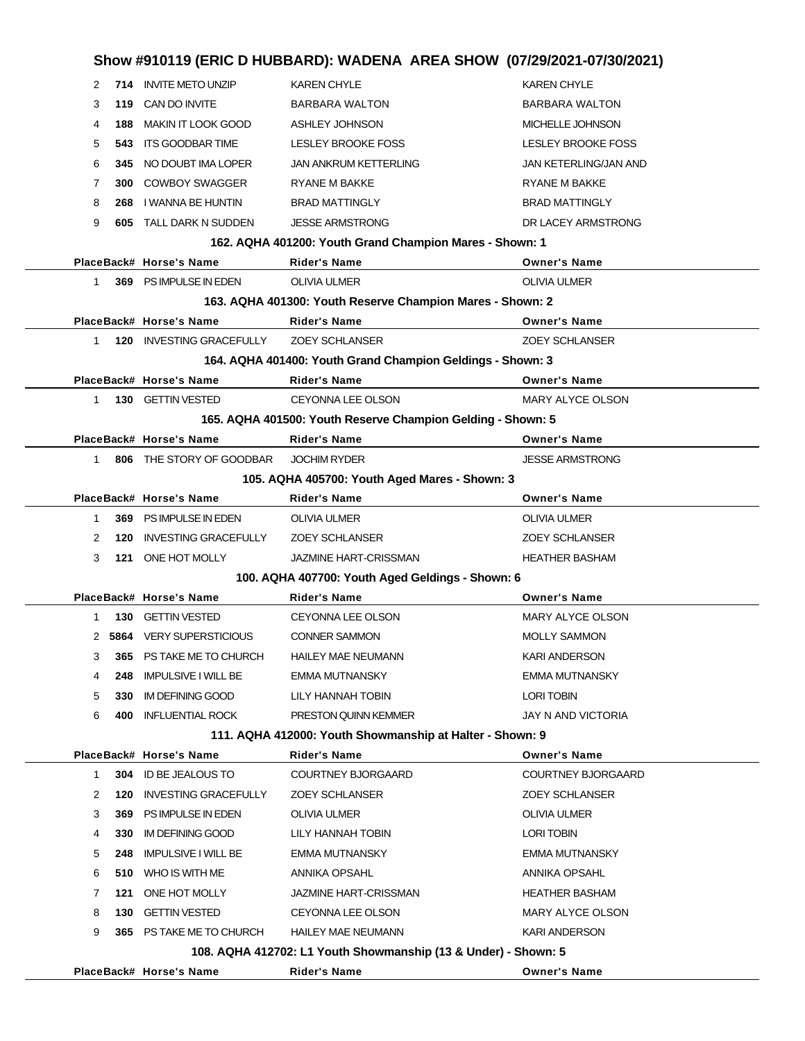| Show #910119 (ERIC D HUBBARD): WADENA AREA SHOW (07/29/2021-07/30/2021) |     |                               |                                                                |                           |
|-------------------------------------------------------------------------|-----|-------------------------------|----------------------------------------------------------------|---------------------------|
| 2                                                                       |     | 714 INVITE METO UNZIP         | <b>KAREN CHYLE</b>                                             | <b>KAREN CHYLE</b>        |
| 3                                                                       |     | 119 CAN DO INVITE             | <b>BARBARA WALTON</b>                                          | <b>BARBARA WALTON</b>     |
| 4                                                                       | 188 | <b>MAKIN IT LOOK GOOD</b>     | ASHLEY JOHNSON                                                 | MICHELLE JOHNSON          |
| 5                                                                       | 543 | ITS GOODBAR TIME              | LESLEY BROOKE FOSS                                             | LESLEY BROOKE FOSS        |
| 6                                                                       | 345 | NO DOUBT IMA LOPER            | <b>JAN ANKRUM KETTERLING</b>                                   | JAN KETERLING/JAN AND     |
| 7                                                                       |     | <b>300 COWBOY SWAGGER</b>     | <b>RYANE M BAKKE</b>                                           | <b>RYANE M BAKKE</b>      |
| 8                                                                       | 268 | I WANNA BE HUNTIN             | <b>BRAD MATTINGLY</b>                                          | <b>BRAD MATTINGLY</b>     |
| 9                                                                       |     | <b>605 TALL DARK N SUDDEN</b> | <b>JESSE ARMSTRONG</b>                                         | DR LACEY ARMSTRONG        |
|                                                                         |     |                               | 162. AQHA 401200: Youth Grand Champion Mares - Shown: 1        |                           |
|                                                                         |     | PlaceBack# Horse's Name       | <b>Rider's Name</b>                                            | <b>Owner's Name</b>       |
| 1.                                                                      |     | 369 PS IMPULSE IN EDEN        | <b>OLIVIA ULMER</b>                                            | <b>OLIVIA ULMER</b>       |
|                                                                         |     |                               | 163. AQHA 401300: Youth Reserve Champion Mares - Shown: 2      |                           |
|                                                                         |     | PlaceBack# Horse's Name       | <b>Rider's Name</b>                                            | <b>Owner's Name</b>       |
| 1.                                                                      |     | 120 INVESTING GRACEFULLY      | <b>ZOEY SCHLANSER</b>                                          | <b>ZOEY SCHLANSER</b>     |
|                                                                         |     |                               | 164. AQHA 401400: Youth Grand Champion Geldings - Shown: 3     |                           |
|                                                                         |     | PlaceBack# Horse's Name       | <b>Rider's Name</b>                                            | <b>Owner's Name</b>       |
| 1                                                                       |     | 130 GETTIN VESTED             | <b>CEYONNA LEE OLSON</b>                                       | MARY ALYCE OLSON          |
|                                                                         |     |                               | 165. AQHA 401500: Youth Reserve Champion Gelding - Shown: 5    |                           |
|                                                                         |     | PlaceBack# Horse's Name       | <b>Rider's Name</b>                                            | <b>Owner's Name</b>       |
| $\mathbf{1}$                                                            |     | 806 THE STORY OF GOODBAR      | <b>JOCHIM RYDER</b>                                            | <b>JESSE ARMSTRONG</b>    |
|                                                                         |     |                               | 105. AQHA 405700: Youth Aged Mares - Shown: 3                  |                           |
|                                                                         |     | PlaceBack# Horse's Name       | <b>Rider's Name</b>                                            | <b>Owner's Name</b>       |
| 1                                                                       |     | 369 PS IMPULSE IN EDEN        | <b>OLIVIA ULMER</b>                                            | OLIVIA ULMER              |
| 2                                                                       | 120 | <b>INVESTING GRACEFULLY</b>   | <b>ZOEY SCHLANSER</b>                                          | <b>ZOEY SCHLANSER</b>     |
| 3                                                                       | 121 | ONE HOT MOLLY                 | <b>JAZMINE HART-CRISSMAN</b>                                   | <b>HEATHER BASHAM</b>     |
|                                                                         |     |                               | 100. AQHA 407700: Youth Aged Geldings - Shown: 6               |                           |
|                                                                         |     | PlaceBack# Horse's Name       | Rider's Name                                                   | <b>Owner's Name</b>       |
| 1                                                                       |     | 130 GETTIN VESTED             | <b>CEYONNA LEE OLSON</b>                                       | <b>MARY ALYCE OLSON</b>   |
|                                                                         |     | 2 5864 VERY SUPERSTICIOUS     | <b>CONNER SAMMON</b>                                           | <b>MOLLY SAMMON</b>       |
| 3                                                                       |     | 365 PS TAKE ME TO CHURCH      | <b>HAILEY MAE NEUMANN</b>                                      | KARI ANDERSON             |
| 4                                                                       | 248 | <b>IMPULSIVE I WILL BE</b>    | EMMA MUTNANSKY                                                 | EMMA MUTNANSKY            |
| 5                                                                       | 330 | IM DEFINING GOOD              | LILY HANNAH TOBIN                                              | <b>LORI TOBIN</b>         |
| 6                                                                       | 400 | <b>INFLUENTIAL ROCK</b>       | PRESTON QUINN KEMMER                                           | JAY N AND VICTORIA        |
|                                                                         |     |                               | 111. AQHA 412000: Youth Showmanship at Halter - Shown: 9       |                           |
|                                                                         |     | PlaceBack# Horse's Name       | <b>Rider's Name</b>                                            | Owner's Name              |
| $\mathbf{1}$                                                            |     | 304 ID BE JEALOUS TO          | <b>COURTNEY BJORGAARD</b>                                      | <b>COURTNEY BJORGAARD</b> |
| 2                                                                       | 120 | <b>INVESTING GRACEFULLY</b>   | <b>ZOEY SCHLANSER</b>                                          | ZOEY SCHLANSER            |
| 3                                                                       | 369 | PS IMPULSE IN EDEN            | <b>OLIVIA ULMER</b>                                            | OLIVIA ULMER              |
| 4                                                                       | 330 | <b>IM DEFINING GOOD</b>       | LILY HANNAH TOBIN                                              | <b>LORI TOBIN</b>         |
| 5                                                                       | 248 | <b>IMPULSIVE I WILL BE</b>    | EMMA MUTNANSKY                                                 | EMMA MUTNANSKY            |
| 6                                                                       |     | 510 WHO IS WITH ME            | ANNIKA OPSAHL                                                  | ANNIKA OPSAHL             |
| 7                                                                       | 121 | ONE HOT MOLLY                 | JAZMINE HART-CRISSMAN                                          | <b>HEATHER BASHAM</b>     |
| 8                                                                       | 130 | <b>GETTIN VESTED</b>          | CEYONNA LEE OLSON                                              | MARY ALYCE OLSON          |
| 9                                                                       |     | 365 PS TAKE ME TO CHURCH      | <b>HAILEY MAE NEUMANN</b>                                      | KARI ANDERSON             |
|                                                                         |     |                               | 108. AQHA 412702: L1 Youth Showmanship (13 & Under) - Shown: 5 |                           |
|                                                                         |     | PlaceBack# Horse's Name       | <b>Rider's Name</b>                                            | <b>Owner's Name</b>       |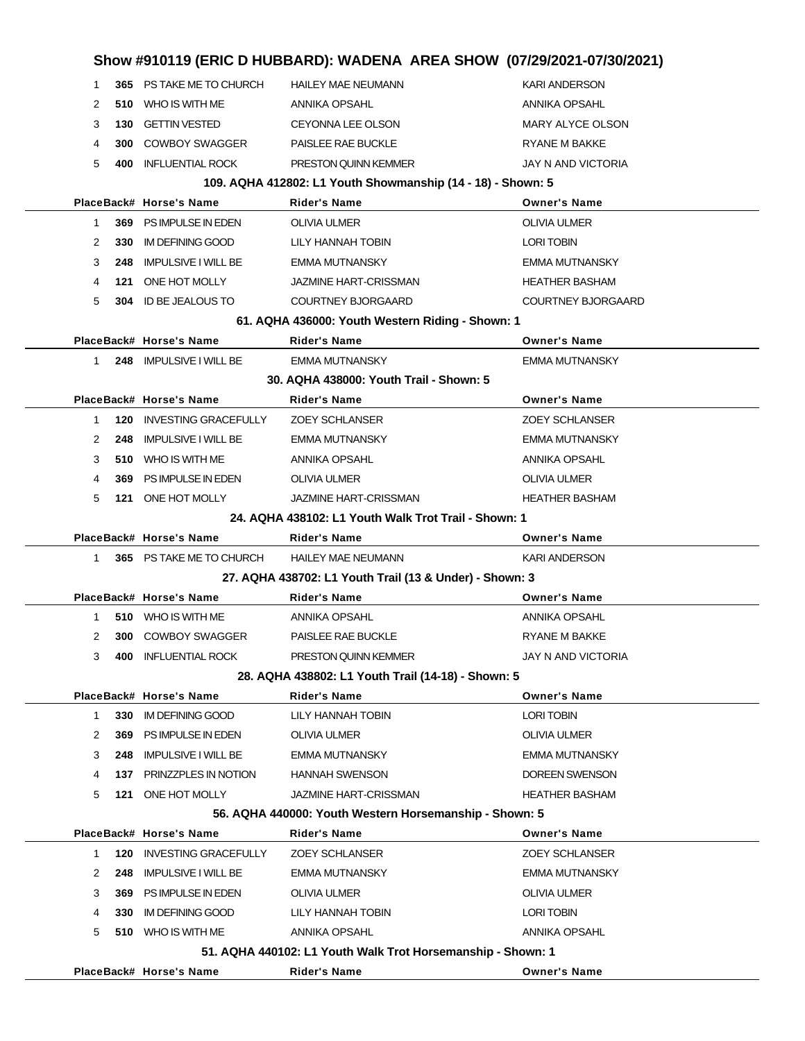| Show #910119 (ERIC D HUBBARD): WADENA AREA SHOW (07/29/2021-07/30/2021) |     |                                                        |                                                             |                                              |  |
|-------------------------------------------------------------------------|-----|--------------------------------------------------------|-------------------------------------------------------------|----------------------------------------------|--|
| 1                                                                       |     | 365 PS TAKE ME TO CHURCH                               | <b>HAILEY MAE NEUMANN</b>                                   | <b>KARI ANDERSON</b>                         |  |
| 2                                                                       | 510 | WHO IS WITH ME                                         | ANNIKA OPSAHL                                               | <b>ANNIKA OPSAHL</b>                         |  |
| 3                                                                       | 130 | <b>GETTIN VESTED</b>                                   | <b>CEYONNA LEE OLSON</b>                                    | MARY ALYCE OLSON                             |  |
| 4                                                                       | 300 | <b>COWBOY SWAGGER</b>                                  | PAISLEE RAE BUCKLE                                          | <b>RYANE M BAKKE</b>                         |  |
| 5                                                                       | 400 | <b>INFLUENTIAL ROCK</b>                                | PRESTON QUINN KEMMER                                        | JAY N AND VICTORIA                           |  |
|                                                                         |     |                                                        | 109. AQHA 412802: L1 Youth Showmanship (14 - 18) - Shown: 5 |                                              |  |
|                                                                         |     | PlaceBack# Horse's Name                                | <b>Rider's Name</b>                                         | <b>Owner's Name</b>                          |  |
| 1.                                                                      |     | 369 PS IMPULSE IN EDEN                                 | <b>OLIVIA ULMER</b>                                         | <b>OLIVIA ULMER</b>                          |  |
| 2                                                                       | 330 | <b>IM DEFINING GOOD</b>                                | LILY HANNAH TOBIN                                           | <b>LORI TOBIN</b>                            |  |
| 3                                                                       | 248 | <b>IMPULSIVE I WILL BE</b>                             | <b>EMMA MUTNANSKY</b>                                       | <b>EMMA MUTNANSKY</b>                        |  |
| 4                                                                       | 121 | ONE HOT MOLLY                                          | <b>JAZMINE HART-CRISSMAN</b>                                | <b>HEATHER BASHAM</b>                        |  |
| 5                                                                       | 304 | ID BE JEALOUS TO                                       | <b>COURTNEY BJORGAARD</b>                                   | COURTNEY BJORGAARD                           |  |
|                                                                         |     |                                                        | 61. AQHA 436000: Youth Western Riding - Shown: 1            |                                              |  |
|                                                                         |     | PlaceBack# Horse's Name                                | Rider's Name                                                | <b>Owner's Name</b>                          |  |
| 1.                                                                      |     | 248 IMPULSIVE I WILL BE                                | <b>EMMA MUTNANSKY</b>                                       | <b>EMMA MUTNANSKY</b>                        |  |
|                                                                         |     |                                                        | 30. AQHA 438000: Youth Trail - Shown: 5                     |                                              |  |
|                                                                         |     | PlaceBack# Horse's Name                                | Rider's Name                                                | <b>Owner's Name</b>                          |  |
| 1                                                                       | 120 | <b>INVESTING GRACEFULLY</b>                            | <b>ZOEY SCHLANSER</b>                                       | <b>ZOEY SCHLANSER</b>                        |  |
| 2                                                                       | 248 | <b>IMPULSIVE I WILL BE</b>                             | <b>EMMA MUTNANSKY</b>                                       | <b>EMMA MUTNANSKY</b>                        |  |
| 3                                                                       | 510 | WHO IS WITH ME                                         | ANNIKA OPSAHL                                               | ANNIKA OPSAHL                                |  |
| 4                                                                       | 369 | PS IMPULSE IN EDEN                                     | OLIVIA ULMER                                                | <b>OLIVIA ULMER</b>                          |  |
| 5                                                                       | 121 | ONE HOT MOLLY                                          | <b>JAZMINE HART-CRISSMAN</b>                                | <b>HEATHER BASHAM</b>                        |  |
|                                                                         |     |                                                        | 24. AQHA 438102: L1 Youth Walk Trot Trail - Shown: 1        |                                              |  |
|                                                                         |     | PlaceBack# Horse's Name                                | Rider's Name                                                | <b>Owner's Name</b>                          |  |
| 1                                                                       |     | 365 PS TAKE ME TO CHURCH                               | <b>HAILEY MAE NEUMANN</b>                                   | <b>KARI ANDERSON</b>                         |  |
|                                                                         |     |                                                        | 27. AQHA 438702: L1 Youth Trail (13 & Under) - Shown: 3     |                                              |  |
|                                                                         |     | PlaceBack# Horse's Name                                | <b>Rider's Name</b>                                         | <b>Owner's Name</b>                          |  |
| 1                                                                       | 510 | WHO IS WITH ME                                         | ANNIKA OPSAHL                                               | ANNIKA OPSAHL                                |  |
| 2                                                                       | 300 | <b>COWBOY SWAGGER</b>                                  | PAISLEE RAE BUCKLE                                          | <b>RYANE M BAKKE</b>                         |  |
| 3                                                                       | 400 | <b>INFLUENTIAL ROCK</b>                                | PRESTON QUINN KEMMER                                        | JAY N AND VICTORIA                           |  |
|                                                                         |     |                                                        | 28. AQHA 438802: L1 Youth Trail (14-18) - Shown: 5          |                                              |  |
|                                                                         |     | PlaceBack# Horse's Name                                | <b>Rider's Name</b>                                         | <b>Owner's Name</b>                          |  |
| 1                                                                       | 330 | <b>IM DEFINING GOOD</b>                                | LILY HANNAH TOBIN                                           | <b>LORI TOBIN</b>                            |  |
| 2                                                                       | 369 | PS IMPULSE IN EDEN                                     | OLIVIA ULMER                                                | <b>OLIVIA ULMER</b>                          |  |
| 3                                                                       | 248 | <b>IMPULSIVE I WILL BE</b>                             | <b>EMMA MUTNANSKY</b>                                       | <b>EMMA MUTNANSKY</b>                        |  |
| 4                                                                       | 137 | PRINZZPLES IN NOTION                                   | <b>HANNAH SWENSON</b>                                       | DOREEN SWENSON                               |  |
| 5                                                                       | 121 | ONE HOT MOLLY                                          | JAZMINE HART-CRISSMAN                                       | <b>HEATHER BASHAM</b>                        |  |
|                                                                         |     |                                                        | 56. AQHA 440000: Youth Western Horsemanship - Shown: 5      |                                              |  |
| 1                                                                       | 120 | PlaceBack# Horse's Name<br><b>INVESTING GRACEFULLY</b> | Rider's Name<br><b>ZOEY SCHLANSER</b>                       | <b>Owner's Name</b><br><b>ZOEY SCHLANSER</b> |  |
| 2                                                                       | 248 | <b>IMPULSIVE I WILL BE</b>                             | <b>EMMA MUTNANSKY</b>                                       | <b>EMMA MUTNANSKY</b>                        |  |
| 3                                                                       | 369 | PS IMPULSE IN EDEN                                     | <b>OLIVIA ULMER</b>                                         | <b>OLIVIA ULMER</b>                          |  |
| 4                                                                       | 330 | <b>IM DEFINING GOOD</b>                                | LILY HANNAH TOBIN                                           | <b>LORI TOBIN</b>                            |  |
| 5                                                                       |     | 510 WHO IS WITH ME                                     | ANNIKA OPSAHL                                               | ANNIKA OPSAHL                                |  |
|                                                                         |     |                                                        | 51. AQHA 440102: L1 Youth Walk Trot Horsemanship - Shown: 1 |                                              |  |
|                                                                         |     | PlaceBack# Horse's Name                                | <b>Rider's Name</b>                                         | <b>Owner's Name</b>                          |  |
|                                                                         |     |                                                        |                                                             |                                              |  |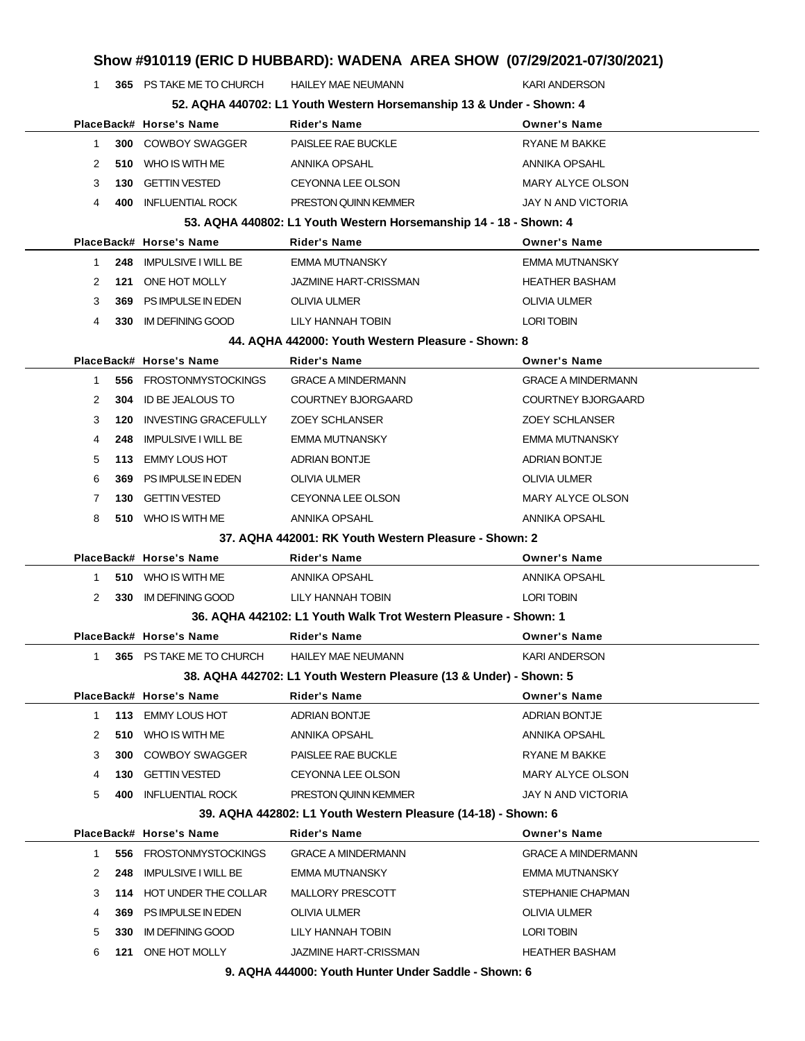| Show #910119 (ERIC D HUBBARD): WADENA AREA SHOW (07/29/2021-07/30/2021) |             |                             |                                                                      |                           |  |
|-------------------------------------------------------------------------|-------------|-----------------------------|----------------------------------------------------------------------|---------------------------|--|
|                                                                         | $\mathbf 1$ | 365 PS TAKE ME TO CHURCH    | <b>HAILEY MAE NEUMANN</b>                                            | <b>KARI ANDERSON</b>      |  |
|                                                                         |             |                             | 52. AQHA 440702: L1 Youth Western Horsemanship 13 & Under - Shown: 4 |                           |  |
|                                                                         |             | PlaceBack# Horse's Name     | <b>Rider's Name</b>                                                  | <b>Owner's Name</b>       |  |
|                                                                         | 300<br>1    | COWBOY SWAGGER              | PAISLEE RAE BUCKLE                                                   | <b>RYANE M BAKKE</b>      |  |
|                                                                         | 2<br>510    | WHO IS WITH ME              | ANNIKA OPSAHL                                                        | ANNIKA OPSAHL             |  |
|                                                                         | 3<br>130    | <b>GETTIN VESTED</b>        | <b>CEYONNA LEE OLSON</b>                                             | MARY ALYCE OLSON          |  |
|                                                                         | 400<br>4    | <b>INFLUENTIAL ROCK</b>     | <b>PRESTON QUINN KEMMER</b>                                          | JAY N AND VICTORIA        |  |
|                                                                         |             |                             | 53. AQHA 440802: L1 Youth Western Horsemanship 14 - 18 - Shown: 4    |                           |  |
|                                                                         |             | PlaceBack# Horse's Name     | <b>Rider's Name</b>                                                  | <b>Owner's Name</b>       |  |
|                                                                         | 1<br>248    | <b>IMPULSIVE I WILL BE</b>  | EMMA MUTNANSKY                                                       | EMMA MUTNANSKY            |  |
|                                                                         | 2<br>121    | ONE HOT MOLLY               | <b>JAZMINE HART-CRISSMAN</b>                                         | <b>HEATHER BASHAM</b>     |  |
|                                                                         | 3<br>369    | PS IMPULSE IN EDEN          | <b>OLIVIA ULMER</b>                                                  | OLIVIA ULMER              |  |
|                                                                         | 4<br>330    | <b>IM DEFINING GOOD</b>     | LILY HANNAH TOBIN                                                    | <b>LORI TOBIN</b>         |  |
|                                                                         |             |                             | 44. AQHA 442000: Youth Western Pleasure - Shown: 8                   |                           |  |
|                                                                         |             | PlaceBack# Horse's Name     | <b>Rider's Name</b>                                                  | <b>Owner's Name</b>       |  |
|                                                                         | 556<br>1    | <b>FROSTONMYSTOCKINGS</b>   | <b>GRACE A MINDERMANN</b>                                            | <b>GRACE A MINDERMANN</b> |  |
|                                                                         | 2<br>304    | <b>ID BE JEALOUS TO</b>     | <b>COURTNEY BJORGAARD</b>                                            | <b>COURTNEY BJORGAARD</b> |  |
|                                                                         | 3<br>120    | <b>INVESTING GRACEFULLY</b> | <b>ZOEY SCHLANSER</b>                                                | <b>ZOEY SCHLANSER</b>     |  |
|                                                                         | 4<br>248    | <b>IMPULSIVE I WILL BE</b>  | EMMA MUTNANSKY                                                       | EMMA MUTNANSKY            |  |
|                                                                         | 113<br>5    | <b>EMMY LOUS HOT</b>        | <b>ADRIAN BONTJE</b>                                                 | <b>ADRIAN BONTJE</b>      |  |
|                                                                         | 6<br>369    | PS IMPULSE IN EDEN          | <b>OLIVIA ULMER</b>                                                  | <b>OLIVIA ULMER</b>       |  |
|                                                                         | 130<br>7    | <b>GETTIN VESTED</b>        | CEYONNA LEE OLSON                                                    | <b>MARY ALYCE OLSON</b>   |  |
|                                                                         | 8           | 510 WHO IS WITH ME          | ANNIKA OPSAHL                                                        | ANNIKA OPSAHL             |  |
|                                                                         |             |                             | 37. AQHA 442001: RK Youth Western Pleasure - Shown: 2                |                           |  |
|                                                                         |             | PlaceBack# Horse's Name     | <b>Rider's Name</b>                                                  | <b>Owner's Name</b>       |  |
|                                                                         | 1           | 510 WHO IS WITH ME          | ANNIKA OPSAHL                                                        | <b>ANNIKA OPSAHL</b>      |  |
|                                                                         | 2<br>330    | <b>IM DEFINING GOOD</b>     | LILY HANNAH TOBIN                                                    | <b>LORI TOBIN</b>         |  |
|                                                                         |             |                             | 36. AQHA 442102: L1 Youth Walk Trot Western Pleasure - Shown: 1      |                           |  |
|                                                                         |             | PlaceBack# Horse's Name     | <b>Rider's Name</b>                                                  | <b>Owner's Name</b>       |  |
|                                                                         | 1           | 365 PS TAKE ME TO CHURCH    | <b>HAILEY MAE NEUMANN</b>                                            | KARI ANDERSON             |  |
|                                                                         |             |                             | 38. AQHA 442702: L1 Youth Western Pleasure (13 & Under) - Shown: 5   |                           |  |
|                                                                         |             | PlaceBack# Horse's Name     | <b>Rider's Name</b>                                                  | <b>Owner's Name</b>       |  |
|                                                                         | 1           | 113 EMMY LOUS HOT           | <b>ADRIAN BONTJE</b>                                                 | <b>ADRIAN BONTJE</b>      |  |
|                                                                         | 2           | 510 WHO IS WITH ME          | ANNIKA OPSAHL                                                        | ANNIKA OPSAHL             |  |
|                                                                         | 3<br>300    | <b>COWBOY SWAGGER</b>       | PAISLEE RAE BUCKLE                                                   | RYANE M BAKKE             |  |
|                                                                         | 4<br>130    | <b>GETTIN VESTED</b>        | CEYONNA LEE OLSON                                                    | MARY ALYCE OLSON          |  |
|                                                                         | 5<br>400    | <b>INFLUENTIAL ROCK</b>     | PRESTON QUINN KEMMER                                                 | JAY N AND VICTORIA        |  |
|                                                                         |             |                             | 39. AQHA 442802: L1 Youth Western Pleasure (14-18) - Shown: 6        |                           |  |
|                                                                         |             | PlaceBack# Horse's Name     | Rider's Name                                                         | <b>Owner's Name</b>       |  |
|                                                                         | 1<br>556    | <b>FROSTONMYSTOCKINGS</b>   | <b>GRACE A MINDERMANN</b>                                            | <b>GRACE A MINDERMANN</b> |  |
|                                                                         | 2<br>248    | <b>IMPULSIVE I WILL BE</b>  | EMMA MUTNANSKY                                                       | <b>EMMA MUTNANSKY</b>     |  |
|                                                                         | 3           | 114 HOT UNDER THE COLLAR    | MALLORY PRESCOTT                                                     | STEPHANIE CHAPMAN         |  |
|                                                                         | 4<br>369    | PS IMPULSE IN EDEN          | OLIVIA ULMER                                                         | OLIVIA ULMER              |  |
|                                                                         | 5<br>330    | IM DEFINING GOOD            | LILY HANNAH TOBIN                                                    | LORI TOBIN                |  |
|                                                                         | 6           | 121 ONE HOT MOLLY           | JAZMINE HART-CRISSMAN                                                | <b>HEATHER BASHAM</b>     |  |
|                                                                         |             |                             | 9. AQHA 444000: Youth Hunter Under Saddle - Shown: 6                 |                           |  |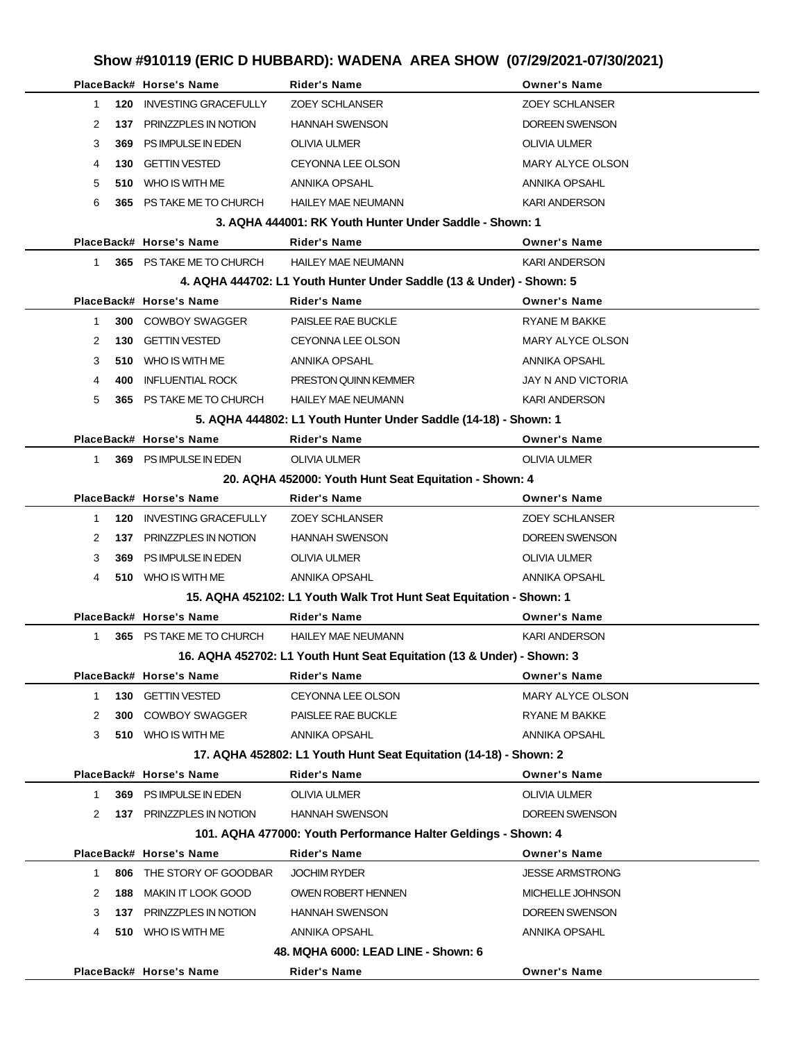|              |     | PlaceBack# Horse's Name     | <b>Rider's Name</b>                                                    | <b>Owner's Name</b>     |
|--------------|-----|-----------------------------|------------------------------------------------------------------------|-------------------------|
| 1            | 120 | <b>INVESTING GRACEFULLY</b> | <b>ZOEY SCHLANSER</b>                                                  | <b>ZOEY SCHLANSER</b>   |
| 2            | 137 | PRINZZPLES IN NOTION        | <b>HANNAH SWENSON</b>                                                  | <b>DOREEN SWENSON</b>   |
| 3            | 369 | PS IMPULSE IN EDEN          | <b>OLIVIA ULMER</b>                                                    | <b>OLIVIA ULMER</b>     |
| 4            | 130 | <b>GETTIN VESTED</b>        | <b>CEYONNA LEE OLSON</b>                                               | <b>MARY ALYCE OLSON</b> |
| 5            | 510 | WHO IS WITH ME              | ANNIKA OPSAHL                                                          | <b>ANNIKA OPSAHL</b>    |
| 6            | 365 | PS TAKE ME TO CHURCH        | <b>HAILEY MAE NEUMANN</b>                                              | <b>KARI ANDERSON</b>    |
|              |     |                             | 3. AQHA 444001: RK Youth Hunter Under Saddle - Shown: 1                |                         |
|              |     | PlaceBack# Horse's Name     | Rider's Name                                                           | <b>Owner's Name</b>     |
| $\mathbf 1$  |     | 365 PS TAKE ME TO CHURCH    | <b>HAILEY MAE NEUMANN</b>                                              | <b>KARI ANDERSON</b>    |
|              |     |                             | 4. AQHA 444702: L1 Youth Hunter Under Saddle (13 & Under) - Shown: 5   |                         |
|              |     | PlaceBack# Horse's Name     | <b>Rider's Name</b>                                                    | <b>Owner's Name</b>     |
| $\mathbf 1$  | 300 | <b>COWBOY SWAGGER</b>       | PAISLEE RAE BUCKLE                                                     | <b>RYANE M BAKKE</b>    |
| 2            | 130 | <b>GETTIN VESTED</b>        | <b>CEYONNA LEE OLSON</b>                                               | MARY ALYCE OLSON        |
| 3            | 510 | WHO IS WITH ME              | ANNIKA OPSAHL                                                          | ANNIKA OPSAHL           |
| 4            | 400 | <b>INFLUENTIAL ROCK</b>     | <b>PRESTON QUINN KEMMER</b>                                            | JAY N AND VICTORIA      |
| 5            | 365 | PS TAKE ME TO CHURCH        | <b>HAILEY MAE NEUMANN</b>                                              | <b>KARI ANDERSON</b>    |
|              |     |                             | 5. AQHA 444802: L1 Youth Hunter Under Saddle (14-18) - Shown: 1        |                         |
|              |     | PlaceBack# Horse's Name     | <b>Rider's Name</b>                                                    | <b>Owner's Name</b>     |
| 1            |     | 369 PS IMPULSE IN EDEN      | <b>OLIVIA ULMER</b>                                                    | <b>OLIVIA ULMER</b>     |
|              |     |                             | 20. AQHA 452000: Youth Hunt Seat Equitation - Shown: 4                 |                         |
|              |     | PlaceBack# Horse's Name     | Rider's Name                                                           | <b>Owner's Name</b>     |
| 1            | 120 | <b>INVESTING GRACEFULLY</b> | <b>ZOEY SCHLANSER</b>                                                  | <b>ZOEY SCHLANSER</b>   |
| 2            | 137 | PRINZZPLES IN NOTION        | <b>HANNAH SWENSON</b>                                                  | <b>DOREEN SWENSON</b>   |
| 3            | 369 | PS IMPULSE IN EDEN          | <b>OLIVIA ULMER</b>                                                    | <b>OLIVIA ULMER</b>     |
| 4            |     | 510 WHO IS WITH ME          | ANNIKA OPSAHL                                                          | ANNIKA OPSAHL           |
|              |     |                             | 15. AQHA 452102: L1 Youth Walk Trot Hunt Seat Equitation - Shown: 1    |                         |
|              |     | PlaceBack# Horse's Name     | Rider's Name                                                           | <b>Owner's Name</b>     |
| $\mathbf 1$  |     | 365 PS TAKE ME TO CHURCH    | <b>HAILEY MAE NEUMANN</b>                                              | <b>KARI ANDERSON</b>    |
|              |     |                             | 16. AQHA 452702: L1 Youth Hunt Seat Equitation (13 & Under) - Shown: 3 |                         |
|              |     | PlaceBack# Horse's Name     | Rider's Name                                                           | <b>Owner's Name</b>     |
| 1            | 130 | <b>GETTIN VESTED</b>        | <b>CEYONNA LEE OLSON</b>                                               | <b>MARY ALYCE OLSON</b> |
| 2            | 300 | <b>COWBOY SWAGGER</b>       | PAISLEE RAE BUCKLE                                                     | <b>RYANE M BAKKE</b>    |
| 3            |     | 510 WHO IS WITH ME          | ANNIKA OPSAHL                                                          | ANNIKA OPSAHL           |
|              |     |                             | 17. AQHA 452802: L1 Youth Hunt Seat Equitation (14-18) - Shown: 2      |                         |
|              |     | PlaceBack# Horse's Name     | Rider's Name                                                           | <b>Owner's Name</b>     |
| 1            | 369 | PS IMPULSE IN EDEN          | OLIVIA ULMER                                                           | OLIVIA ULMER            |
| 2            |     | 137 PRINZZPLES IN NOTION    | <b>HANNAH SWENSON</b>                                                  | DOREEN SWENSON          |
|              |     |                             | 101. AQHA 477000: Youth Performance Halter Geldings - Shown: 4         |                         |
|              |     | PlaceBack# Horse's Name     | Rider's Name                                                           | <b>Owner's Name</b>     |
| $\mathbf{1}$ | 806 | THE STORY OF GOODBAR        | <b>JOCHIM RYDER</b>                                                    | <b>JESSE ARMSTRONG</b>  |
| 2            | 188 | MAKIN IT LOOK GOOD          | OWEN ROBERT HENNEN                                                     | MICHELLE JOHNSON        |
| 3            | 137 | PRINZZPLES IN NOTION        | <b>HANNAH SWENSON</b>                                                  | DOREEN SWENSON          |
| 4            |     | 510 WHO IS WITH ME          | ANNIKA OPSAHL                                                          | ANNIKA OPSAHL           |
|              |     |                             | 48. MQHA 6000: LEAD LINE - Shown: 6                                    |                         |
|              |     | PlaceBack# Horse's Name     | Rider's Name                                                           | <b>Owner's Name</b>     |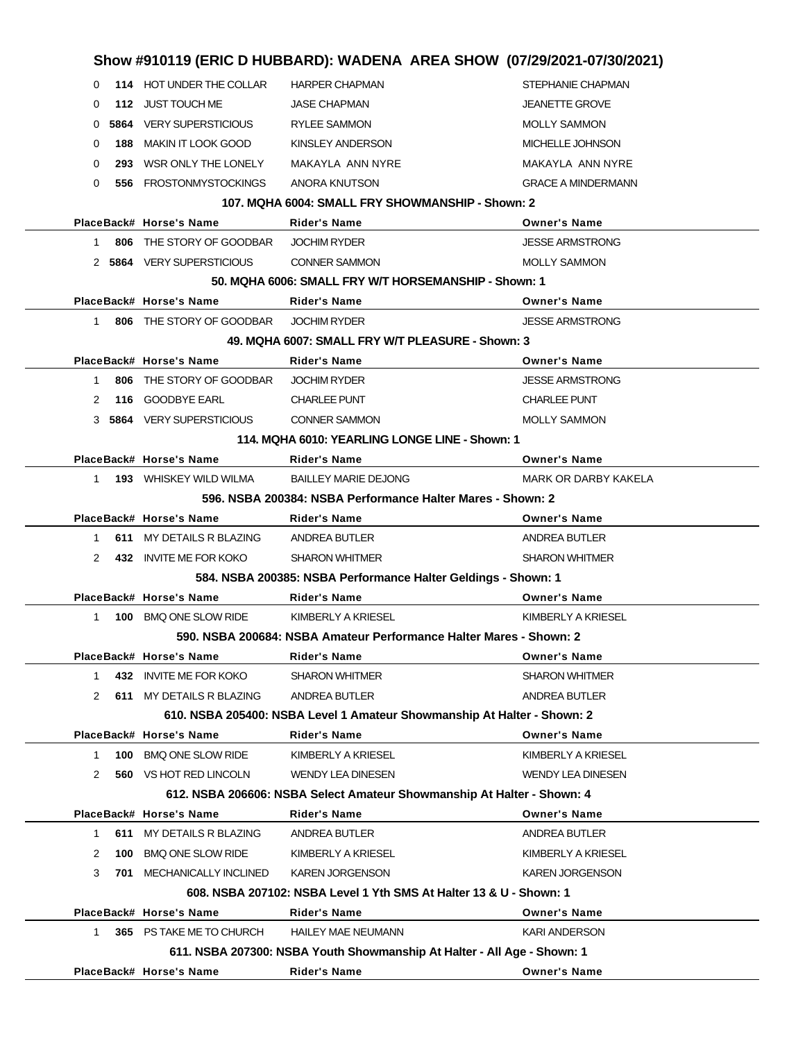|               |     | PlaceBack# Horse's Name                              | Rider's Name                                                            | <b>Owner's Name</b>                     |
|---------------|-----|------------------------------------------------------|-------------------------------------------------------------------------|-----------------------------------------|
|               |     |                                                      | 611. NSBA 207300: NSBA Youth Showmanship At Halter - All Age - Shown: 1 |                                         |
| 1.            |     | 365 PS TAKE ME TO CHURCH                             | <b>HAILEY MAE NEUMANN</b>                                               | <b>KARI ANDERSON</b>                    |
|               |     | PlaceBack# Horse's Name                              | Rider's Name                                                            | <b>Owner's Name</b>                     |
|               |     |                                                      | 608. NSBA 207102: NSBA Level 1 Yth SMS At Halter 13 & U - Shown: 1      |                                         |
| 3             |     | <b>701 MECHANICALLY INCLINED</b>                     | <b>KAREN JORGENSON</b>                                                  | <b>KAREN JORGENSON</b>                  |
| 2             | 100 | <b>BMQ ONE SLOW RIDE</b>                             | KIMBERLY A KRIESEL                                                      | KIMBERLY A KRIESEL                      |
| 1             |     | 611 MY DETAILS R BLAZING                             | ANDREA BUTLER                                                           | ANDREA BUTLER                           |
|               |     | PlaceBack# Horse's Name                              | Rider's Name                                                            | <b>Owner's Name</b>                     |
|               |     |                                                      | 612. NSBA 206606: NSBA Select Amateur Showmanship At Halter - Shown: 4  |                                         |
| 2             |     | <b>560 VS HOT RED LINCOLN</b>                        | <b>WENDY LEA DINESEN</b>                                                | <b>WENDY LEA DINESEN</b>                |
| 1             | 100 | <b>BMQ ONE SLOW RIDE</b>                             | KIMBERLY A KRIESEL                                                      | KIMBERLY A KRIESEL                      |
|               |     | PlaceBack# Horse's Name                              | Rider's Name                                                            | <b>Owner's Name</b>                     |
|               |     |                                                      | 610. NSBA 205400: NSBA Level 1 Amateur Showmanship At Halter - Shown: 2 |                                         |
| 2             |     | 611 MY DETAILS R BLAZING                             | ANDREA BUTLER                                                           | ANDREA BUTLER                           |
| 1             |     | 432 INVITE ME FOR KOKO                               | <b>SHARON WHITMER</b>                                                   | <b>SHARON WHITMER</b>                   |
|               |     | PlaceBack# Horse's Name                              | <b>Rider's Name</b>                                                     | <b>Owner's Name</b>                     |
|               |     |                                                      | 590. NSBA 200684: NSBA Amateur Performance Halter Mares - Shown: 2      |                                         |
| 1             |     | 100 BMQ ONE SLOW RIDE                                | KIMBERLY A KRIESEL                                                      | KIMBERLY A KRIESEL                      |
|               |     | PlaceBack# Horse's Name                              | Rider's Name                                                            | <b>Owner's Name</b>                     |
|               |     |                                                      | 584. NSBA 200385: NSBA Performance Halter Geldings - Shown: 1           |                                         |
| 2             |     | 432 INVITE ME FOR KOKO                               | <b>SHARON WHITMER</b>                                                   | <b>SHARON WHITMER</b>                   |
| 1             |     | 611 MY DETAILS R BLAZING                             | ANDREA BUTLER                                                           | ANDREA BUTLER                           |
|               |     | PlaceBack# Horse's Name                              | <b>Rider's Name</b>                                                     | <b>Owner's Name</b>                     |
|               |     |                                                      | 596, NSBA 200384: NSBA Performance Halter Mares - Shown: 2              |                                         |
| $\mathbf{1}$  |     | <b>193</b> WHISKEY WILD WILMA                        | <b>BAILLEY MARIE DEJONG</b>                                             | MARK OR DARBY KAKELA                    |
|               |     | PlaceBack# Horse's Name                              | Rider's Name                                                            | <b>Owner's Name</b>                     |
|               |     |                                                      | 114. MQHA 6010: YEARLING LONGE LINE - Shown: 1                          |                                         |
|               |     | 3 5864 VERY SUPERSTICIOUS                            | <b>CONNER SAMMON</b>                                                    | <b>MOLLY SAMMON</b>                     |
| 2             |     | 116 GOODBYE EARL                                     | <b>CHARLEE PUNT</b>                                                     | <b>CHARLEE PUNT</b>                     |
| 1             |     | 806 THE STORY OF GOODBAR                             | <b>JOCHIM RYDER</b>                                                     | <b>JESSE ARMSTRONG</b>                  |
|               |     | PlaceBack# Horse's Name                              | <b>Rider's Name</b>                                                     | <b>Owner's Name</b>                     |
|               |     |                                                      | 49. MQHA 6007: SMALL FRY W/T PLEASURE - Shown: 3                        |                                         |
| 1             |     | 806 THE STORY OF GOODBAR                             | <b>JOCHIM RYDER</b>                                                     | <b>JESSE ARMSTRONG</b>                  |
|               |     | PlaceBack# Horse's Name                              | Rider's Name                                                            | <b>Owner's Name</b>                     |
|               |     |                                                      | 50. MQHA 6006: SMALL FRY W/T HORSEMANSHIP - Shown: 1                    |                                         |
|               |     | 2 5864 VERY SUPERSTICIOUS                            | <b>CONNER SAMMON</b>                                                    | <b>MOLLY SAMMON</b>                     |
| 1             | 806 | THE STORY OF GOODBAR                                 | <b>JOCHIM RYDER</b>                                                     | <b>JESSE ARMSTRONG</b>                  |
|               |     | PlaceBack# Horse's Name                              | Rider's Name                                                            | <b>Owner's Name</b>                     |
|               |     |                                                      | 107. MQHA 6004: SMALL FRY SHOWMANSHIP - Shown: 2                        |                                         |
| $\Omega$      |     | 556 FROSTONMYSTOCKINGS                               | ANORA KNUTSON                                                           | <b>GRACE A MINDERMANN</b>               |
| $\Omega$      | 293 | WSR ONLY THE LONELY                                  | MAKAYLA ANN NYRE                                                        | MAKAYLA ANN NYRE                        |
| 0<br>$\Omega$ | 188 | <b>5864</b> VERY SUPERSTICIOUS<br>MAKIN IT LOOK GOOD | <b>RYLEE SAMMON</b><br>KINSLEY ANDERSON                                 | <b>MOLLY SAMMON</b><br>MICHELLE JOHNSON |
| 0             |     | 112 JUST TOUCH ME                                    | <b>JASE CHAPMAN</b>                                                     | <b>JEANETTE GROVE</b>                   |
| 0             |     | 114 HOT UNDER THE COLLAR                             | <b>HARPER CHAPMAN</b>                                                   | STEPHANIE CHAPMAN                       |
|               |     |                                                      |                                                                         |                                         |
|               |     |                                                      | Show #910119 (ERIC D HUBBARD): WADENA AREA SHOW (07/29/2021-07/30/2021) |                                         |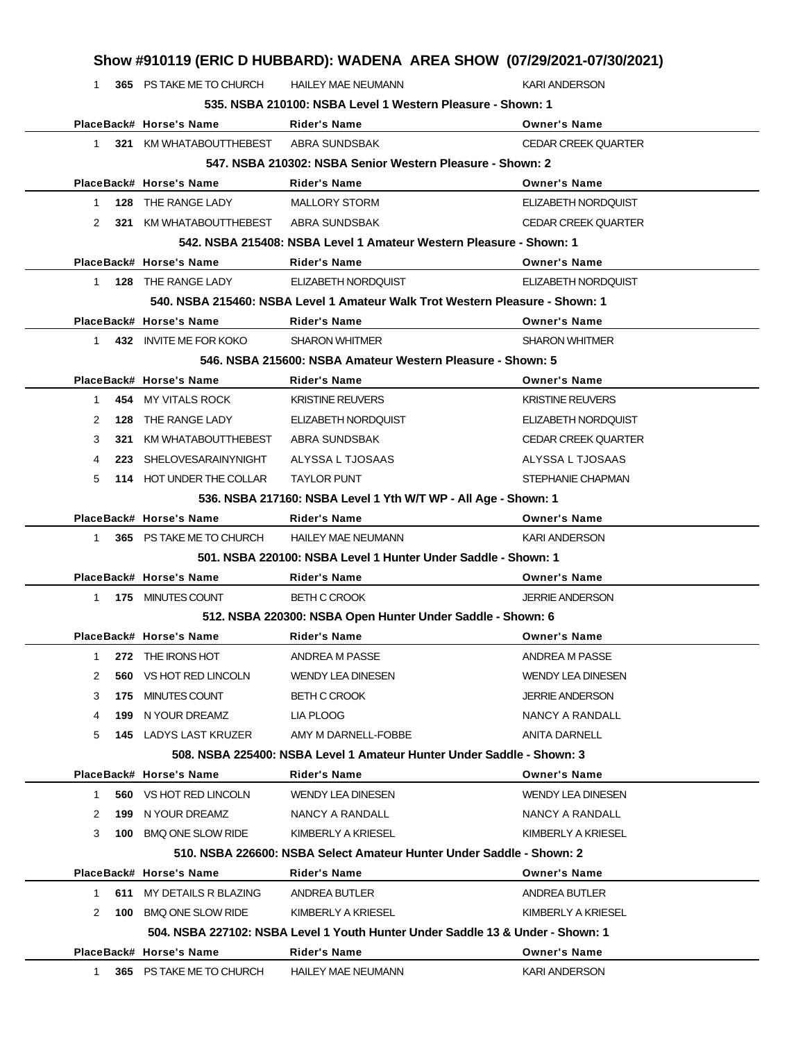1 **365** PS TAKE ME TO CHURCH HAILEY MAE NEUMANN KARI ANDERSON **535. NSBA 210100: NSBA Level 1 Western Pleasure - Shown: 1**

|                                                           |     | PlaceBack# Horse's Name               | <b>Rider's Name</b>                                                            | <b>Owner's Name</b>        |  |
|-----------------------------------------------------------|-----|---------------------------------------|--------------------------------------------------------------------------------|----------------------------|--|
| $\mathbf{1}$                                              |     | 321 KM WHATABOUTTHEBEST ABRA SUNDSBAK |                                                                                | <b>CEDAR CREEK QUARTER</b> |  |
| 547. NSBA 210302: NSBA Senior Western Pleasure - Shown: 2 |     |                                       |                                                                                |                            |  |
|                                                           |     | PlaceBack# Horse's Name               | <b>Rider's Name</b>                                                            | <b>Owner's Name</b>        |  |
| $\mathbf{1}$                                              |     | 128 THE RANGE LADY                    | <b>MALLORY STORM</b>                                                           | ELIZABETH NORDQUIST        |  |
| 2                                                         |     | 321 KM WHATABOUTTHEBEST ABRA SUNDSBAK |                                                                                | <b>CEDAR CREEK QUARTER</b> |  |
|                                                           |     |                                       | 542. NSBA 215408: NSBA Level 1 Amateur Western Pleasure - Shown: 1             |                            |  |
|                                                           |     | PlaceBack# Horse's Name               | <b>Rider's Name</b>                                                            | <b>Owner's Name</b>        |  |
| $1 \quad$                                                 |     | 128 THE RANGE LADY                    | ELIZABETH NORDOUIST                                                            | ELIZABETH NORDQUIST        |  |
|                                                           |     |                                       | 540. NSBA 215460: NSBA Level 1 Amateur Walk Trot Western Pleasure - Shown: 1   |                            |  |
|                                                           |     | PlaceBack# Horse's Name               | <b>Rider's Name</b>                                                            | <b>Owner's Name</b>        |  |
| $\mathbf{1}$                                              |     | 432 INVITE ME FOR KOKO                | <b>SHARON WHITMER</b>                                                          | <b>SHARON WHITMER</b>      |  |
|                                                           |     |                                       | 546. NSBA 215600: NSBA Amateur Western Pleasure - Shown: 5                     |                            |  |
|                                                           |     | PlaceBack# Horse's Name               | <b>Rider's Name</b>                                                            | <b>Owner's Name</b>        |  |
| $\mathbf{1}$                                              |     | 454 MY VITALS ROCK                    | <b>KRISTINE REUVERS</b>                                                        | <b>KRISTINE REUVERS</b>    |  |
| 2                                                         |     | <b>128 THE RANGE LADY</b>             | <b>ELIZABETH NORDQUIST</b>                                                     | ELIZABETH NORDQUIST        |  |
| 3                                                         | 321 | KM WHATABOUTTHEBEST                   | ABRA SUNDSBAK                                                                  | <b>CEDAR CREEK QUARTER</b> |  |
| 4                                                         |     | 223 SHELOVESARAINYNIGHT               | ALYSSA L TJOSAAS                                                               | ALYSSA L TJOSAAS           |  |
| 5                                                         |     | 114 HOT UNDER THE COLLAR              | <b>TAYLOR PUNT</b>                                                             | <b>STEPHANIE CHAPMAN</b>   |  |
|                                                           |     |                                       | 536. NSBA 217160: NSBA Level 1 Yth W/T WP - All Age - Shown: 1                 |                            |  |
|                                                           |     | PlaceBack# Horse's Name               | <b>Rider's Name</b>                                                            | <b>Owner's Name</b>        |  |
| $\mathbf{1}$                                              |     | 365 PS TAKE ME TO CHURCH              | <b>HAILEY MAE NEUMANN</b>                                                      | <b>KARI ANDERSON</b>       |  |
|                                                           |     |                                       | 501. NSBA 220100: NSBA Level 1 Hunter Under Saddle - Shown: 1                  |                            |  |
|                                                           |     | PlaceBack# Horse's Name               | <b>Rider's Name</b>                                                            | <b>Owner's Name</b>        |  |
| $1 \quad$                                                 |     | 175 MINUTES COUNT                     | <b>BETH C CROOK</b>                                                            | <b>JERRIE ANDERSON</b>     |  |
|                                                           |     |                                       | 512. NSBA 220300: NSBA Open Hunter Under Saddle - Shown: 6                     |                            |  |
|                                                           |     | PlaceBack# Horse's Name               | <b>Rider's Name</b>                                                            | <b>Owner's Name</b>        |  |
| 1                                                         |     | 272 THE IRONS HOT                     | ANDREA M PASSE                                                                 | ANDREA M PASSE             |  |
| 2                                                         |     | <b>560 VS HOT RED LINCOLN</b>         | <b>WENDY LEA DINESEN</b>                                                       | <b>WENDY LEA DINESEN</b>   |  |
| 3                                                         |     | 175 MINUTES COUNT                     | <b>BETH C CROOK</b>                                                            | <b>JERRIE ANDERSON</b>     |  |
| 4                                                         | 199 | N YOUR DREAMZ                         | LIA PLOOG                                                                      | NANCY A RANDALL            |  |
| 5                                                         |     | <b>145 LADYS LAST KRUZER</b>          | AMY M DARNELL-FOBBE                                                            | <b>ANITA DARNELL</b>       |  |
|                                                           |     |                                       | 508. NSBA 225400: NSBA Level 1 Amateur Hunter Under Saddle - Shown: 3          |                            |  |
|                                                           |     | PlaceBack# Horse's Name               | <b>Rider's Name</b>                                                            | <b>Owner's Name</b>        |  |
| 1                                                         |     | <b>560 VS HOT RED LINCOLN</b>         | <b>WENDY LEA DINESEN</b>                                                       | <b>WENDY LEA DINESEN</b>   |  |
| 2                                                         | 199 | N YOUR DREAMZ                         | NANCY A RANDALL                                                                | NANCY A RANDALL            |  |
| 3                                                         |     | 100 BMQ ONE SLOW RIDE                 | KIMBERLY A KRIESEL                                                             | KIMBERLY A KRIESEL         |  |
|                                                           |     |                                       | 510. NSBA 226600: NSBA Select Amateur Hunter Under Saddle - Shown: 2           |                            |  |
|                                                           |     | PlaceBack# Horse's Name               | <b>Rider's Name</b>                                                            | <b>Owner's Name</b>        |  |
| 1                                                         | 611 | MY DETAILS R BLAZING                  | ANDREA BUTLER                                                                  | ANDREA BUTLER              |  |
| 2                                                         | 100 | <b>BMQ ONE SLOW RIDE</b>              | KIMBERLY A KRIESEL                                                             | KIMBERLY A KRIESEL         |  |
|                                                           |     |                                       | 504. NSBA 227102: NSBA Level 1 Youth Hunter Under Saddle 13 & Under - Shown: 1 |                            |  |
|                                                           |     | PlaceBack# Horse's Name               | <b>Rider's Name</b>                                                            | <b>Owner's Name</b>        |  |
| 1                                                         |     | 365 PS TAKE ME TO CHURCH              | <b>HAILEY MAE NEUMANN</b>                                                      | <b>KARI ANDERSON</b>       |  |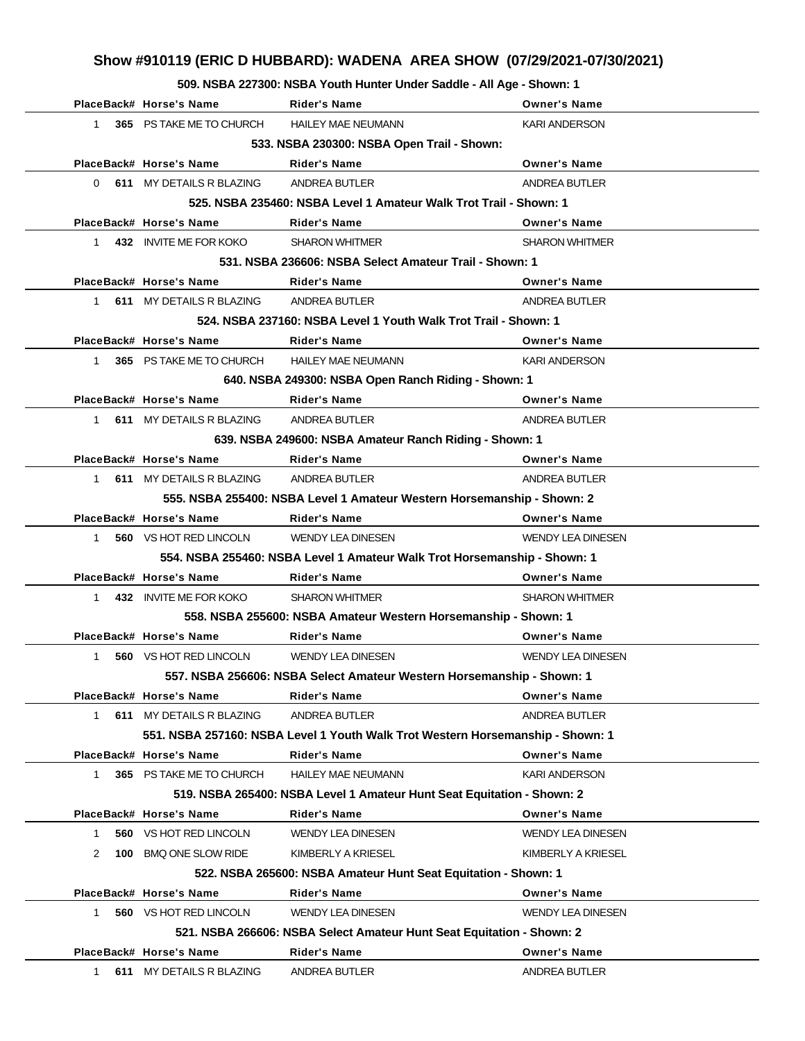**509. NSBA 227300: NSBA Youth Hunter Under Saddle - All Age - Shown: 1**

|             | PlaceBack# Horse's Name                                                | <b>Rider's Name</b>                                                            | <b>Owner's Name</b>      |  |  |  |
|-------------|------------------------------------------------------------------------|--------------------------------------------------------------------------------|--------------------------|--|--|--|
| $1 \quad$   | 365 PS TAKE ME TO CHURCH                                               | <b>HAILEY MAE NEUMANN</b>                                                      | <b>KARI ANDERSON</b>     |  |  |  |
|             |                                                                        | 533. NSBA 230300: NSBA Open Trail - Shown:                                     |                          |  |  |  |
|             | PlaceBack# Horse's Name                                                | <b>Rider's Name</b>                                                            | <b>Owner's Name</b>      |  |  |  |
|             | 0 611 MY DETAILS R BLAZING                                             | ANDREA BUTLER                                                                  | ANDREA BUTLER            |  |  |  |
|             |                                                                        | 525. NSBA 235460: NSBA Level 1 Amateur Walk Trot Trail - Shown: 1              |                          |  |  |  |
|             | PlaceBack# Horse's Name                                                | Rider's Name                                                                   | <b>Owner's Name</b>      |  |  |  |
| 1           | 432 INVITE ME FOR KOKO                                                 | <b>SHARON WHITMER</b>                                                          | <b>SHARON WHITMER</b>    |  |  |  |
|             |                                                                        | 531. NSBA 236606: NSBA Select Amateur Trail - Shown: 1                         |                          |  |  |  |
|             | PlaceBack# Horse's Name                                                | Rider's Name                                                                   | <b>Owner's Name</b>      |  |  |  |
|             | 1 611 MY DETAILS R BLAZING ANDREA BUTLER                               |                                                                                | ANDREA BUTLER            |  |  |  |
|             |                                                                        | 524, NSBA 237160: NSBA Level 1 Youth Walk Trot Trail - Shown: 1                |                          |  |  |  |
|             | PlaceBack# Horse's Name                                                | <b>Rider's Name</b>                                                            | <b>Owner's Name</b>      |  |  |  |
| 1.          | 365 PS TAKE ME TO CHURCH                                               | <b>HAILEY MAE NEUMANN</b>                                                      | <b>KARI ANDERSON</b>     |  |  |  |
|             |                                                                        | 640. NSBA 249300: NSBA Open Ranch Riding - Shown: 1                            |                          |  |  |  |
|             | PlaceBack# Horse's Name                                                | <b>Rider's Name</b>                                                            | <b>Owner's Name</b>      |  |  |  |
|             | 1 611 MY DETAILS R BLAZING                                             | ANDREA BUTLER                                                                  | ANDREA BUTLER            |  |  |  |
|             |                                                                        | 639. NSBA 249600: NSBA Amateur Ranch Riding - Shown: 1                         |                          |  |  |  |
|             | PlaceBack# Horse's Name                                                | <b>Rider's Name</b>                                                            | <b>Owner's Name</b>      |  |  |  |
|             | 1 611 MY DETAILS R BLAZING                                             | ANDREA BUTLER                                                                  | ANDREA BUTLER            |  |  |  |
|             | 555. NSBA 255400: NSBA Level 1 Amateur Western Horsemanship - Shown: 2 |                                                                                |                          |  |  |  |
|             | PlaceBack# Horse's Name                                                | <b>Rider's Name</b>                                                            | <b>Owner's Name</b>      |  |  |  |
| $1 \quad$   | <b>560</b> VS HOT RED LINCOLN                                          | <b>WENDY LEA DINESEN</b>                                                       | <b>WENDY LEA DINESEN</b> |  |  |  |
|             |                                                                        | 554. NSBA 255460: NSBA Level 1 Amateur Walk Trot Horsemanship - Shown: 1       |                          |  |  |  |
|             | PlaceBack# Horse's Name                                                | <b>Rider's Name</b>                                                            | <b>Owner's Name</b>      |  |  |  |
| 1           | 432 INVITE ME FOR KOKO                                                 | <b>SHARON WHITMER</b>                                                          | <b>SHARON WHITMER</b>    |  |  |  |
|             |                                                                        | 558. NSBA 255600: NSBA Amateur Western Horsemanship - Shown: 1                 |                          |  |  |  |
|             | PlaceBack# Horse's Name                                                | <b>Rider's Name</b>                                                            | <b>Owner's Name</b>      |  |  |  |
| 1           | 560 VS HOT RED LINCOLN                                                 | <b>WENDY LEA DINESEN</b>                                                       | <b>WENDY LEA DINESEN</b> |  |  |  |
|             |                                                                        | 557. NSBA 256606: NSBA Select Amateur Western Horsemanship - Shown: 1          |                          |  |  |  |
|             | PlaceBack# Horse's Name                                                | <b>Rider's Name</b>                                                            | <b>Owner's Name</b>      |  |  |  |
| 1           | 611 MY DETAILS R BLAZING                                               | <b>ANDREA BUTLER</b>                                                           | ANDREA BUTLER            |  |  |  |
|             |                                                                        | 551. NSBA 257160: NSBA Level 1 Youth Walk Trot Western Horsemanship - Shown: 1 |                          |  |  |  |
|             | PlaceBack# Horse's Name                                                | <b>Rider's Name</b>                                                            | <b>Owner's Name</b>      |  |  |  |
| $\mathbf 1$ | 365 PS TAKE ME TO CHURCH                                               | <b>HAILEY MAE NEUMANN</b>                                                      | <b>KARI ANDERSON</b>     |  |  |  |
|             |                                                                        | 519. NSBA 265400: NSBA Level 1 Amateur Hunt Seat Equitation - Shown: 2         |                          |  |  |  |
|             | PlaceBack# Horse's Name                                                | <b>Rider's Name</b>                                                            | <b>Owner's Name</b>      |  |  |  |
| 1           | 560 VS HOT RED LINCOLN                                                 | <b>WENDY LEA DINESEN</b>                                                       | <b>WENDY LEA DINESEN</b> |  |  |  |
| 2           | 100 BMQ ONE SLOW RIDE                                                  | KIMBERLY A KRIESEL                                                             | KIMBERLY A KRIESEL       |  |  |  |
|             |                                                                        | 522. NSBA 265600: NSBA Amateur Hunt Seat Equitation - Shown: 1                 |                          |  |  |  |
|             | PlaceBack# Horse's Name                                                | <b>Rider's Name</b>                                                            | <b>Owner's Name</b>      |  |  |  |
| 1           | 560 VS HOT RED LINCOLN                                                 | <b>WENDY LEA DINESEN</b>                                                       | <b>WENDY LEA DINESEN</b> |  |  |  |
|             |                                                                        | 521. NSBA 266606: NSBA Select Amateur Hunt Seat Equitation - Shown: 2          |                          |  |  |  |
|             | PlaceBack# Horse's Name                                                | <b>Rider's Name</b>                                                            | <b>Owner's Name</b>      |  |  |  |
| 1.          | 611 MY DETAILS R BLAZING                                               | ANDREA BUTLER                                                                  | ANDREA BUTLER            |  |  |  |